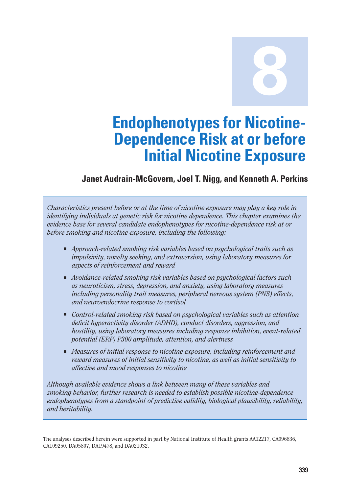**8**

# **Endophenotypes for Nicotine-Dependence Risk at or before Initial Nicotine Exposure**

# **Janet Audrain-McGovern, Joel T. Nigg, and Kenneth A. Perkins**

*Characteristics present before or at the time of nicotine exposure may play a key role in identifying individuals at genetic risk for nicotine dependence. This chapter examines the evidence base for several candidate endophenotypes for nicotine-dependence risk at or before smoking and nicotine exposure, including the following:* 

- *Approach-related smoking risk variables based on psychological traits such as impulsivity, novelty seeking, and extraversion, using laboratory measures for aspects of reinforcement and reward*
- *Avoidance-related smoking risk variables based on psychological factors such as neuroticism, stress, depression, and anxiety, using laboratory measures including personality trait measures, peripheral nervous system (PNS) effects, and neuroendocrine response to cortisol*
- *Control-related smoking risk based on psychological variables such as attention deficit hyperactivity disorder (ADHD), conduct disorders, aggression, and hostility, using laboratory measures including response inhibition, event-related potential (ERP) P300 amplitude, attention, and alertness*
- *Measures of initial response to nicotine exposure, including reinforcement and reward measures of initial sensitivity to nicotine, as well as initial sensitivity to affective and mood responses to nicotine*

*Although available evidence shows a link between many of these variables and smoking behavior, further research is needed to establish possible nicotine-dependence endophenotypes from a standpoint of predictive validity, biological plausibility, reliability, and heritability.* 

The analyses described herein were supported in part by National Institute of Health grants AA12217, CA096836, CA109250, DA05807, DA19478, and DA021032.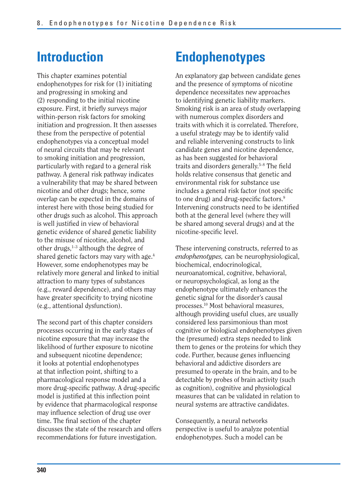# **Introduction**

This chapter examines potential endophenotypes for risk for (1) initiating and progressing in smoking and (2) responding to the initial nicotine exposure. First, it briefly surveys major within-person risk factors for smoking initiation and progression. It then assesses these from the perspective of potential endophenotypes via a conceptual model of neural circuits that may be relevant to smoking initiation and progression, particularly with regard to a general risk pathway. A general risk pathway indicates a vulnerability that may be shared between nicotine and other drugs; hence, some overlap can be expected in the domains of interest here with those being studied for other drugs such as alcohol. This approach is well justified in view of behavioral genetic evidence of shared genetic liability to the misuse of nicotine, alcohol, and other drugs, $1-3$  although the degree of shared genetic factors may vary with age.<sup>4</sup> However, some endophenotypes may be relatively more general and linked to initial attraction to many types of substances (e.g., reward dependence), and others may have greater specificity to trying nicotine (e.g., attentional dysfunction).

The second part of this chapter considers processes occurring in the early stages of nicotine exposure that may increase the likelihood of further exposure to nicotine and subsequent nicotine dependence; it looks at potential endophenotypes at that inflection point, shifting to a pharmacological response model and a more drug-specific pathway. A drug-specific model is justified at this inflection point by evidence that pharmacological response may influence selection of drug use over time. The final section of the chapter discusses the state of the research and offers recommendations for future investigation.

# **Endophenotypes**

An explanatory gap between candidate genes and the presence of symptoms of nicotine dependence necessitates new approaches to identifying genetic liability markers. Smoking risk is an area of study overlapping with numerous complex disorders and traits with which it is correlated. Therefore, a useful strategy may be to identify valid and reliable intervening constructs to link candidate genes and nicotine dependence, as has been suggested for behavioral traits and disorders generally.<sup>5–8</sup> The field holds relative consensus that genetic and environmental risk for substance use includes a general risk factor (not specific to one drug) and drug-specific factors.<sup>9</sup> Intervening constructs need to be identified both at the general level (where they will be shared among several drugs) and at the nicotine-specific level.

These intervening constructs, referred to as *endophenotypes,* can be neurophysiological, biochemical, endocrinological, neuroanatomical, cognitive, behavioral, or neuropsychological, as long as the endophenotype ultimately enhances the genetic signal for the disorder's causal processes.10 Most behavioral measures, although providing useful clues, are usually considered less parsimonious than most cognitive or biological endophenotypes given the (presumed) extra steps needed to link them to genes or the proteins for which they code. Further, because genes influencing behavioral and addictive disorders are presumed to operate in the brain, and to be detectable by probes of brain activity (such as cognition), cognitive and physiological measures that can be validated in relation to neural systems are attractive candidates.

Consequently, a neural networks perspective is useful to analyze potential endophenotypes. Such a model can be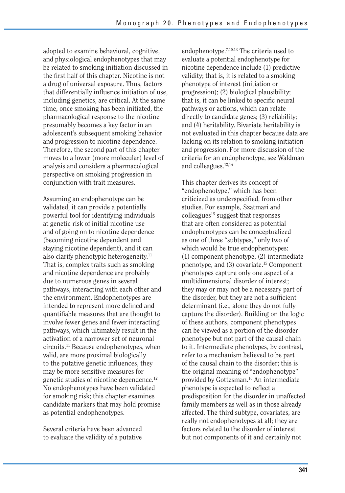adopted to examine behavioral, cognitive, and physiological endophenotypes that may be related to smoking initiation discussed in the first half of this chapter. Nicotine is not a drug of universal exposure. Thus, factors that differentially influence initiation of use, including genetics, are critical. At the same time, once smoking has been initiated, the pharmacological response to the nicotine presumably becomes a key factor in an adolescent's subsequent smoking behavior and progression to nicotine dependence. Therefore, the second part of this chapter moves to a lower (more molecular) level of analysis and considers a pharmacological perspective on smoking progression in conjunction with trait measures.

Assuming an endophenotype can be validated, it can provide a potentially powerful tool for identifying individuals at genetic risk of initial nicotine use and of going on to nicotine dependence (becoming nicotine dependent and staying nicotine dependent), and it can also clarify phenotypic heterogeneity.<sup>11</sup> That is, complex traits such as smoking and nicotine dependence are probably due to numerous genes in several pathways, interacting with each other and the environment. Endophenotypes are intended to represent more defined and quantifiable measures that are thought to involve fewer genes and fewer interacting pathways, which ultimately result in the activation of a narrower set of neuronal circuits.11 Because endophenotypes, when valid, are more proximal biologically to the putative genetic influences, they may be more sensitive measures for genetic studies of nicotine dependence.12 No endophenotypes have been validated for smoking risk; this chapter examines candidate markers that may hold promise as potential endophenotypes.

Several criteria have been advanced to evaluate the validity of a putative endophenotype.7,10,13 The criteria used to evaluate a potential endophenotype for nicotine dependence include (1) predictive validity; that is, it is related to a smoking phenotype of interest (initiation or progression); (2) biological plausibility; that is, it can be linked to specific neural pathways or actions, which can relate directly to candidate genes; (3) reliability; and (4) heritability. Bivariate heritability is not evaluated in this chapter because data are lacking on its relation to smoking initiation and progression. For more discussion of the criteria for an endophenotype, see Waldman and colleagues.13,14

This chapter derives its concept of "endophenotype," which has been criticized as underspecified, from other studies. For example, Szatmari and  $\text{colle}$ gues<sup>15</sup> suggest that responses that are often considered as potential endophenotypes can be conceptualized as one of three "subtypes," only two of which would be true endophenotypes: (1) component phenotype, (2) intermediate phenotype, and (3) covariate.15 Component phenotypes capture only one aspect of a multidimensional disorder of interest; they may or may not be a necessary part of the disorder, but they are not a sufficient determinant (i.e., alone they do not fully capture the disorder). Building on the logic of these authors, component phenotypes can be viewed as a portion of the disorder phenotype but not part of the causal chain to it. Intermediate phenotypes, by contrast, refer to a mechanism believed to be part of the causal chain to the disorder; this is the original meaning of "endophenotype" provided by Gottesman.10 An intermediate phenotype is expected to reflect a predisposition for the disorder in unaffected family members as well as in those already affected. The third subtype, covariates, are really not endophenotypes at all; they are factors related to the disorder of interest but not components of it and certainly not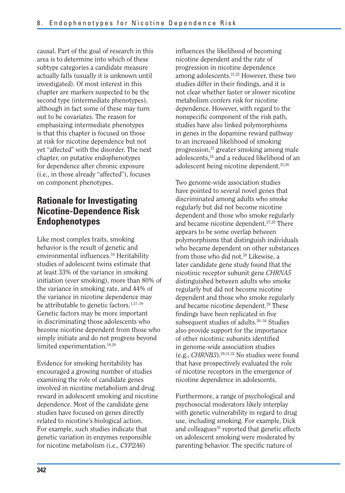causal. Part of the goal of research in this area is to determine into which of these subtype categories a candidate measure actually falls (usually it is unknown until investigated). Of most interest in this chapter are markers suspected to be the second type (intermediate phenotypes), although in fact some of these may turn out to be covariates. The reason for emphasizing intermediate phenotypes is that this chapter is focused on those at risk for nicotine dependence but not yet "affected" with the disorder. The next chapter, on putative endophenotypes for dependence after chronic exposure (i.e., in those already "affected"), focuses on component phenotypes.

# **Rationale for Investigating Nicotine-Dependence Risk Endophenotypes**

Like most complex traits, smoking behavior is the result of genetic and environmental influences.<sup>16</sup> Heritability studies of adolescent twins estimate that at least 33% of the variance in smoking initiation (ever smoking), more than 80% of the variance in smoking rate, and 44% of the variance in nicotine dependence may be attributable to genetic factors.<sup>1,17-19</sup> Genetic factors may be more important in discriminating those adolescents who become nicotine dependent from those who simply initiate and do not progress beyond limited experimentation.18,20

Evidence for smoking heritability has encouraged a growing number of studies examining the role of candidate genes involved in nicotine metabolism and drug reward in adolescent smoking and nicotine dependence. Most of the candidate gene studies have focused on genes directly related to nicotine's biological action. For example, such studies indicate that genetic variation in enzymes responsible for nicotine metabolism (i.e., *CYP2A6*)

influences the likelihood of becoming nicotine dependent and the rate of progression in nicotine dependence among adolescents.21,22 However, these two studies differ in their findings, and it is not clear whether faster or slower nicotine metabolism confers risk for nicotine dependence. However, with regard to the nonspecific component of the risk path, studies have also linked polymorphisms in genes in the dopamine reward pathway to an increased likelihood of smoking progression,<sup>23</sup> greater smoking among male adolescents,<sup>24</sup> and a reduced likelihood of an adolescent being nicotine dependent.25,26

Two genome-wide association studies have pointed to several novel genes that discriminated among adults who smoke regularly but did not become nicotine dependent and those who smoke regularly and became nicotine dependent.27,28 There appears to be some overlap between polymorphisms that distinguish individuals who became dependent on other substances from those who did not.<sup>28</sup> Likewise, a later candidate gene study found that the nicotinic receptor subunit gene *CHRNA5*  distinguished between adults who smoke regularly but did not become nicotine dependent and those who smoke regularly and became nicotine dependent.29 These findings have been replicated in five subsequent studies of adults.<sup>30-34</sup> Studies also provide support for the importance of other nicotinic subunits identified in genome-wide association studies (e.g., *CHRNB3*).29,31,32 No studies were found that have prospectively evaluated the role of nicotine receptors in the emergence of nicotine dependence in adolescents.

Furthermore, a range of psychological and psychosocial moderators likely interplay with genetic vulnerability in regard to drug use, including smoking. For example, Dick and colleagues<sup>35</sup> reported that genetic effects on adolescent smoking were moderated by parenting behavior. The specific nature of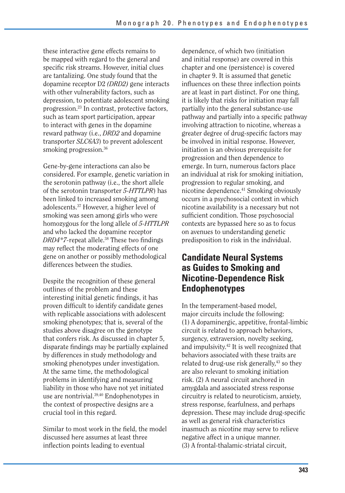these interactive gene effects remains to be mapped with regard to the general and specific risk streams. However, initial clues are tantalizing. One study found that the dopamine receptor D2 *(DRD2)* gene interacts with other vulnerability factors, such as depression, to potentiate adolescent smoking progression.23 In contrast, protective factors, such as team sport participation, appear to interact with genes in the dopamine reward pathway (i.e., *DRD2* and dopamine transporter *SLC6A3*) to prevent adolescent smoking progression.<sup>36</sup>

Gene-by-gene interactions can also be considered. For example, genetic variation in the serotonin pathway (i.e., the short allele of the serotonin transporter *5-HTTLPR*) has been linked to increased smoking among adolescents.37 However, a higher level of smoking was seen among girls who were homozygous for the long allele of *5-HTTLPR*  and who lacked the dopamine receptor *DRD4\*7-*repeat allele.<sup>38</sup> These two findings may reflect the moderating effects of one gene on another or possibly methodological differences between the studies.

Despite the recognition of these general outlines of the problem and these interesting initial genetic findings, it has proven difficult to identify candidate genes with replicable associations with adolescent smoking phenotypes; that is, several of the studies above disagree on the genotype that confers risk. As discussed in chapter 5, disparate findings may be partially explained by differences in study methodology and smoking phenotypes under investigation. At the same time, the methodological problems in identifying and measuring liability in those who have not yet initiated use are nontrivial.39,40 Endophenotypes in the context of prospective designs are a crucial tool in this regard.

Similar to most work in the field, the model discussed here assumes at least three inflection points leading to eventual

dependence, of which two (initiation and initial response) are covered in this chapter and one (persistence) is covered in chapter 9. It is assumed that genetic influences on these three inflection points are at least in part distinct. For one thing, it is likely that risks for initiation may fall partially into the general substance-use pathway and partially into a specific pathway involving attraction to nicotine, whereas a greater degree of drug-specific factors may be involved in initial response. However, initiation is an obvious prerequisite for progression and then dependence to emerge. In turn, numerous factors place an individual at risk for smoking initiation, progression to regular smoking, and nicotine dependence.41 Smoking obviously occurs in a psychosocial context in which nicotine availability is a necessary but not sufficient condition. Those psychosocial contexts are bypassed here so as to focus on avenues to understanding genetic predisposition to risk in the individual.

## **Candidate Neural Systems as Guides to Smoking and Nicotine-Dependence Risk Endophenotypes**

In the temperament-based model, major circuits include the following: (1) A dopaminergic, appetitive, frontal-limbic circuit is related to approach behaviors, surgency, extraversion, novelty seeking, and impulsivity.42 It is well recognized that behaviors associated with these traits are related to drug-use risk generally,<sup>43</sup> so they are also relevant to smoking initiation risk. (2) A neural circuit anchored in amygdala and associated stress response circuitry is related to neuroticism, anxiety, stress response, fearfulness, and perhaps depression. These may include drug-specific as well as general risk characteristics inasmuch as nicotine may serve to relieve negative affect in a unique manner. (3) A frontal-thalamic-striatal circuit,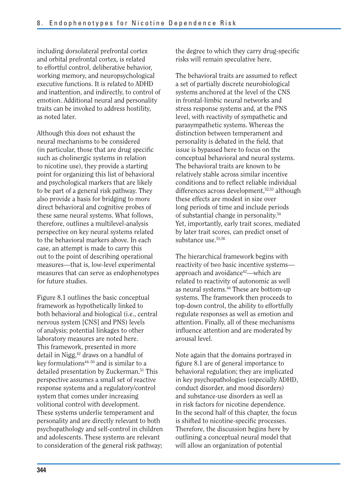including dorsolateral prefrontal cortex and orbital prefrontal cortex, is related to effortful control, deliberative behavior, working memory, and neuropsychological executive functions. It is related to ADHD and inattention, and indirectly, to control of emotion. Additional neural and personality traits can be invoked to address hostility, as noted later.

Although this does not exhaust the neural mechanisms to be considered  $(in$  particular, those that are drug specific such as cholinergic systems in relation to nicotine use), they provide a starting point for organizing this list of behavioral and psychological markers that are likely to be part of a general risk pathway. They also provide a basis for bridging to more direct behavioral and cognitive probes of these same neural systems. What follows, therefore, outlines a multilevel-analysis perspective on key neural systems related to the behavioral markers above. In each case, an attempt is made to carry this out to the point of describing operational measures—that is, low-level experimental measures that can serve as endophenotypes for future studies.

Figure 8.1 outlines the basic conceptual framework as hypothetically linked to both behavioral and biological (i.e., central nervous system [CNS] and PNS) levels of analysis; potential linkages to other laboratory measures are noted here. This framework, presented in more detail in Nigg,<sup>42</sup> draws on a handful of key formulations $44-50$  and is similar to a detailed presentation by Zuckerman.<sup>51</sup> This perspective assumes a small set of reactive response systems and a regulatory/control system that comes under increasing volitional control with development. These systems underlie temperament and personality and are directly relevant to both psychopathology and self-control in children and adolescents. These systems are relevant to consideration of the general risk pathway; the degree to which they carry drug-specific risks will remain speculative here.

The behavioral traits are assumed to reflect a set of partially discrete neurobiological systems anchored at the level of the CNS in frontal-limbic neural networks and stress response systems and, at the PNS level, with reactivity of sympathetic and parasympathetic systems. Whereas the distinction between temperament and personality is debated in the field, that issue is bypassed here to focus on the conceptual behavioral and neural systems. The behavioral traits are known to be relatively stable across similar incentive conditions and to reflect reliable individual differences across development,<sup>52,53</sup> although these effects are modest in size over long periods of time and include periods of substantial change in personality.54 Yet, importantly, early trait scores, mediated by later trait scores, can predict onset of substance use.<sup>55,56</sup>

The hierarchical framework begins with reactivity of two basic incentive systems approach and avoidance42—which are related to reactivity of autonomic as well as neural systems.44 These are bottom-up systems. The framework then proceeds to top-down control, the ability to effortfully regulate responses as well as emotion and attention. Finally, all of these mechanisms influence attention and are moderated by arousal level.

Note again that the domains portrayed in figure 8.1 are of general importance to behavioral regulation; they are implicated in key psychopathologies (especially ADHD, conduct disorder, and mood disorders) and substance-use disorders as well as in risk factors for nicotine dependence. In the second half of this chapter, the focus is shifted to nicotine-specific processes. Therefore, the discussion begins here by outlining a conceptual neural model that will allow an organization of potential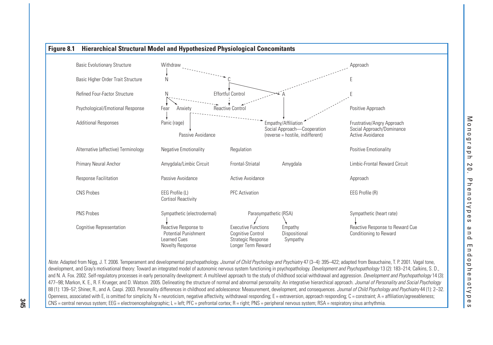

Note. Adapted from Nigg, J. T. 2006. Temperament and developmental psychopathology. Journal of Child Psychology and Psychiatry 47 (3-4): 395-422; adapted from Beauchaine, T. P. 2001. Vagal tone, development, and Gray's motivational theory: Toward an integrated model of autonomic nervous system functioning in psychopathology. Development and Psychopathology 13 (2): 183–214; Calkins, S. D., and N. A. Fox. 2002. Self-regulatory processes in early personality development: A multilevel approach to the study of childhood social withdrawal and aggression. Development and Psychopathology 14 (3): 477–98; Markon, K. E., R. F. Krueger, and D. Watson. 2005. Delineating the structure of normal and abnormal personality: An integrative hierarchical approach. Journal of Personality and Social Psychology 88 (1): 139–57; Shiner, R., and A. Caspi. 2003. Personality differences in childhood and adolescence: Measurement, development, and consequences. Journal of Child Psychology and Psychiatry 44 (1): 2–32. Openness, associated with E, is omitted for simplicity. N = neuroticism, negative affectivity, withdrawal responding; E = extraversion, approach responding; C = constraint; A = affiliation/agreeableness; CNS = central nervous system; EEG = electroencephalographic; L = left; PFC = prefrontal cortex; R = right; PNS = peripheral nervous system; RSA = respiratory sinus arrhythmia.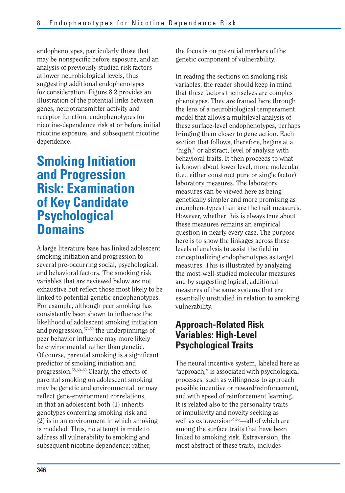endophenotypes, particularly those that may be nonspecific before exposure, and an analysis of previously studied risk factors at lower neurobiological levels, thus suggesting additional endophenotypes for consideration. Figure 8.2 provides an illustration of the potential links between genes, neurotransmitter activity and receptor function, endophenotypes for nicotine-dependence risk at or before initial nicotine exposure, and subsequent nicotine dependence.

# **Smoking Initiation and Progression Risk: Examination of Key Candidate Psychological Domains**

A large literature base has linked adolescent smoking initiation and progression to several pre-occurring social, psychological, and behavioral factors. The smoking risk variables that are reviewed below are not exhaustive but reflect those most likely to be linked to potential genetic endophenotypes. For example, although peer smoking has consistently been shown to influence the likelihood of adolescent smoking initiation and progression,57–59 the underpinnings of peer behavior influence may more likely be environmental rather than genetic. Of course, parental smoking is a significant predictor of smoking initiation and progression.58,60–63 Clearly, the effects of parental smoking on adolescent smoking may be genetic and environmental, or may reflect gene-environment correlations, in that an adolescent both (1) inherits genotypes conferring smoking risk and (2) is in an environment in which smoking is modeled. Thus, no attempt is made to address all vulnerability to smoking and subsequent nicotine dependence; rather,

the focus is on potential markers of the genetic component of vulnerability.

In reading the sections on smoking risk variables, the reader should keep in mind that these factors themselves are complex phenotypes. They are framed here through the lens of a neurobiological temperament model that allows a multilevel analysis of these surface-level endophenotypes, perhaps bringing them closer to gene action. Each section that follows, therefore, begins at a "high," or abstract, level of analysis with behavioral traits. It then proceeds to what is known about lower level, more molecular (i.e., either construct pure or single factor) laboratory measures. The laboratory measures can be viewed here as being genetically simpler and more promising as endophenotypes than are the trait measures. However, whether this is always true about these measures remains an empirical question in nearly every case. The purpose here is to show the linkages across these levels of analysis to assist the field in conceptualizing endophenotypes as target measures. This is illustrated by analyzing the most-well-studied molecular measures and by suggesting logical, additional measures of the same systems that are essentially unstudied in relation to smoking vulnerability.

# **Approach-Related Risk Variables: High-Level Psychological Traits**

The neural incentive system, labeled here as "approach," is associated with psychological processes, such as willingness to approach possible incentive or reward/reinforcement, and with speed of reinforcement learning. It is related also to the personality traits of impulsivity and novelty seeking as well as extraversion<sup>64,65</sup>—all of which are among the surface traits that have been linked to smoking risk. Extraversion, the most abstract of these traits, includes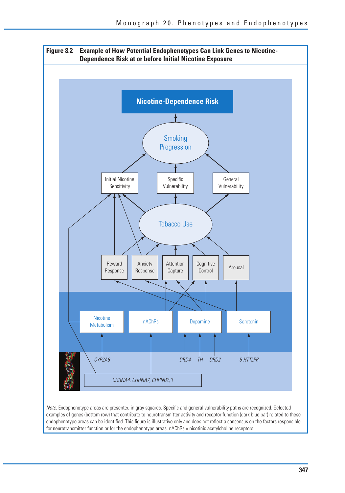

Note. Endophenotype areas are presented in gray squares. Specific and general vulnerability paths are recognized. Selected examples of genes (bottom row) that contribute to neurotransmitter activity and receptor function (dark blue bar) related to these endophenotype areas can be identified. This figure is illustrative only and does not reflect a consensus on the factors responsible for neurotransmitter function or for the endophenotype areas. nAChRs = nicotinic acetylcholine receptors.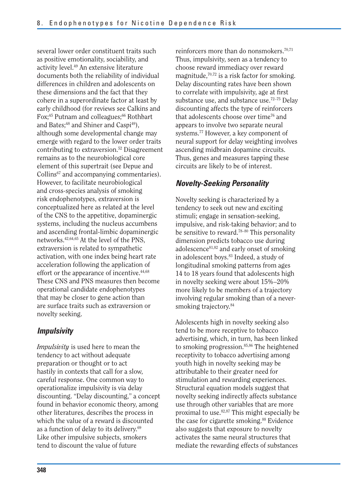several lower order constituent traits such as positive emotionality, sociability, and activity level.49 An extensive literature documents both the reliability of individual differences in children and adolescents on these dimensions and the fact that they cohere in a superordinate factor at least by early childhood (for reviews see Calkins and Fox;<sup>45</sup> Putnam and colleagues;<sup>66</sup> Rothbart and Bates;<sup>48</sup> and Shiner and Caspi<sup>49</sup>), although some developmental change may emerge with regard to the lower order traits contributing to extraversion.52 Disagreement remains as to the neurobiological core element of this supertrait (see Depue and Collins<sup>67</sup> and accompanying commentaries). However, to facilitate neurobiological and cross-species analysis of smoking risk endophenotypes, extraversion is conceptualized here as related at the level of the CNS to the appetitive, dopaminergic systems, including the nucleus accumbens and ascending frontal-limbic dopaminergic networks.42,64,65 At the level of the PNS, extraversion is related to sympathetic activation, with one index being heart rate acceleration following the application of effort or the appearance of incentive.<sup>44,68</sup> These CNS and PNS measures then become operational candidate endophenotypes that may be closer to gene action than are surface traits such as extraversion or novelty seeking.

#### *Impulsivity*

*Impulsivity* is used here to mean the tendency to act without adequate preparation or thought or to act hastily in contexts that call for a slow, careful response. One common way to operationalize impulsivity is via delay discounting. "Delay discounting," a concept found in behavior economic theory, among other literatures, describes the process in which the value of a reward is discounted as a function of delay to its delivery.69 Like other impulsive subjects, smokers tend to discount the value of future

reinforcers more than do nonsmokers.<sup>70,71</sup> Thus, impulsivity, seen as a tendency to choose reward immediacy over reward magnitude, $70,72$  is a risk factor for smoking. Delay discounting rates have been shown to correlate with impulsivity, age at first substance use, and substance use.72–75 Delay discounting affects the type of reinforcers that adolescents choose over time76 and appears to involve two separate neural systems.77 However, a key component of neural support for delay weighting involves ascending midbrain dopamine circuits. Thus, genes and measures tapping these circuits are likely to be of interest.

#### *Novelty-Seeking Personality*

Novelty seeking is characterized by a tendency to seek out new and exciting stimuli; engage in sensation-seeking, impulsive, and risk-taking behavior; and to be sensitive to reward.78–80 This personality dimension predicts tobacco use during adolescence<sup>81,82</sup> and early onset of smoking in adolescent boys.<sup>83</sup> Indeed, a study of longitudinal smoking patterns from ages 14 to 18 years found that adolescents high in novelty seeking were about 15%–20% more likely to be members of a trajectory involving regular smoking than of a neversmoking trajectory.<sup>84</sup>

Adolescents high in novelty seeking also tend to be more receptive to tobacco advertising, which, in turn, has been linked to smoking progression.85,86 The heightened receptivity to tobacco advertising among youth high in novelty seeking may be attributable to their greater need for stimulation and rewarding experiences. Structural equation models suggest that novelty seeking indirectly affects substance use through other variables that are more proximal to use. $82,87$  This might especially be the case for cigarette smoking.<sup>88</sup> Evidence also suggests that exposure to novelty activates the same neural structures that mediate the rewarding effects of substances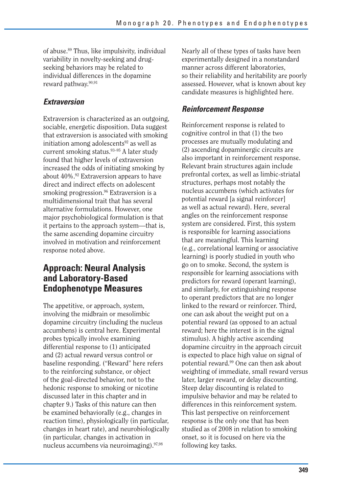of abuse.89 Thus, like impulsivity, individual variability in novelty-seeking and drugseeking behaviors may be related to individual differences in the dopamine reward pathway.<sup>90,91</sup>

#### *Extraversion*

Extraversion is characterized as an outgoing, sociable, energetic disposition. Data suggest that extraversion is associated with smoking initiation among adolescents $92$  as well as current smoking status.93–95 A later study found that higher levels of extraversion increased the odds of initiating smoking by about 40%.92 Extraversion appears to have direct and indirect effects on adolescent smoking progression.<sup>96</sup> Extraversion is a multidimensional trait that has several alternative formulations. However, one major psychobiological formulation is that it pertains to the approach system—that is, the same ascending dopamine circuitry involved in motivation and reinforcement response noted above.

# **Approach: Neural Analysis and Laboratory-Based Endophenotype Measures**

The appetitive, or approach, system, involving the midbrain or mesolimbic dopamine circuitry (including the nucleus accumbens) is central here. Experimental probes typically involve examining differential response to (1) anticipated and (2) actual reward versus control or baseline responding. ("Reward" here refers to the reinforcing substance, or object of the goal-directed behavior, not to the hedonic response to smoking or nicotine discussed later in this chapter and in chapter 9.) Tasks of this nature can then be examined behaviorally (e.g., changes in reaction time), physiologically (in particular, changes in heart rate), and neurobiologically (in particular, changes in activation in nucleus accumbens via neuroimaging).<sup>97,98</sup>

Nearly all of these types of tasks have been experimentally designed in a nonstandard manner across different laboratories, so their reliability and heritability are poorly assessed. However, what is known about key candidate measures is highlighted here.

### *Reinforcement Response*

Reinforcement response is related to cognitive control in that (1) the two processes are mutually modulating and (2) ascending dopaminergic circuits are also important in reinforcement response. Relevant brain structures again include prefrontal cortex, as well as limbic-striatal structures, perhaps most notably the nucleus accumbens (which activates for potential reward [a signal reinforcer] as well as actual reward). Here, several angles on the reinforcement response system are considered. First, this system is responsible for learning associations that are meaningful. This learning (e.g., correlational learning or associative learning) is poorly studied in youth who go on to smoke. Second, the system is responsible for learning associations with predictors for reward (operant learning), and similarly, for extinguishing response to operant predictors that are no longer linked to the reward or reinforcer. Third, one can ask about the weight put on a potential reward (as opposed to an actual reward; here the interest is in the signal stimulus). A highly active ascending dopamine circuitry in the approach circuit is expected to place high value on signal of potential reward.99 One can then ask about weighting of immediate, small reward versus later, larger reward, or delay discounting. Steep delay discounting is related to impulsive behavior and may be related to differences in this reinforcement system. This last perspective on reinforcement response is the only one that has been studied as of 2008 in relation to smoking onset, so it is focused on here via the following key tasks.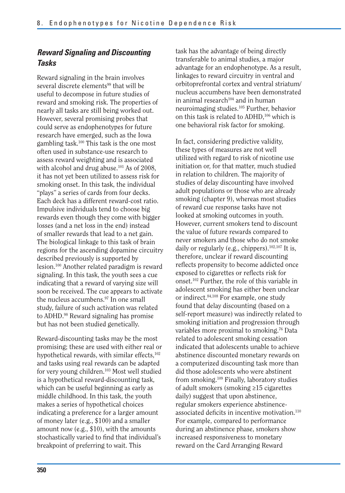## *Reward Signaling and Discounting Tasks*

Reward signaling in the brain involves several discrete elements<sup>99</sup> that will be useful to decompose in future studies of reward and smoking risk. The properties of nearly all tasks are still being worked out. However, several promising probes that could serve as endophenotypes for future research have emerged, such as the Iowa gambling task.100 This task is the one most often used in substance-use research to assess reward weighting and is associated with alcohol and drug abuse. $101$  As of 2008, it has not yet been utilized to assess risk for smoking onset. In this task, the individual "plays" a series of cards from four decks. Each deck has a different reward-cost ratio. Impulsive individuals tend to choose big rewards even though they come with bigger losses (and a net loss in the end) instead of smaller rewards that lead to a net gain. The biological linkage to this task of brain regions for the ascending dopamine circuitry described previously is supported by lesion.100 Another related paradigm is reward signaling. In this task, the youth sees a cue indicating that a reward of varying size will soon be received. The cue appears to activate the nucleus accumbens.<sup>97</sup> In one small study, failure of such activation was related to ADHD.98 Reward signaling has promise but has not been studied genetically.

Reward-discounting tasks may be the most promising; these are used with either real or hypothetical rewards, with similar effects,<sup>102</sup> and tasks using real rewards can be adapted for very young children.103 Most well studied is a hypothetical reward-discounting task, which can be useful beginning as early as middle childhood. In this task, the youth makes a series of hypothetical choices indicating a preference for a larger amount of money later (e.g., \$100) and a smaller amount now (e.g., \$10), with the amounts stochastically varied to find that individual's breakpoint of preferring to wait. This

task has the advantage of being directly transferable to animal studies, a major advantage for an endophenotype. As a result, linkages to reward circuitry in ventral and orbitoprefrontal cortex and ventral striatum/ nucleus accumbens have been demonstrated in animal research $104$  and in human neuroimaging studies.105 Further, behavior on this task is related to ADHD,<sup>106</sup> which is one behavioral risk factor for smoking.

In fact, considering predictive validity, these types of measures are not well utilized with regard to risk of nicotine use initiation or, for that matter, much studied in relation to children. The majority of studies of delay discounting have involved adult populations or those who are already smoking (chapter 9), whereas most studies of reward cue response tasks have not looked at smoking outcomes in youth. However, current smokers tend to discount the value of future rewards compared to never smokers and those who do not smoke daily or regularly (e.g., chippers).<sup>102,107</sup> It is, therefore, unclear if reward discounting reflects propensity to become addicted once exposed to cigarettes or reflects risk for onset.102 Further, the role of this variable in adolescent smoking has either been unclear or indirect.<sup>84,108</sup> For example, one study found that delay discounting (based on a self-report measure) was indirectly related to smoking initiation and progression through variables more proximal to smoking.76 Data related to adolescent smoking cessation indicated that adolescents unable to achieve abstinence discounted monetary rewards on a computerized discounting task more than did those adolescents who were abstinent from smoking.109 Finally, laboratory studies of adult smokers (smoking ≥15 cigarettes daily) suggest that upon abstinence, regular smokers experience abstinenceassociated deficits in incentive motivation.<sup>110</sup> For example, compared to performance during an abstinence phase, smokers show increased responsiveness to monetary reward on the Card Arranging Reward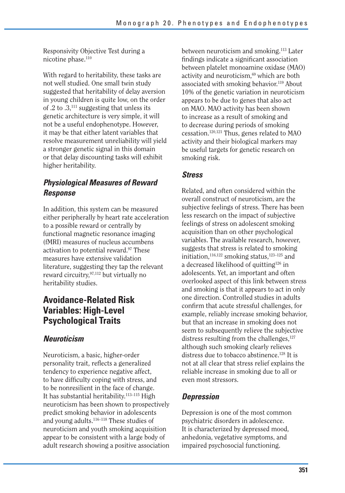Responsivity Objective Test during a nicotine phase.<sup>110</sup>

With regard to heritability, these tasks are not well studied. One small twin study suggested that heritability of delay aversion in young children is quite low, on the order of .2 to  $.3$ ,<sup>111</sup> suggesting that unless its genetic architecture is very simple, it will not be a useful endophenotype. However, it may be that either latent variables that resolve measurement unreliability will yield a stronger genetic signal in this domain or that delay discounting tasks will exhibit higher heritability.

### *Physiological Measures of Reward Response*

In addition, this system can be measured either peripherally by heart rate acceleration to a possible reward or centrally by functional magnetic resonance imaging (fMRI) measures of nucleus accumbens activation to potential reward.97 These measures have extensive validation literature, suggesting they tap the relevant reward circuitry,97,112 but virtually no heritability studies.

# **Avoidance-Related Risk Variables: High-Level Psychological Traits**

#### *Neuroticism*

Neuroticism, a basic, higher-order personality trait, reflects a generalized tendency to experience negative affect, to have difficulty coping with stress, and to be nonresilient in the face of change. It has substantial heritability.113–115 High neuroticism has been shown to prospectively predict smoking behavior in adolescents and young adults.116–118 These studies of neuroticism and youth smoking acquisition appear to be consistent with a large body of adult research showing a positive association between neuroticism and smoking.<sup>113</sup> Later findings indicate a significant association between platelet monoamine oxidase (MAO) activity and neuroticism,<sup>69</sup> which are both associated with smoking behavior.<sup>119</sup> About 10% of the genetic variation in neuroticism appears to be due to genes that also act on MAO. MAO activity has been shown to increase as a result of smoking and to decrease during periods of smoking cessation.120,121 Thus, genes related to MAO activity and their biological markers may be useful targets for genetic research on smoking risk.

#### *Stress*

Related, and often considered within the overall construct of neuroticism, are the subjective feelings of stress. There has been less research on the impact of subjective feelings of stress on adolescent smoking acquisition than on other psychological variables. The available research, however, suggests that stress is related to smoking initiation, $116,122$  smoking status, $123-125$  and a decreased likelihood of quitting126 in adolescents. Yet, an important and often overlooked aspect of this link between stress and smoking is that it appears to act in only one direction. Controlled studies in adults confirm that acute stressful challenges, for example, reliably increase smoking behavior, but that an increase in smoking does not seem to subsequently relieve the subjective distress resulting from the challenges,  $127$ although such smoking clearly relieves distress due to tobacco abstinence.128 It is not at all clear that stress relief explains the reliable increase in smoking due to all or even most stressors.

### *Depression*

Depression is one of the most common psychiatric disorders in adolescence. It is characterized by depressed mood, anhedonia, vegetative symptoms, and impaired psychosocial functioning.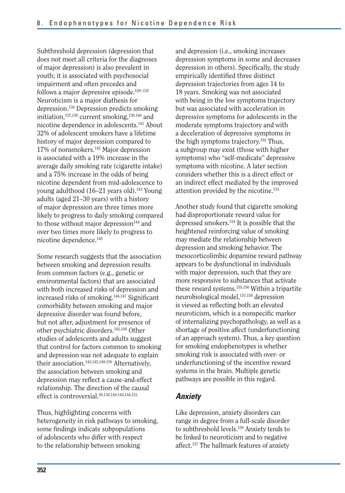Subthreshold depression (depression that does not meet all criteria for the diagnoses of major depression) is also prevalent in youth; it is associated with psychosocial impairment and often precedes and follows a major depressive episode.<sup>129-135</sup> Neuroticism is a major diathesis for depression.136 Depression predicts smoking initiation,137,138 current smoking,139,140 and nicotine dependence in adolescents.141 About 32% of adolescent smokers have a lifetime history of major depression compared to 17% of nonsmokers.142 Major depression is associated with a 19% increase in the average daily smoking rate (cigarette intake) and a 75% increase in the odds of being nicotine dependent from mid-adolescence to young adulthood  $(16-21)$  years old).<sup>143</sup> Young adults (aged 21–30 years) with a history of major depression are three times more likely to progress to daily smoking compared to those without major depression<sup>144</sup> and over two times more likely to progress to nicotine dependence.145

Some research suggests that the association between smoking and depression results from common factors (e.g., genetic or environmental factors) that are associated with both increased risks of depression and increased risks of smoking.<sup>146,147</sup> Significant comorbidity between smoking and major depressive disorder was found before, but not after, adjustment for presence of other psychiatric disorders.142,148 Other studies of adolescents and adults suggest that control for factors common to smoking and depression was not adequate to explain their association.143,145,149,150 Alternatively, the association between smoking and depression may reflect a cause-and-effect relationship. The direction of the causal effect is controversial.58,138,140,142,144,151

Thus, highlighting concerns with heterogeneity in risk pathways to smoking, some findings indicate subpopulations of adolescents who differ with respect to the relationship between smoking

and depression (i.e., smoking increases depression symptoms in some and decreases depression in others). Specifically, the study empirically identified three distinct depression trajectories from ages 14 to 18 years. Smoking was not associated with being in the low symptoms trajectory but was associated with acceleration in depressive symptoms for adolescents in the moderate symptoms trajectory and with a deceleration of depressive symptoms in the high symptoms trajectory.152 Thus, a subgroup may exist (those with higher symptoms) who "self-medicate" depressive symptoms with nicotine. A later section considers whether this is a direct effect or an indirect effect mediated by the improved attention provided by the nicotine.<sup>153</sup>

Another study found that cigarette smoking had disproportionate reward value for depressed smokers.154 It is possible that the heightened reinforcing value of smoking may mediate the relationship between depression and smoking behavior. The mesocorticolimbic dopamine reward pathway appears to be dysfunctional in individuals with major depression, such that they are more responsive to substances that activate these reward systems.155,156 Within a tripartite neurobiological model,<sup>157,158</sup> depression is viewed as reflecting both an elevated neuroticism, which is a nonspecific marker of internalizing psychopathology, as well as a shortage of positive affect (underfunctioning of an approach system). Thus, a key question for smoking endophenotypes is whether smoking risk is associated with over- or underfunctioning of the incentive reward systems in the brain. Multiple genetic pathways are possible in this regard.

#### *Anxiety*

Like depression, anxiety disorders can range in degree from a full-scale disorder to subthreshold levels.159 Anxiety tends to be linked to neuroticism and to negative affect.157 The hallmark features of anxiety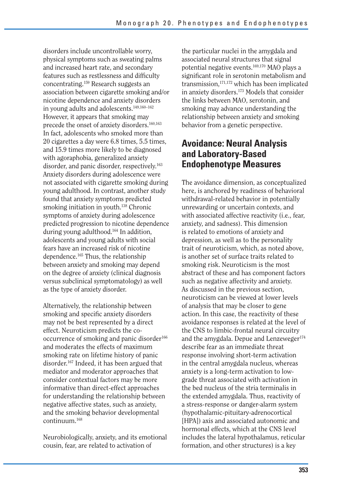disorders include uncontrollable worry, physical symptoms such as sweating palms and increased heart rate, and secondary features such as restlessness and difficulty concentrating.159 Research suggests an association between cigarette smoking and/or nicotine dependence and anxiety disorders in young adults and adolescents.<sup>149,160-162</sup> However, it appears that smoking may precede the onset of anxiety disorders.<sup>160,163</sup> In fact, adolescents who smoked more than 20 cigarettes a day were 6.8 times, 5.5 times, and 15.9 times more likely to be diagnosed with agoraphobia, generalized anxiety disorder, and panic disorder, respectively.<sup>163</sup> Anxiety disorders during adolescence were not associated with cigarette smoking during young adulthood. In contrast, another study found that anxiety symptoms predicted smoking initiation in youth.<sup>138</sup> Chronic symptoms of anxiety during adolescence predicted progression to nicotine dependence during young adulthood.164 In addition, adolescents and young adults with social fears have an increased risk of nicotine dependence.165 Thus, the relationship between anxiety and smoking may depend on the degree of anxiety (clinical diagnosis versus subclinical symptomatology) as well as the type of anxiety disorder.

Alternatively, the relationship between smoking and specific anxiety disorders may not be best represented by a direct effect. Neuroticism predicts the cooccurrence of smoking and panic disorder<sup>166</sup> and moderates the effects of maximum smoking rate on lifetime history of panic disorder.167 Indeed, it has been argued that mediator and moderator approaches that consider contextual factors may be more informative than direct-effect approaches for understanding the relationship between negative affective states, such as anxiety, and the smoking behavior developmental continuum.168

Neurobiologically, anxiety, and its emotional cousin, fear, are related to activation of

the particular nuclei in the amygdala and associated neural structures that signal potential negative events.169,170 MAO plays a significant role in serotonin metabolism and transmission,171,172 which has been implicated in anxiety disorders.173 Models that consider the links between MAO, serotonin, and smoking may advance understanding the relationship between anxiety and smoking behavior from a genetic perspective.

# **Avoidance: Neural Analysis and Laboratory-Based Endophenotype Measures**

The avoidance dimension, as conceptualized here, is anchored by readiness of behavioral withdrawal-related behavior in potentially unrewarding or uncertain contexts, and with associated affective reactivity (i.e., fear, anxiety, and sadness). This dimension is related to emotions of anxiety and depression, as well as to the personality trait of neuroticism, which, as noted above, is another set of surface traits related to smoking risk. Neuroticism is the most abstract of these and has component factors such as negative affectivity and anxiety. As discussed in the previous section, neuroticism can be viewed at lower levels of analysis that may be closer to gene action. In this case, the reactivity of these avoidance responses is related at the level of the CNS to limbic-frontal neural circuitry and the amygdala. Depue and Lenzeweger<sup>174</sup> describe fear as an immediate threat response involving short-term activation in the central amygdala nucleus, whereas anxiety is a long-term activation to lowgrade threat associated with activation in the bed nucleus of the stria terminalis in the extended amygdala. Thus, reactivity of a stress-response or danger-alarm system (hypothalamic-pituitary-adrenocortical [HPA]) axis and associated autonomic and hormonal effects, which at the CNS level includes the lateral hypothalamus, reticular formation, and other structures) is a key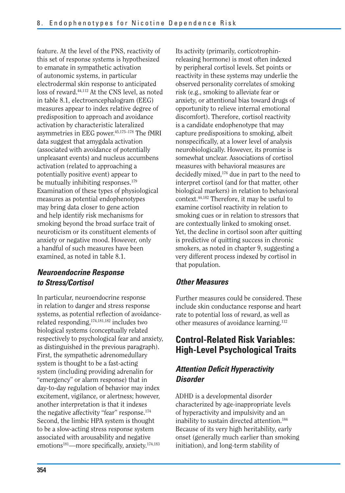feature. At the level of the PNS, reactivity of this set of response systems is hypothesized to emanate in sympathetic activation of autonomic systems, in particular electrodermal skin response to anticipated loss of reward.<sup>44,112</sup> At the CNS level, as noted in table 8.1, electroencephalogram (EEG) measures appear to index relative degree of predisposition to approach and avoidance activation by characteristic lateralized asymmetries in EEG power.<sup>45,175-178</sup> The fMRI data suggest that amygdala activation (associated with avoidance of potentially unpleasant events) and nucleus accumbens activation (related to approaching a potentially positive event) appear to be mutually inhibiting responses.<sup>179</sup> Examination of these types of physiological measures as potential endophenotypes may bring data closer to gene action and help identify risk mechanisms for smoking beyond the broad surface trait of neuroticism or its constituent elements of anxiety or negative mood. However, only a handful of such measures have been examined, as noted in table 8.1.

### *Neuroendocrine Response to Stress/Cortisol*

In particular, neuroendocrine response in relation to danger and stress response systems, as potential reflection of avoidancerelated responding,174,181,182 includes two biological systems (conceptually related respectively to psychological fear and anxiety, as distinguished in the previous paragraph). First, the sympathetic adrenomedullary system is thought to be a fast-acting system (including providing adrenalin for "emergency" or alarm response) that in day-to-day regulation of behavior may index excitement, vigilance, or alertness; however, another interpretation is that it indexes the negative affectivity "fear" response.<sup>174</sup> Second, the limbic HPA system is thought to be a slow-acting stress response system associated with arousability and negative emotions<sup>181</sup>—more specifically, anxiety.<sup>174,183</sup>

Its activity (primarily, corticotrophinreleasing hormone) is most often indexed by peripheral cortisol levels. Set points or reactivity in these systems may underlie the observed personality correlates of smoking risk (e.g., smoking to alleviate fear or anxiety, or attentional bias toward drugs of opportunity to relieve internal emotional discomfort). Therefore, cortisol reactivity is a candidate endophenotype that may capture predispositions to smoking, albeit nonspecifically, at a lower level of analysis neurobiologically. However, its promise is somewhat unclear. Associations of cortisol measures with behavioral measures are decidedly mixed,176 due in part to the need to interpret cortisol (and for that matter, other biological markers) in relation to behavioral context.44,182 Therefore, it may be useful to examine cortisol reactivity in relation to smoking cues or in relation to stressors that are contextually linked to smoking onset. Yet, the decline in cortisol soon after quitting is predictive of quitting success in chronic smokers, as noted in chapter 9, suggesting a very different process indexed by cortisol in that population.

#### *Other Measures*

Further measures could be considered. These include skin conductance response and heart rate to potential loss of reward, as well as other measures of avoidance learning.112

# **Control-Related Risk Variables: High-Level Psychological Traits**

#### *Attention Deficit Hyperactivity Disorder*

ADHD is a developmental disorder characterized by age-inappropriate levels of hyperactivity and impulsivity and an inability to sustain directed attention.<sup>184</sup> Because of its very high heritability, early onset (generally much earlier than smoking initiation), and long-term stability of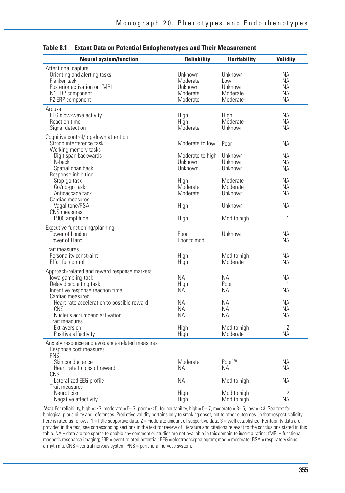| <b>Neural system/function</b>                                                                                                                           | <b>Reliability</b>                                        | <b>Heritability</b>                               | <b>Validity</b>             |
|---------------------------------------------------------------------------------------------------------------------------------------------------------|-----------------------------------------------------------|---------------------------------------------------|-----------------------------|
| Attentional capture<br>Orienting and alerting tasks<br>Flanker task<br>Posterior activation on fMRI<br>N1 ERP component<br>P <sub>2</sub> ERP component | Unknown<br>Moderate<br>Unknown<br>Moderate<br>Moderate    | Unknown<br>Low<br>Unknown<br>Moderate<br>Moderate | ΝA<br>ΝA<br>ΝA<br>ΝA<br>NА  |
| Arousal<br>EEG slow-wave activity<br>Reaction time<br>Signal detection                                                                                  | High<br>High<br>Moderate                                  | High<br>Moderate<br>Unknown                       | ΝA<br>ΝA<br><b>NA</b>       |
| Cognitive control/top-down attention<br>Stroop interference task<br>Working memory tasks<br>Digit span backwards<br>N-back<br>Spatial span back         | Moderate to low<br>Moderate to high<br>Unknown<br>Unknown | Poor<br>Unknown<br>Unknown<br>Unknown             | ΝA<br>NΑ<br>NА<br>NА        |
| Response inhibition<br>Stop-go task<br>Go/no-go task<br>Antisaccade task<br>Cardiac measures                                                            | High<br>Moderate<br>Moderate                              | Moderate<br>Moderate<br>Unknown                   | ΝA<br>NA.<br>NΑ             |
| Vagal tone/RSA<br><b>CNS</b> measures<br>P300 amplitude                                                                                                 | High<br>High                                              | Unknown<br>Mod to high                            | NА<br>1                     |
| Executive functioning/planning<br>Tower of London<br>Tower of Hanoi                                                                                     | Poor<br>Poor to mod                                       | Unknown                                           | ΝA<br>ΝA                    |
| Trait measures<br>Personality constraint<br>Effortful control                                                                                           | High<br>High                                              | Mod to high<br>Moderate                           | <b>NA</b><br>ΝA             |
| Approach-related and reward response markers<br>lowa gambling task<br>Delay discounting task<br>Incentive response reaction time                        | NА<br>High<br>ΝA                                          | NА<br>Poor<br>NА                                  | ΝA<br>1<br>ΝA               |
| Cardiac measures<br>Heart rate acceleration to possible reward<br>CNS<br>Nucleus accumbens activation<br>Trait measures                                 | <b>NA</b><br>NA.<br><b>NA</b>                             | <b>NA</b><br>NA.<br><b>NA</b>                     | NΑ<br>ΝA<br>NА              |
| Extraversion<br>Positive affectivity                                                                                                                    | High<br>High                                              | Mod to high<br>Moderate                           | $\overline{2}$<br><b>NA</b> |
| Anxiety response and avoidance-related measures<br>Response cost measures<br><b>PNS</b>                                                                 |                                                           |                                                   |                             |
| Skin conductance<br>Heart rate to loss of reward<br>CNS                                                                                                 | Moderate<br>ΝA                                            | P <sub>00r</sub> <sup>180</sup><br><b>NA</b>      | ΝA<br>NА                    |
| Lateralized EEG profile<br>Trait measures                                                                                                               | <b>NA</b>                                                 | Mod to high                                       | ΝA                          |
| <b>Neuroticism</b><br>Negative affectivity                                                                                                              | High<br>High                                              | Mod to high<br>Mod to high                        | 2<br><b>NA</b>              |

#### **Table 8.1 Extant Data on Potential Endophenotypes and Their Measurement**

Note. For reliability, high = ≥.7, moderate =.5–.7, poor = ≤.5; for heritability, high =.5–.7, moderate =.3–.5, low = ≤.3. See text for biological plausibility and references. Predictive validity pertains only to smoking onset, not to other outcomes. In that respect, validity here is rated as follows: 1 = little supportive data; 2 = moderate amount of supportive data; 3 = well established. Heritability data are provided in the text; see corresponding sections in the text for review of literature and citations relevant to the conclusions stated in this table. NA = data are too sparse to enable any comment or studies are not available in this domain to insert a rating; fMRI = functional magnetic resonance imaging; ERP = event-related potential; EEG = electroencephalogram; mod = moderate; RSA = respiratory sinus arrhythmia; CNS = central nervous system; PNS = peripheral nervous system.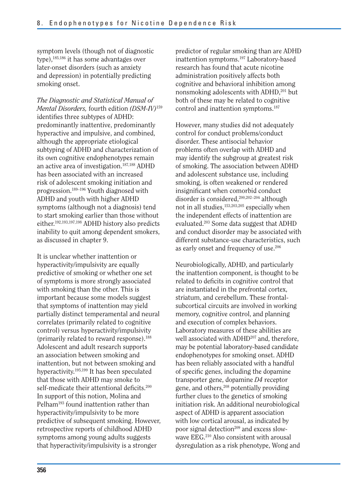symptom levels (though not of diagnostic type),185,186 it has some advantages over later-onset disorders (such as anxiety and depression) in potentially predicting smoking onset.

*The Diagnostic and Statistical Manual of Mental Disorders,* fourth edition *(DSM-IV)*<sup>159</sup> identifies three subtypes of ADHD: predominantly inattentive, predominantly hyperactive and impulsive, and combined, although the appropriate etiological subtyping of ADHD and characterization of its own cognitive endophenotypes remain an active area of investigation.187,188 ADHD has been associated with an increased risk of adolescent smoking initiation and progression.189–196 Youth diagnosed with ADHD and youth with higher ADHD symptoms (although not a diagnosis) tend to start smoking earlier than those without either.192,193,197,198 ADHD history also predicts inability to quit among dependent smokers, as discussed in chapter 9.

It is unclear whether inattention or hyperactivity/impulsivity are equally predictive of smoking or whether one set of symptoms is more strongly associated with smoking than the other. This is important because some models suggest that symptoms of inattention may yield partially distinct temperamental and neural correlates (primarily related to cognitive control) versus hyperactivity/impulsivity (primarily related to reward response).188 Adolescent and adult research supports an association between smoking and inattention, but not between smoking and hyperactivity.195,199 It has been speculated that those with ADHD may smoke to self-medicate their attentional deficits. $200$ In support of this notion, Molina and Pelham<sup>193</sup> found inattention rather than hyperactivity/impulsivity to be more predictive of subsequent smoking. However, retrospective reports of childhood ADHD symptoms among young adults suggests that hyperactivity/impulsivity is a stronger

predictor of regular smoking than are ADHD inattention symptoms.197 Laboratory-based research has found that acute nicotine administration positively affects both cognitive and behavioral inhibition among nonsmoking adolescents with ADHD,<sup>201</sup> but both of these may be related to cognitive control and inattention symptoms.<sup>187</sup>

However, many studies did not adequately control for conduct problems/conduct disorder. These antisocial behavior problems often overlap with ADHD and may identify the subgroup at greatest risk of smoking. The association between ADHD and adolescent substance use, including smoking, is often weakened or rendered insignificant when comorbid conduct disorder is considered,<sup>200,202-204</sup> although not in all studies,153,203,205 especially when the independent effects of inattention are evaluated.203 Some data suggest that ADHD and conduct disorder may be associated with different substance-use characteristics, such as early onset and frequency of use.206

Neurobiologically, ADHD, and particularly the inattention component, is thought to be related to deficits in cognitive control that are instantiated in the prefrontal cortex, striatum, and cerebellum. These frontalsubcortical circuits are involved in working memory, cognitive control, and planning and execution of complex behaviors. Laboratory measures of these abilities are well associated with ADHD<sup>207</sup> and, therefore, may be potential laboratory-based candidate endophenotypes for smoking onset. ADHD has been reliably associated with a handful of specific genes, including the dopamine transporter gene, dopamine *D4* receptor gene, and others,<sup>208</sup> potentially providing further clues to the genetics of smoking initiation risk. An additional neurobiological aspect of ADHD is apparent association with low cortical arousal, as indicated by poor signal detection<sup>209</sup> and excess slowwave EEG.210 Also consistent with arousal dysregulation as a risk phenotype, Wong and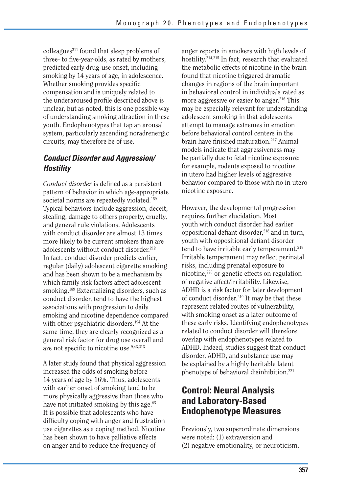$\text{colle}$ agues<sup>211</sup> found that sleep problems of three- to five-year-olds, as rated by mothers, predicted early drug-use onset, including smoking by 14 years of age, in adolescence. Whether smoking provides specific compensation and is uniquely related to the underaroused profile described above is unclear, but as noted, this is one possible way of understanding smoking attraction in these youth. Endophenotypes that tap an arousal system, particularly ascending noradrenergic circuits, may therefore be of use.

## *Conduct Disorder and Aggression/ Hostility*

*Conduct disorder* is defined as a persistent pattern of behavior in which age-appropriate societal norms are repeatedly violated.<sup>159</sup> Typical behaviors include aggression, deceit, stealing, damage to others property, cruelty, and general rule violations. Adolescents with conduct disorder are almost 13 times more likely to be current smokers than are adolescents without conduct disorder.<sup>212</sup> In fact, conduct disorder predicts earlier, regular (daily) adolescent cigarette smoking and has been shown to be a mechanism by which family risk factors affect adolescent smoking.189 Externalizing disorders, such as conduct disorder, tend to have the highest associations with progression to daily smoking and nicotine dependence compared with other psychiatric disorders.<sup>194</sup> At the same time, they are clearly recognized as a general risk factor for drug use overall and are not specific to nicotine use.<sup>9,43,213</sup>

A later study found that physical aggression increased the odds of smoking before 14 years of age by 16%. Thus, adolescents with earlier onset of smoking tend to be more physically aggressive than those who have not initiated smoking by this age.<sup>85</sup> It is possible that adolescents who have difficulty coping with anger and frustration use cigarettes as a coping method. Nicotine has been shown to have palliative effects on anger and to reduce the frequency of

anger reports in smokers with high levels of hostility.214,215 In fact, research that evaluated the metabolic effects of nicotine in the brain found that nicotine triggered dramatic changes in regions of the brain important in behavioral control in individuals rated as more aggressive or easier to anger.<sup>216</sup> This may be especially relevant for understanding adolescent smoking in that adolescents attempt to manage extremes in emotion before behavioral control centers in the brain have finished maturation.<sup>217</sup> Animal models indicate that aggressiveness may be partially due to fetal nicotine exposure; for example, rodents exposed to nicotine in utero had higher levels of aggressive behavior compared to those with no in utero nicotine exposure.

However, the developmental progression requires further elucidation. Most youth with conduct disorder had earlier oppositional defiant disorder, $218$  and in turn, youth with oppositional defiant disorder tend to have irritable early temperament.<sup>219</sup> Irritable temperament may reflect perinatal risks, including prenatal exposure to nicotine,220 or genetic effects on regulation of negative affect/irritability. Likewise, ADHD is a risk factor for later development of conduct disorder.219 It may be that these represent related routes of vulnerability, with smoking onset as a later outcome of these early risks. Identifying endophenotypes related to conduct disorder will therefore overlap with endophenotypes related to ADHD. Indeed, studies suggest that conduct disorder, ADHD, and substance use may be explained by a highly heritable latent phenotype of behavioral disinhibition.<sup>221</sup>

# **Control: Neural Analysis and Laboratory-Based Endophenotype Measures**

Previously, two superordinate dimensions were noted: (1) extraversion and (2) negative emotionality, or neuroticism.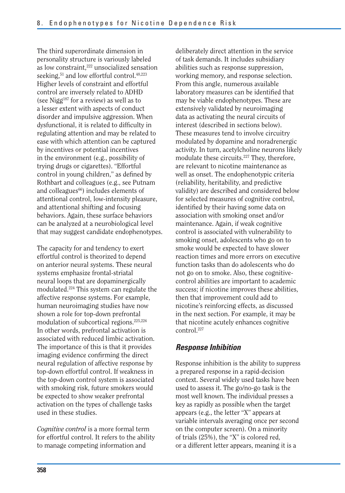The third superordinate dimension in personality structure is variously labeled as low constraint,<sup>222</sup> unsocialized sensation seeking,<sup>51</sup> and low effortful control.<sup>48,223</sup> Higher levels of constraint and effortful control are inversely related to ADHD (see Nigg<sup>187</sup> for a review) as well as to a lesser extent with aspects of conduct disorder and impulsive aggression. When dysfunctional, it is related to difficulty in regulating attention and may be related to ease with which attention can be captured by incentives or potential incentives in the environment (e.g., possibility of trying drugs or cigarettes). "Effortful control in young children," as defined by Rothbart and colleagues (e.g., see Putnam and colleagues<sup>66</sup>) includes elements of attentional control, low-intensity pleasure, and attentional shifting and focusing behaviors. Again, these surface behaviors can be analyzed at a neurobiological level that may suggest candidate endophenotypes.

The capacity for and tendency to exert effortful control is theorized to depend on anterior neural systems. These neural systems emphasize frontal-striatal neural loops that are dopaminergically modulated.224 This system can regulate the affective response systems. For example, human neuroimaging studies have now shown a role for top-down prefrontal modulation of subcortical regions.225,226 In other words, prefrontal activation is associated with reduced limbic activation. The importance of this is that it provides imaging evidence confirming the direct neural regulation of affective response by top-down effortful control. If weakness in the top-down control system is associated with smoking risk, future smokers would be expected to show weaker prefrontal activation on the types of challenge tasks used in these studies.

*Cognitive control* is a more formal term for effortful control. It refers to the ability to manage competing information and

deliberately direct attention in the service of task demands. It includes subsidiary abilities such as response suppression, working memory, and response selection. From this angle, numerous available laboratory measures can be identified that may be viable endophenotypes. These are extensively validated by neuroimaging data as activating the neural circuits of interest (described in sections below). These measures tend to involve circuitry modulated by dopamine and noradrenergic activity. In turn, acetylcholine neurons likely modulate these circuits.227 They, therefore, are relevant to nicotine maintenance as well as onset. The endophenotypic criteria (reliability, heritability, and predictive validity) are described and considered below for selected measures of cognitive control, identified by their having some data on association with smoking onset and/or maintenance. Again, if weak cognitive control is associated with vulnerability to smoking onset, adolescents who go on to smoke would be expected to have slower reaction times and more errors on executive function tasks than do adolescents who do not go on to smoke. Also, these cognitivecontrol abilities are important to academic success; if nicotine improves these abilities, then that improvement could add to nicotine's reinforcing effects, as discussed in the next section. For example, it may be that nicotine acutely enhances cognitive control.227

#### *Response Inhibition*

Response inhibition is the ability to suppress a prepared response in a rapid-decision context. Several widely used tasks have been used to assess it. The go/no-go task is the most well known. The individual presses a key as rapidly as possible when the target appears (e.g., the letter "X" appears at variable intervals averaging once per second on the computer screen). On a minority of trials (25%), the "X" is colored red, or a different letter appears, meaning it is a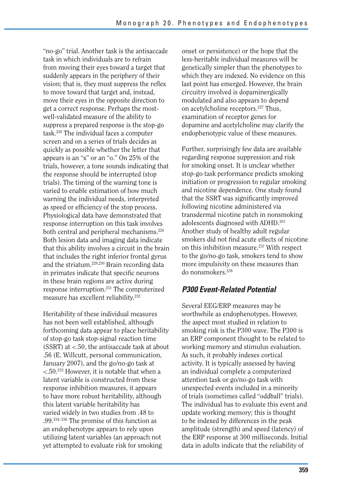"no-go" trial. Another task is the antisaccade task in which individuals are to refrain from moving their eyes toward a target that suddenly appears in the periphery of their vision; that is, they must suppress the reflex to move toward that target and, instead, move their eyes in the opposite direction to get a correct response. Perhaps the mostwell-validated measure of the ability to suppress a prepared response is the stop-go task.228 The individual faces a computer screen and on a series of trials decides as quickly as possible whether the letter that appears is an "x" or an "o." On 25% of the trials, however, a tone sounds indicating that the response should be interrupted (stop trials). The timing of the warning tone is varied to enable estimation of how much warning the individual needs, interpreted as speed or efficiency of the stop process. Physiological data have demonstrated that response interruption on this task involves both central and peripheral mechanisms.<sup>228</sup> Both lesion data and imaging data indicate that this ability involves a circuit in the brain that includes the right inferior frontal gyrus and the striatum.229,230 Brain recording data in primates indicate that specific neurons in these brain regions are active during response interruption.231 The computerized measure has excellent reliability.<sup>232</sup>

Heritability of these individual measures has not been well established, although forthcoming data appear to place heritability of stop-go task stop-signal reaction time (SSRT) at <.50, the antisaccade task at about .56 (E. Willcutt, personal communication, January 2007), and the go/no-go task at <.50.233 However, it is notable that when a latent variable is constructed from these response inhibition measures, it appears to have more robust heritability, although this latent variable heritability has varied widely in two studies from .48 to .99.234–236 The promise of this function as an endophenotype appears to rely upon utilizing latent variables (an approach not yet attempted to evaluate risk for smoking

onset or persistence) or the hope that the less-heritable individual measures will be genetically simpler than the phenotypes to which they are indexed. No evidence on this last point has emerged. However, the brain circuitry involved is dopaminergically modulated and also appears to depend on acetylcholine receptors.<sup>227</sup> Thus, examination of receptor genes for dopamine and acetylcholine may clarify the endophenotypic value of these measures.

Further, surprisingly few data are available regarding response suppression and risk for smoking onset. It is unclear whether stop-go task performance predicts smoking initiation or progression to regular smoking and nicotine dependence. One study found that the SSRT was significantly improved following nicotine administered via transdermal nicotine patch in nonsmoking adolescents diagnosed with ADHD.<sup>201</sup> Another study of healthy adult regular smokers did not find acute effects of nicotine on this inhibition measure.<sup>237</sup> With respect to the go/no-go task, smokers tend to show more impulsivity on these measures than do nonsmokers.<sup>238</sup>

### *P300 Event-Related Potential*

Several EEG/ERP measures may be worthwhile as endophenotypes. However, the aspect most studied in relation to smoking risk is the P300 wave. The P300 is an ERP component thought to be related to working memory and stimulus evaluation. As such, it probably indexes cortical activity. It is typically assessed by having an individual complete a computerized attention task or go/no-go task with unexpected events included in a minority of trials (sometimes called "oddball" trials). The individual has to evaluate this event and update working memory; this is thought to be indexed by differences in the peak amplitude (strength) and speed (latency) of the ERP response at 300 milliseconds. Initial data in adults indicate that the reliability of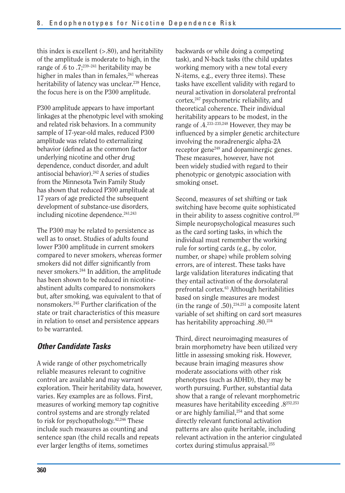this index is excellent  $(> 0.80)$ , and heritability of the amplitude is moderate to high, in the range of .6 to .7;<sup>239–241</sup> heritability may be higher in males than in females,<sup>241</sup> whereas heritability of latency was unclear.<sup>239</sup> Hence, the focus here is on the P300 amplitude.

P300 amplitude appears to have important linkages at the phenotypic level with smoking and related risk behaviors. In a community sample of 17-year-old males, reduced P300 amplitude was related to externalizing behavior (defined as the common factor underlying nicotine and other drug dependence, conduct disorder, and adult antisocial behavior).<sup>242</sup> A series of studies from the Minnesota Twin Family Study has shown that reduced P300 amplitude at 17 years of age predicted the subsequent development of substance-use disorders, including nicotine dependence.<sup>241,243</sup>

The P300 may be related to persistence as well as to onset. Studies of adults found lower P300 amplitude in current smokers compared to never smokers, whereas former smokers did not differ significantly from never smokers.244 In addition, the amplitude has been shown to be reduced in nicotineabstinent adults compared to nonsmokers but, after smoking, was equivalent to that of nonsmokers.245 Further clarification of the state or trait characteristics of this measure in relation to onset and persistence appears to be warranted.

#### *Other Candidate Tasks*

A wide range of other psychometrically reliable measures relevant to cognitive control are available and may warrant exploration. Their heritability data, however, varies. Key examples are as follows. First, measures of working memory tap cognitive control systems and are strongly related to risk for psychopathology.42,246 These include such measures as counting and sentence span (the child recalls and repeats ever larger lengths of items, sometimes

backwards or while doing a competing task), and N-back tasks (the child updates working memory with a new total every N-items, e.g., every three items). These tasks have excellent validity with regard to neural activation in dorsolateral prefrontal cortex,247 psychometric reliability, and theoretical coherence. Their individual heritability appears to be modest, in the range of .4.233–235,248 However, they may be influenced by a simpler genetic architecture involving the noradrenergic alpha-2A receptor gene249 and dopaminergic genes. These measures, however, have not been widely studied with regard to their phenotypic or genotypic association with smoking onset.

Second, measures of set shifting or task switching have become quite sophisticated in their ability to assess cognitive control.250 Simple neuropsychological measures such as the card sorting tasks, in which the individual must remember the working rule for sorting cards (e.g., by color, number, or shape) while problem solving errors, are of interest. These tasks have large validation literatures indicating that they entail activation of the dorsolateral prefrontal cortex.63 Although heritabilities based on single measures are modest (in the range of .50), $234,251$  a composite latent variable of set shifting on card sort measures has heritability approaching .80.234

Third, direct neuroimaging measures of brain morphometry have been utilized very little in assessing smoking risk. However, because brain imaging measures show moderate associations with other risk phenotypes (such as ADHD), they may be worth pursuing. Further, substantial data show that a range of relevant morphometric measures have heritability exceeding .8252,253 or are highly familial,<sup>254</sup> and that some directly relevant functional activation patterns are also quite heritable, including relevant activation in the anterior cingulated cortex during stimulus appraisal.255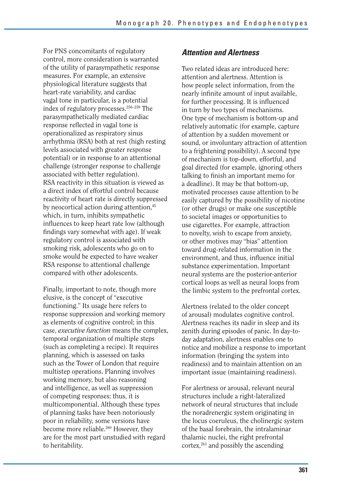For PNS concomitants of regulatory control, more consideration is warranted of the utility of parasympathetic response measures. For example, an extensive physiological literature suggests that heart-rate variability, and cardiac vagal tone in particular, is a potential index of regulatory processes.256–259 The parasympathetically mediated cardiac response reflected in vagal tone is operationalized as respiratory sinus arrhythmia (RSA) both at rest (high resting levels associated with greater response potential) or in response to an attentional challenge (stronger response to challenge associated with better regulation). RSA reactivity in this situation is viewed as a direct index of effortful control because reactivity of heart rate is directly suppressed by neocortical action during attention,<sup>45</sup> which, in turn, inhibits sympathetic influences to keep heart rate low (although findings vary somewhat with age). If weak regulatory control is associated with smoking risk, adolescents who go on to smoke would be expected to have weaker RSA response to attentional challenge compared with other adolescents.

Finally, important to note, though more elusive, is the concept of "executive functioning." Its usage here refers to response suppression and working memory as elements of cognitive control; in this case, *executive function* means the complex, temporal organization of multiple steps (such as completing a recipe). It requires planning, which is assessed on tasks such as the Tower of London that require multistep operations. Planning involves working memory, but also reasoning and intelligence, as well as suppression of competing responses; thus, it is multicomponential. Although these types of planning tasks have been notoriously poor in reliability, some versions have become more reliable.<sup>260</sup> However, they are for the most part unstudied with regard to heritability.

#### *Attention and Alertness*

Two related ideas are introduced here: attention and alertness. Attention is how people select information, from the nearly infinite amount of input available, for further processing. It is influenced in turn by two types of mechanisms. One type of mechanism is bottom-up and relatively automatic (for example, capture of attention by a sudden movement or sound, or involuntary attraction of attention to a frightening possibility). A second type of mechanism is top-down, effortful, and goal directed (for example, ignoring others talking to finish an important memo for a deadline). It may be that bottom-up, motivated processes cause attention to be easily captured by the possibility of nicotine (or other drugs) or make one susceptible to societal images or opportunities to use cigarettes. For example, attraction to novelty, wish to escape from anxiety, or other motives may "bias" attention toward drug-related information in the environment, and thus, influence initial substance experimentation. Important neural systems are the posterior-anterior cortical loops as well as neural loops from the limbic system to the prefrontal cortex.

Alertness (related to the older concept of arousal) modulates cognitive control. Alertness reaches its nadir in sleep and its zenith during episodes of panic. In day-today adaptation, alertness enables one to notice and mobilize a response to important information (bringing the system into readiness) and to maintain attention on an important issue (maintaining readiness).

For alertness or arousal, relevant neural structures include a right-lateralized network of neural structures that include the noradrenergic system originating in the locus coeruleus, the cholinergic system of the basal forebrain, the intralaminar thalamic nuclei, the right prefrontal  $\text{cortex},^{261}$  and possibly the ascending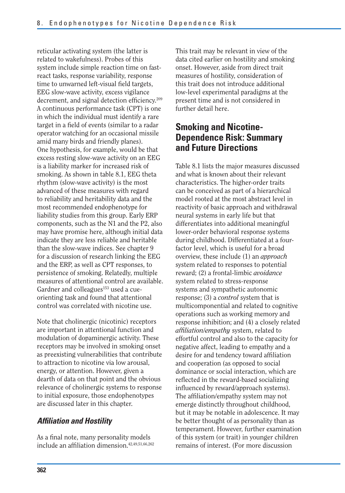reticular activating system (the latter is related to wakefulness). Probes of this system include simple reaction time on fastreact tasks, response variability, response time to unwarned left-visual field targets, EEG slow-wave activity, excess vigilance decrement, and signal detection efficiency.<sup>209</sup> A continuous performance task (CPT) is one in which the individual must identify a rare target in a field of events (similar to a radar operator watching for an occasional missile amid many birds and friendly planes). One hypothesis, for example, would be that excess resting slow-wave activity on an EEG is a liability marker for increased risk of smoking. As shown in table 8.1, EEG theta rhythm (slow-wave activity) is the most advanced of these measures with regard to reliability and heritability data and the most recommended endophenotype for liability studies from this group. Early ERP components, such as the N1 and the P2, also may have promise here, although initial data indicate they are less reliable and heritable than the slow-wave indices. See chapter 9 for a discussion of research linking the EEG and the ERP, as well as CPT responses, to persistence of smoking. Relatedly, multiple measures of attentional control are available. Gardner and colleagues<sup>153</sup> used a cueorienting task and found that attentional control was correlated with nicotine use.

Note that cholinergic (nicotinic) receptors are important in attentional function and modulation of dopaminergic activity. These receptors may be involved in smoking onset as preexisting vulnerabilities that contribute to attraction to nicotine via low arousal, energy, or attention. However, given a dearth of data on that point and the obvious relevance of cholinergic systems to response to initial exposure, those endophenotypes are discussed later in this chapter.

#### *Affiliation and Hostility*

As a final note, many personality models include an affiliation dimension.<sup>42,49,51,66,262</sup> This trait may be relevant in view of the data cited earlier on hostility and smoking onset. However, aside from direct trait measures of hostility, consideration of this trait does not introduce additional low-level experimental paradigms at the present time and is not considered in further detail here.

# **Smoking and Nicotine-Dependence Risk: Summary and Future Directions**

Table 8.1 lists the major measures discussed and what is known about their relevant characteristics. The higher-order traits can be conceived as part of a hierarchical model rooted at the most abstract level in reactivity of basic approach and withdrawal neural systems in early life but that differentiates into additional meaningful lower-order behavioral response systems during childhood. Differentiated at a fourfactor level, which is useful for a broad overview, these include (1) an *approach*  system related to responses to potential reward; (2) a frontal-limbic *avoidance*  system related to stress-response systems and sympathetic autonomic response; (3) a *control* system that is multicomponential and related to cognitive operations such as working memory and response inhibition; and (4) a closely related *affiliation/empathy* system, related to effortful control and also to the capacity for negative affect, leading to empathy and a desire for and tendency toward affiliation and cooperation (as opposed to social dominance or social interaction, which are reflected in the reward-based socializing influenced by reward/approach systems). The affiliation/empathy system may not emerge distinctly throughout childhood, but it may be notable in adolescence. It may be better thought of as personality than as temperament. However, further examination of this system (or trait) in younger children remains of interest. (For more discussion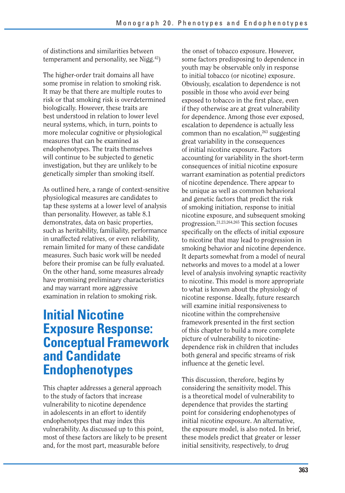of distinctions and similarities between temperament and personality, see Nigg.42)

The higher-order trait domains all have some promise in relation to smoking risk. It may be that there are multiple routes to risk or that smoking risk is overdetermined biologically. However, these traits are best understood in relation to lower level neural systems, which, in turn, points to more molecular cognitive or physiological measures that can be examined as endophenotypes. The traits themselves will continue to be subjected to genetic investigation, but they are unlikely to be genetically simpler than smoking itself.

As outlined here, a range of context-sensitive physiological measures are candidates to tap these systems at a lower level of analysis than personality. However, as table 8.1 demonstrates, data on basic properties, such as heritability, familiality, performance in unaffected relatives, or even reliability, remain limited for many of these candidate measures. Such basic work will be needed before their promise can be fully evaluated. On the other hand, some measures already have promising preliminary characteristics and may warrant more aggressive examination in relation to smoking risk.

# **Initial Nicotine Exposure Response: Conceptual Framework and Candidate Endophenotypes**

This chapter addresses a general approach to the study of factors that increase vulnerability to nicotine dependence in adolescents in an effort to identify endophenotypes that may index this vulnerability. As discussed up to this point, most of these factors are likely to be present and, for the most part, measurable before

the onset of tobacco exposure. However, some factors predisposing to dependence in youth may be observable only in response to initial tobacco (or nicotine) exposure. Obviously, escalation to dependence is not possible in those who avoid ever being exposed to tobacco in the first place, even if they otherwise are at great vulnerability for dependence. Among those ever exposed, escalation to dependence is actually less common than no escalation, $263$  suggesting great variability in the consequences of initial nicotine exposure. Factors accounting for variability in the short-term consequences of initial nicotine exposure warrant examination as potential predictors of nicotine dependence. There appear to be unique as well as common behavioral and genetic factors that predict the risk of smoking initiation, response to initial nicotine exposure, and subsequent smoking progression.21,23,264,265 This section focuses specifically on the effects of initial exposure to nicotine that may lead to progression in smoking behavior and nicotine dependence. It departs somewhat from a model of neural networks and moves to a model at a lower level of analysis involving synaptic reactivity to nicotine. This model is more appropriate to what is known about the physiology of nicotine response. Ideally, future research will examine initial responsiveness to nicotine within the comprehensive framework presented in the first section of this chapter to build a more complete picture of vulnerability to nicotinedependence risk in children that includes both general and specific streams of risk influence at the genetic level.

This discussion, therefore, begins by considering the sensitivity model. This is a theoretical model of vulnerability to dependence that provides the starting point for considering endophenotypes of initial nicotine exposure. An alternative, the exposure model, is also noted. In brief, these models predict that greater or lesser initial sensitivity, respectively, to drug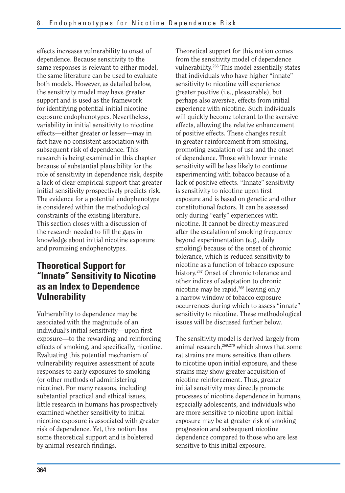effects increases vulnerability to onset of dependence. Because sensitivity to the same responses is relevant to either model, the same literature can be used to evaluate both models. However, as detailed below, the sensitivity model may have greater support and is used as the framework for identifying potential initial nicotine exposure endophenotypes. Nevertheless, variability in initial sensitivity to nicotine effects—either greater or lesser—may in fact have no consistent association with subsequent risk of dependence. This research is being examined in this chapter because of substantial plausibility for the role of sensitivity in dependence risk, despite a lack of clear empirical support that greater initial sensitivity prospectively predicts risk. The evidence for a potential endophenotype is considered within the methodological constraints of the existing literature. This section closes with a discussion of the research needed to fill the gaps in knowledge about initial nicotine exposure and promising endophenotypes.

# **Theoretical Support for "Innate" Sensitivity to Nicotine as an Index to Dependence Vulnerability**

Vulnerability to dependence may be associated with the magnitude of an individual's initial sensitivity—upon first exposure—to the rewarding and reinforcing effects of smoking, and specifically, nicotine. Evaluating this potential mechanism of vulnerability requires assessment of acute responses to early exposures to smoking (or other methods of administering nicotine). For many reasons, including substantial practical and ethical issues, little research in humans has prospectively examined whether sensitivity to initial nicotine exposure is associated with greater risk of dependence. Yet, this notion has some theoretical support and is bolstered by animal research findings.

Theoretical support for this notion comes from the sensitivity model of dependence vulnerability.266 This model essentially states that individuals who have higher "innate" sensitivity to nicotine will experience greater positive (i.e., pleasurable), but perhaps also aversive, effects from initial experience with nicotine. Such individuals will quickly become tolerant to the aversive effects, allowing the relative enhancement of positive effects. These changes result in greater reinforcement from smoking, promoting escalation of use and the onset of dependence. Those with lower innate sensitivity will be less likely to continue experimenting with tobacco because of a lack of positive effects. "Innate" sensitivity is sensitivity to nicotine upon first exposure and is based on genetic and other constitutional factors. It can be assessed only during "early" experiences with nicotine. It cannot be directly measured after the escalation of smoking frequency beyond experimentation (e.g., daily smoking) because of the onset of chronic tolerance, which is reduced sensitivity to nicotine as a function of tobacco exposure history.<sup>267</sup> Onset of chronic tolerance and other indices of adaptation to chronic nicotine may be rapid,<sup>268</sup> leaving only a narrow window of tobacco exposure occurrences during which to assess "innate" sensitivity to nicotine. These methodological issues will be discussed further below.

The sensitivity model is derived largely from animal research,269,270 which shows that some rat strains are more sensitive than others to nicotine upon initial exposure, and these strains may show greater acquisition of nicotine reinforcement. Thus, greater initial sensitivity may directly promote processes of nicotine dependence in humans, especially adolescents, and individuals who are more sensitive to nicotine upon initial exposure may be at greater risk of smoking progression and subsequent nicotine dependence compared to those who are less sensitive to this initial exposure.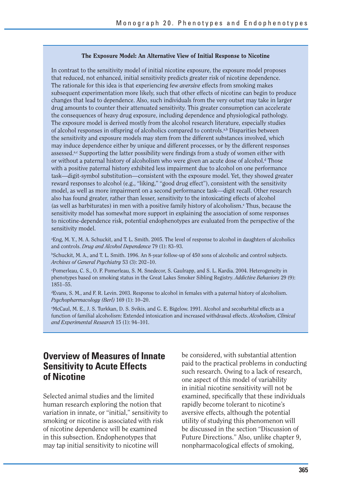#### **The Exposure Model: An Alternative View of Initial Response to Nicotine**

In contrast to the sensitivity model of initial nicotine exposure, the exposure model proposes that reduced, not enhanced, initial sensitivity predicts greater risk of nicotine dependence. The rationale for this idea is that experiencing few *aversive* effects from smoking makes subsequent experimentation more likely, such that other effects of nicotine can begin to produce changes that lead to dependence. Also, such individuals from the very outset may take in larger drug amounts to counter their attenuated sensitivity. This greater consumption can accelerate the consequences of heavy drug exposure, including dependence and physiological pathology. The exposure model is derived mostly from the alcohol research literature, especially studies of alcohol responses in offspring of alcoholics compared to controls.<sup>a,b</sup> Disparities between the sensitivity and exposure models may stem from the different substances involved, which may induce dependence either by unique and different processes, or by the different responses assessed.<sup>a,c</sup> Supporting the latter possibility were findings from a study of women either with or without a paternal history of alcoholism who were given an acute dose of alcohol.<sup>4</sup> Those with a positive paternal history exhibited less impairment due to alcohol on one performance task—digit-symbol substitution—consistent with the exposure model. Yet, they showed greater reward responses to alcohol (e.g., "liking," "good drug effect"), consistent with the sensitivity model, as well as more impairment on a second performance task—digit recall. Other research also has found greater, rather than lesser, sensitivity to the intoxicating effects of alcohol (as well as barbiturates) in men with a positive family history of alcoholism.<sup>e</sup> Thus, because the sensitivity model has somewhat more support in explaining the association of some responses to nicotine-dependence risk, potential endophenotypes are evaluated from the perspective of the sensitivity model.

a Eng, M. Y., M. A. Schuckit, and T. L. Smith. 2005. The level of response to alcohol in daughters of alcoholics and controls. *Drug and Alcohol Dependence* 79 (1): 83–93.

b Schuckit, M. A., and T. L. Smith. 1996. An 8-year follow-up of 450 sons of alcoholic and control subjects. *Archives of General Psychiatry* 53 (3): 202–10.

c Pomerleau, C. S., O. F. Pomerleau, S. M. Snedecor, S. Gaulrapp, and S. L. Kardia. 2004. Heterogeneity in phenotypes based on smoking status in the Great Lakes Smoker Sibling Registry. *Addictive Behaviors* 29 (9): 1851–55.

d Evans, S. M., and F. R. Levin. 2003. Response to alcohol in females with a paternal history of alcoholism. *Psychopharmacology (Berl)* 169 (1): 10–20.

e McCaul, M. E., J. S. Turkkan, D. S. Svikis, and G. E. Bigelow. 1991. Alcohol and secobarbital effects as a function of familial alcoholism: Extended intoxication and increased withdrawal effects. *Alcoholism, Clinical and Experimental Research* 15 (1): 94–101.

### **Overview of Measures of Innate Sensitivity to Acute Effects of Nicotine**

Selected animal studies and the limited human research exploring the notion that variation in innate, or "initial," sensitivity to smoking or nicotine is associated with risk of nicotine dependence will be examined in this subsection. Endophenotypes that may tap initial sensitivity to nicotine will

be considered, with substantial attention paid to the practical problems in conducting such research. Owing to a lack of research, one aspect of this model of variability in initial nicotine sensitivity will not be examined, specifically that these individuals rapidly become tolerant to nicotine's aversive effects, although the potential utility of studying this phenomenon will be discussed in the section "Discussion of Future Directions." Also, unlike chapter 9, nonpharmacological effects of smoking,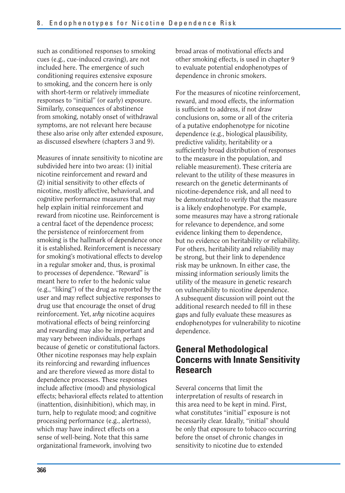such as conditioned responses to smoking cues (e.g., cue-induced craving), are not included here. The emergence of such conditioning requires extensive exposure to smoking, and the concern here is only with short-term or relatively immediate responses to "initial" (or early) exposure. Similarly, consequences of abstinence from smoking, notably onset of withdrawal symptoms, are not relevant here because these also arise only after extended exposure, as discussed elsewhere (chapters 3 and 9).

Measures of innate sensitivity to nicotine are subdivided here into two areas: (1) initial nicotine reinforcement and reward and (2) initial sensitivity to other effects of nicotine, mostly affective, behavioral, and cognitive performance measures that may help explain initial reinforcement and reward from nicotine use. Reinforcement is a central facet of the dependence process; the persistence of reinforcement from smoking is the hallmark of dependence once it is established. Reinforcement is necessary for smoking's motivational effects to develop in a regular smoker and, thus, is proximal to processes of dependence. "Reward" is meant here to refer to the hedonic value (e.g., "liking") of the drug as reported by the user and may reflect subjective responses to drug use that encourage the onset of drug reinforcement. Yet, *why* nicotine acquires motivational effects of being reinforcing and rewarding may also be important and may vary between individuals, perhaps because of genetic or constitutional factors. Other nicotine responses may help explain its reinforcing and rewarding influences and are therefore viewed as more distal to dependence processes. These responses include affective (mood) and physiological effects; behavioral effects related to attention (inattention, disinhibition), which may, in turn, help to regulate mood; and cognitive processing performance (e.g., alertness), which may have indirect effects on a sense of well-being. Note that this same organizational framework, involving two

broad areas of motivational effects and other smoking effects, is used in chapter 9 to evaluate potential endophenotypes of dependence in chronic smokers.

For the measures of nicotine reinforcement, reward, and mood effects, the information is sufficient to address, if not draw conclusions on, some or all of the criteria of a putative endophenotype for nicotine dependence (e.g., biological plausibility, predictive validity, heritability or a sufficiently broad distribution of responses to the measure in the population, and reliable measurement). These criteria are relevant to the utility of these measures in research on the genetic determinants of nicotine-dependence risk, and all need to be demonstrated to verify that the measure is a likely endophenotype. For example, some measures may have a strong rationale for relevance to dependence, and some evidence linking them to dependence, but no evidence on heritability or reliability. For others, heritability and reliability may be strong, but their link to dependence risk may be unknown. In either case, the missing information seriously limits the utility of the measure in genetic research on vulnerability to nicotine dependence. A subsequent discussion will point out the additional research needed to fill in these gaps and fully evaluate these measures as endophenotypes for vulnerability to nicotine dependence.

## **General Methodological Concerns with Innate Sensitivity Research**

Several concerns that limit the interpretation of results of research in this area need to be kept in mind. First, what constitutes "initial" exposure is not necessarily clear. Ideally, "initial" should be only that exposure to tobacco occurring before the onset of chronic changes in sensitivity to nicotine due to extended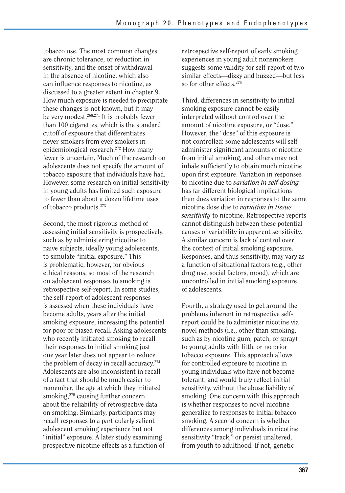tobacco use. The most common changes are chronic tolerance, or reduction in sensitivity, and the onset of withdrawal in the absence of nicotine, which also can influence responses to nicotine, as discussed to a greater extent in chapter 9. How much exposure is needed to precipitate these changes is not known, but it may be very modest.268,271 It is probably fewer than 100 cigarettes, which is the standard cutoff of exposure that differentiates never smokers from ever smokers in epidemiological research.272 How many fewer is uncertain. Much of the research on adolescents does not specify the amount of tobacco exposure that individuals have had. However, some research on initial sensitivity in young adults has limited such exposure to fewer than about a dozen lifetime uses of tobacco products.273

Second, the most rigorous method of assessing initial sensitivity is prospectively, such as by administering nicotine to naive subjects, ideally young adolescents, to simulate "initial exposure." This is problematic, however, for obvious ethical reasons, so most of the research on adolescent responses to smoking is retrospective self-report. In some studies, the self-report of adolescent responses is assessed when these individuals have become adults, years after the initial smoking exposure, increasing the potential for poor or biased recall. Asking adolescents who recently initiated smoking to recall their responses to initial smoking just one year later does not appear to reduce the problem of decay in recall accuracy.274 Adolescents are also inconsistent in recall of a fact that should be much easier to remember, the age at which they initiated smoking,<sup>275</sup> causing further concern about the reliability of retrospective data on smoking. Similarly, participants may recall responses to a particularly salient adolescent smoking experience but not "initial" exposure. A later study examining prospective nicotine effects as a function of

retrospective self-report of early smoking experiences in young adult nonsmokers suggests some validity for self-report of two similar effects—dizzy and buzzed—but less so for other effects.<sup>276</sup>

Third, differences in sensitivity to initial smoking exposure cannot be easily interpreted without control over the amount of nicotine exposure, or "dose." However, the "dose" of this exposure is not controlled: some adolescents will selfadminister significant amounts of nicotine from initial smoking, and others may not inhale sufficiently to obtain much nicotine upon first exposure. Variation in responses to nicotine due to *variation in self-dosing*  has far different biological implications than does variation in responses to the same nicotine dose due to *variation in tissue sensitivity* to nicotine. Retrospective reports cannot distinguish between these potential causes of variability in apparent sensitivity. A similar concern is lack of control over the context of initial smoking exposure. Responses, and thus sensitivity, may vary as a function of situational factors (e.g., other drug use, social factors, mood), which are uncontrolled in initial smoking exposure of adolescents.

Fourth, a strategy used to get around the problems inherent in retrospective selfreport could be to administer nicotine via novel methods (i.e., other than smoking, such as by nicotine gum, patch, or spray) to young adults with little or no prior tobacco exposure. This approach allows for controlled exposure to nicotine in young individuals who have not become tolerant, and would truly reflect initial sensitivity, without the abuse liability of smoking. One concern with this approach is whether responses to novel nicotine generalize to responses to initial tobacco smoking. A second concern is whether differences among individuals in nicotine sensitivity "track," or persist unaltered, from youth to adulthood. If not, genetic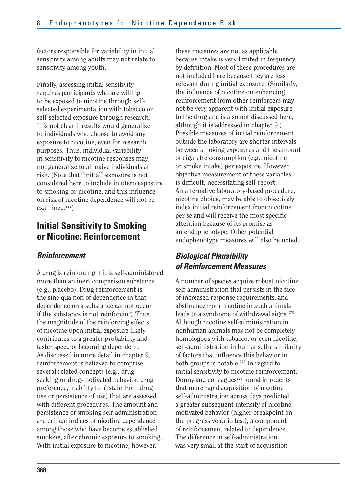factors responsible for variability in initial sensitivity among adults may not relate to sensitivity among youth.

Finally, assessing initial sensitivity requires participants who are willing to be exposed to nicotine through selfselected experimentation with tobacco or self-selected exposure through research. It is not clear if results would generalize to individuals who choose to avoid any exposure to nicotine, even for research purposes. Thus, individual variability in sensitivity to nicotine responses may not generalize to all naive individuals at risk. (Note that "initial" exposure is not considered here to include in utero exposure to smoking or nicotine, and this influence on risk of nicotine dependence will not be examined.277)

## **Initial Sensitivity to Smoking or Nicotine: Reinforcement**

#### *Reinforcement*

A drug is reinforcing if it is self-administered more than an inert comparison substance (e.g., placebo). Drug reinforcement is the sine qua non of dependence in that dependence on a substance cannot occur if the substance is not reinforcing. Thus, the magnitude of the reinforcing effects of nicotine upon initial exposure likely contributes to a greater probability and faster speed of becoming dependent. As discussed in more detail in chapter 9, reinforcement is believed to comprise several related concepts (e.g., drug seeking or drug-motivated behavior, drug preference, inability to abstain from drug use or persistence of use) that are assessed with different procedures. The amount and persistence of smoking self-administration are critical indices of nicotine dependence among those who have become established smokers, after chronic exposure to smoking. With initial exposure to nicotine, however,

these measures are not as applicable because intake is very limited in frequency, by definition. Most of these procedures are not included here because they are less relevant during initial exposure. (Similarly, the influence of nicotine on enhancing reinforcement from other reinforcers may not be very apparent with initial exposure to the drug and is also not discussed here, although it is addressed in chapter 9.) Possible measures of initial reinforcement outside the laboratory are shorter intervals between smoking exposures and the amount of cigarette consumption (e.g., nicotine or smoke intake) per exposure. However, objective measurement of these variables is difficult, necessitating self-report. An alternative laboratory-based procedure, nicotine choice, may be able to objectively index initial reinforcement from nicotine per se and will receive the most specific attention because of its promise as an endophenotype. Other potential endophenotype measures will also be noted.

#### *Biological Plausibility of Reinforcement Measures*

A number of species acquire robust nicotine self-administration that persists in the face of increased response requirements, and abstinence from nicotine in such animals leads to a syndrome of withdrawal signs.<sup>278</sup> Although nicotine self-administration in nonhuman animals may not be completely homologous with tobacco, or even nicotine, self-administration in humans, the similarity of factors that influence this behavior in both groups is notable.278 In regard to initial sensitivity to nicotine reinforcement, Donny and colleagues $279$  found in rodents that more rapid acquisition of nicotine self-administration across days predicted a greater subsequent intensity of nicotinemotivated behavior (higher breakpoint on the progressive ratio test), a component of reinforcement related to dependence. The difference in self-administration was very small at the start of acquisition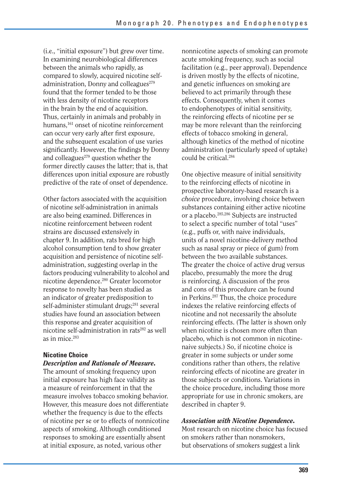(i.e., "initial exposure") but grew over time. In examining neurobiological differences between the animals who rapidly, as compared to slowly, acquired nicotine selfadministration, Donny and colleagues $279$ found that the former tended to be those with less density of nicotine receptors in the brain by the end of acquisition. Thus, certainly in animals and probably in humans,<sup>161</sup> onset of nicotine reinforcement can occur very early after first exposure, and the subsequent escalation of use varies significantly. However, the findings by Donny and colleagues $279$  question whether the former directly causes the latter; that is, that differences upon initial exposure are robustly predictive of the rate of onset of dependence.

Other factors associated with the acquisition of nicotine self-administration in animals are also being examined. Differences in nicotine reinforcement between rodent strains are discussed extensively in chapter 9. In addition, rats bred for high alcohol consumption tend to show greater acquisition and persistence of nicotine selfadministration, suggesting overlap in the factors producing vulnerability to alcohol and nicotine dependence.280 Greater locomotor response to novelty has been studied as an indicator of greater predisposition to self-administer stimulant drugs;<sup>281</sup> several studies have found an association between this response and greater acquisition of nicotine self-administration in rats<sup>282</sup> as well as in mice.283

#### **Nicotine Choice**

#### *Description and Rationale of Measure.*

The amount of smoking frequency upon initial exposure has high face validity as a measure of reinforcement in that the measure involves tobacco smoking behavior. However, this measure does not differentiate whether the frequency is due to the effects of nicotine per se or to effects of nonnicotine aspects of smoking. Although conditioned responses to smoking are essentially absent at initial exposure, as noted, various other

nonnicotine aspects of smoking can promote acute smoking frequency, such as social facilitation (e.g., peer approval). Dependence is driven mostly by the effects of nicotine, and genetic influences on smoking are believed to act primarily through these effects. Consequently, when it comes to endophenotypes of initial sensitivity, the reinforcing effects of nicotine per se may be more relevant than the reinforcing effects of tobacco smoking in general, although kinetics of the method of nicotine administration (particularly speed of uptake) could be critical.284

One objective measure of initial sensitivity to the reinforcing effects of nicotine in prospective laboratory-based research is a *choice* procedure, involving choice between substances containing either active nicotine or a placebo.285,286 Subjects are instructed to select a specific number of total "uses" (e.g., puffs or, with naive individuals, units of a novel nicotine-delivery method such as nasal spray or piece of gum) from between the two available substances. The greater the choice of active drug versus placebo, presumably the more the drug is reinforcing. A discussion of the pros and cons of this procedure can be found in Perkins.287 Thus, the choice procedure indexes the relative reinforcing effects of nicotine and not necessarily the absolute reinforcing effects. (The latter is shown only when nicotine is chosen more often than placebo, which is not common in nicotinenaive subjects.) So, if nicotine choice is greater in some subjects or under some conditions rather than others, the relative reinforcing effects of nicotine are greater in those subjects or conditions. Variations in the choice procedure, including those more appropriate for use in chronic smokers, are described in chapter 9.

#### *Association with Nicotine Dependence.*

Most research on nicotine choice has focused on smokers rather than nonsmokers, but observations of smokers suggest a link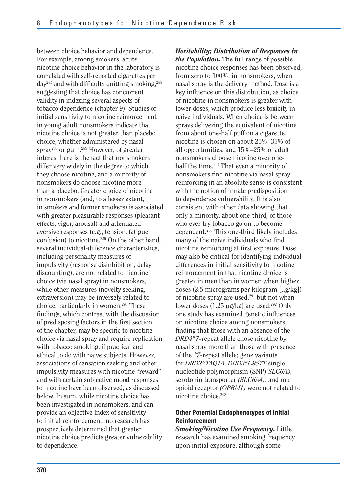between choice behavior and dependence. For example, among smokers, acute nicotine choice behavior in the laboratory is correlated with self-reported cigarettes per  $day^{285}$  and with difficulty quitting smoking,  $288$ suggesting that choice has concurrent validity in indexing several aspects of tobacco dependence (chapter 9). Studies of initial sensitivity to nicotine reinforcement in young adult nonsmokers indicate that nicotine choice is not greater than placebo choice, whether administered by nasal spray285 or gum.289 However, of greater interest here is the fact that nonsmokers differ very widely in the degree to which they choose nicotine, and a minority of nonsmokers do choose nicotine more than a placebo. Greater choice of nicotine in nonsmokers (and, to a lesser extent, in smokers and former smokers) is associated with greater pleasurable responses (pleasant effects, vigor, arousal) and attenuated aversive responses (e.g., tension, fatigue, confusion) to nicotine.285 On the other hand, several individual-difference characteristics, including personality measures of impulsivity (response disinhibition, delay discounting), are not related to nicotine choice (via nasal spray) in nonsmokers, while other measures (novelty seeking, extraversion) may be inversely related to choice, particularly in women.290 These findings, which contrast with the discussion of predisposing factors in the first section of the chapter, may be specific to nicotine choice via nasal spray and require replication with tobacco smoking, if practical and ethical to do with naive subjects. However, associations of sensation seeking and other impulsivity measures with nicotine "reward" and with certain subjective mood responses to nicotine have been observed, as discussed below. In sum, while nicotine choice has been investigated in nonsmokers, and can provide an objective index of sensitivity to initial reinforcement, no research has prospectively determined that greater nicotine choice predicts greater vulnerability to dependence.

*Heritability; Distribution of Responses in the Population.* The full range of possible nicotine choice responses has been observed, from zero to 100%, in nonsmokers, when nasal spray is the delivery method. Dose is a key influence on this distribution, as choice of nicotine in nonsmokers is greater with lower doses, which produce less toxicity in naive individuals. When choice is between sprays delivering the equivalent of nicotine from about one-half puff on a cigarette, nicotine is chosen on about 25%–35% of all opportunities, and 15%–25% of adult nonsmokers choose nicotine over onehalf the time.<sup>290</sup> That even a minority of nonsmokers find nicotine via nasal spray reinforcing in an absolute sense is consistent with the notion of innate predisposition to dependence vulnerability. It is also consistent with other data showing that only a minority, about one-third, of those who ever try tobacco go on to become dependent.263 This one-third likely includes many of the naive individuals who find nicotine reinforcing at first exposure. Dose may also be critical for identifying individual differences in initial sensitivity to nicotine reinforcement in that nicotine choice is greater in men than in women when higher doses  $(2.5 \text{ micrograms per kilogram}$  [µg/kg]) of nicotine spray are used,<sup>291</sup> but not when lower doses  $(1.25 \mu g/kg)$  are used.<sup>292</sup> Only one study has examined genetic influences on nicotine choice among nonsmokers, finding that those with an absence of the *DRD4\*7-*repeat allele chose nicotine by nasal spray more than those with presence of the *\*7-*repeat allele; gene variants for *DRD2\*TAQ1A, DRD2\*C957T* single nucleotide polymorphism (SNP) *SLC6A3,*  serotonin transporter *(SLC6A4),* and mu opioid receptor *(OPRM1)* were not related to nicotine choice.293

#### **Other Potential Endophenotypes of Initial Reinforcement**

*Smoking/Nicotine Use Frequency.* Little research has examined smoking frequency upon initial exposure, although some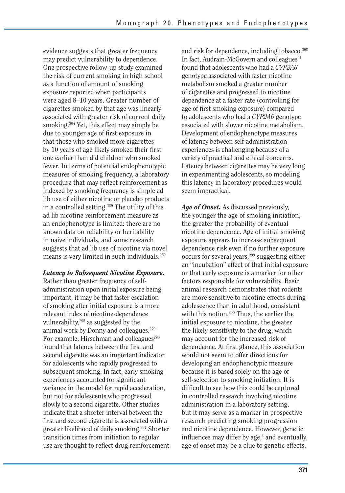evidence suggests that greater frequency may predict vulnerability to dependence. One prospective follow-up study examined the risk of current smoking in high school as a function of amount of smoking exposure reported when participants were aged 8–10 years. Greater number of cigarettes smoked by that age was linearly associated with greater risk of current daily smoking.294 Yet, this effect may simply be due to younger age of first exposure in that those who smoked more cigarettes by 10 years of age likely smoked their first one earlier than did children who smoked fewer. In terms of potential endophenotypic measures of smoking frequency, a laboratory procedure that may reflect reinforcement as indexed by smoking frequency is simple ad lib use of either nicotine or placebo products in a controlled setting.289 The utility of this ad lib nicotine reinforcement measure as an endophenotype is limited: there are no known data on reliability or heritability in naive individuals, and some research suggests that ad lib use of nicotine via novel means is very limited in such individuals.289

#### *Latency to Subsequent Nicotine Exposure.*

Rather than greater frequency of selfadministration upon initial exposure being important, it may be that faster escalation of smoking after initial exposure is a more relevant index of nicotine-dependence vulnerability,<sup>295</sup> as suggested by the animal work by Donny and colleagues.279 For example, Hirschman and colleagues<sup>296</sup> found that latency between the first and second cigarette was an important indicator for adolescents who rapidly progressed to subsequent smoking. In fact, early smoking experiences accounted for significant variance in the model for rapid acceleration, but not for adolescents who progressed slowly to a second cigarette. Other studies indicate that a shorter interval between the first and second cigarette is associated with a greater likelihood of daily smoking.297 Shorter transition times from initiation to regular use are thought to reflect drug reinforcement and risk for dependence, including tobacco.<sup>298</sup> In fact, Audrain-McGovern and colleagues $^{21}$ found that adolescents who had a *CYP2A6*  genotype associated with faster nicotine metabolism smoked a greater number of cigarettes and progressed to nicotine dependence at a faster rate (controlling for age of first smoking exposure) compared to adolescents who had a *CYP2A6* genotype associated with slower nicotine metabolism. Development of endophenotype measures of latency between self-administration experiences is challenging because of a variety of practical and ethical concerns. Latency between cigarettes may be very long in experimenting adolescents, so modeling this latency in laboratory procedures would seem impractical.

*Age of Onset.* As discussed previously, the younger the age of smoking initiation, the greater the probability of eventual nicotine dependence. Age of initial smoking exposure appears to increase subsequent dependence risk even if no further exposure occurs for several years,<sup>299</sup> suggesting either an "incubation" effect of that initial exposure or that early exposure is a marker for other factors responsible for vulnerability. Basic animal research demonstrates that rodents are more sensitive to nicotine effects during adolescence than in adulthood, consistent with this notion.<sup>300</sup> Thus, the earlier the initial exposure to nicotine, the greater the likely sensitivity to the drug, which may account for the increased risk of dependence. At first glance, this association would not seem to offer directions for developing an endophenotypic measure because it is based solely on the age of self-selection to smoking initiation. It is difficult to see how this could be captured in controlled research involving nicotine administration in a laboratory setting, but it may serve as a marker in prospective research predicting smoking progression and nicotine dependence. However, genetic influences may differ by age,<sup>4</sup> and eventually, age of onset may be a clue to genetic effects.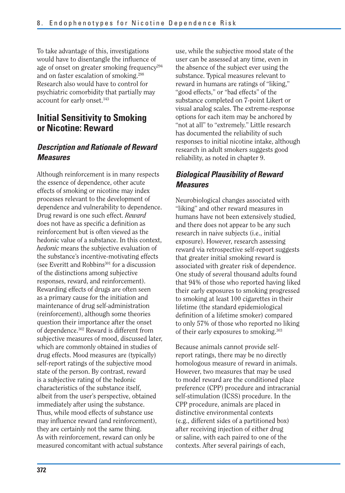To take advantage of this, investigations would have to disentangle the influence of age of onset on greater smoking frequency<sup>294</sup> and on faster escalation of smoking.298 Research also would have to control for psychiatric comorbidity that partially may account for early onset.<sup>143</sup>

# **Initial Sensitivity to Smoking or Nicotine: Reward**

### *Description and Rationale of Reward Measures*

Although reinforcement is in many respects the essence of dependence, other acute effects of smoking or nicotine may index processes relevant to the development of dependence and vulnerability to dependence. Drug reward is one such effect. *Reward*  does not have as specific a definition as reinforcement but is often viewed as the hedonic value of a substance. In this context, *hedonic* means the subjective evaluation of the substance's incentive-motivating effects (see Everitt and Robbins $301$  for a discussion of the distinctions among subjective responses, reward, and reinforcement). Rewarding effects of drugs are often seen as a primary cause for the initiation and maintenance of drug self-administration (reinforcement), although some theories question their importance after the onset of dependence.302 Reward is different from subjective measures of mood, discussed later, which are commonly obtained in studies of drug effects. Mood measures are (typically) self-report ratings of the subjective mood state of the person. By contrast, reward is a subjective rating of the hedonic characteristics of the substance itself, albeit from the user's perspective, obtained immediately after using the substance. Thus, while mood effects of substance use may influence reward (and reinforcement), they are certainly not the same thing. As with reinforcement, reward can only be measured concomitant with actual substance

use, while the subjective mood state of the user can be assessed at any time, even in the absence of the subject ever using the substance. Typical measures relevant to reward in humans are ratings of "liking," "good effects," or "bad effects" of the substance completed on 7-point Likert or visual analog scales. The extreme-response options for each item may be anchored by "not at all" to "extremely." Little research has documented the reliability of such responses to initial nicotine intake, although research in adult smokers suggests good reliability, as noted in chapter 9.

## *Biological Plausibility of Reward Measures*

Neurobiological changes associated with "liking" and other reward measures in humans have not been extensively studied, and there does not appear to be any such research in naive subjects (i.e., initial exposure). However, research assessing reward via retrospective self-report suggests that greater initial smoking reward is associated with greater risk of dependence. One study of several thousand adults found that 94% of those who reported having liked their early exposures to smoking progressed to smoking at least 100 cigarettes in their lifetime (the standard epidemiological definition of a lifetime smoker) compared to only 57% of those who reported no liking of their early exposures to smoking.303

Because animals cannot provide selfreport ratings, there may be no directly homologous measure of reward in animals. However, two measures that may be used to model reward are the conditioned place preference (CPP) procedure and intracranial self-stimulation (ICSS) procedure. In the CPP procedure, animals are placed in distinctive environmental contexts (e.g., different sides of a partitioned box) after receiving injection of either drug or saline, with each paired to one of the contexts. After several pairings of each,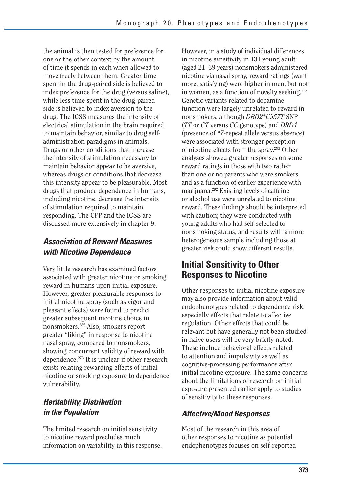the animal is then tested for preference for one or the other context by the amount of time it spends in each when allowed to move freely between them. Greater time spent in the drug-paired side is believed to index preference for the drug (versus saline), while less time spent in the drug-paired side is believed to index aversion to the drug. The ICSS measures the intensity of electrical stimulation in the brain required to maintain behavior, similar to drug selfadministration paradigms in animals. Drugs or other conditions that increase the intensity of stimulation necessary to maintain behavior appear to be aversive, whereas drugs or conditions that decrease this intensity appear to be pleasurable. Most drugs that produce dependence in humans, including nicotine, decrease the intensity of stimulation required to maintain responding. The CPP and the ICSS are discussed more extensively in chapter 9.

## *Association of Reward Measures with Nicotine Dependence*

Very little research has examined factors associated with greater nicotine or smoking reward in humans upon initial exposure. However, greater pleasurable responses to initial nicotine spray (such as vigor and pleasant effects) were found to predict greater subsequent nicotine choice in nonsmokers.285 Also, smokers report greater "liking" in response to nicotine nasal spray, compared to nonsmokers, showing concurrent validity of reward with dependence.273 It is unclear if other research exists relating rewarding effects of initial nicotine or smoking exposure to dependence vulnerability.

## *Heritability; Distribution in the Population*

The limited research on initial sensitivity to nicotine reward precludes much information on variability in this response.

However, in a study of individual differences in nicotine sensitivity in 131 young adult (aged 21–39 years) nonsmokers administered nicotine via nasal spray, reward ratings (want more, satisfying) were higher in men, but not in women, as a function of novelty seeking.<sup>293</sup> Genetic variants related to dopamine function were largely unrelated to reward in nonsmokers, although *DRD2\*C957T* SNP (*TT* or *CT* versus *CC* genotype) and *DRD4*  (presence of *\*7-*repeat allele versus absence) were associated with stronger perception of nicotine effects from the spray.293 Other analyses showed greater responses on some reward ratings in those with two rather than one or no parents who were smokers and as a function of earlier experience with marijuana.292 Existing levels of caffeine or alcohol use were unrelated to nicotine reward. These findings should be interpreted with caution; they were conducted with young adults who had self-selected to nonsmoking status, and results with a more heterogeneous sample including those at greater risk could show different results.

# **Initial Sensitivity to Other Responses to Nicotine**

Other responses to initial nicotine exposure may also provide information about valid endophenotypes related to dependence risk, especially effects that relate to affective regulation. Other effects that could be relevant but have generally not been studied in naive users will be very briefly noted. These include behavioral effects related to attention and impulsivity as well as cognitive-processing performance after initial nicotine exposure. The same concerns about the limitations of research on initial exposure presented earlier apply to studies of sensitivity to these responses.

### *Affective/Mood Responses*

Most of the research in this area of other responses to nicotine as potential endophenotypes focuses on self-reported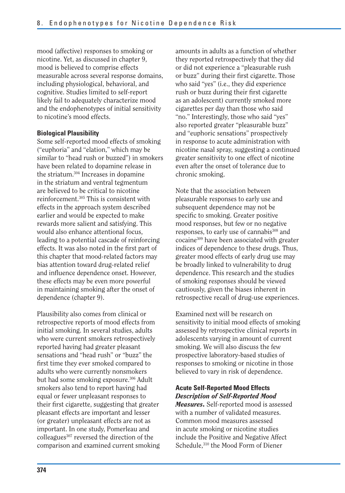mood (affective) responses to smoking or nicotine. Yet, as discussed in chapter 9, mood is believed to comprise effects measurable across several response domains, including physiological, behavioral, and cognitive. Studies limited to self-report likely fail to adequately characterize mood and the endophenotypes of initial sensitivity to nicotine's mood effects.

#### **Biological Plausibility**

Some self-reported mood effects of smoking ("euphoria" and "elation," which may be similar to "head rush or buzzed") in smokers have been related to dopamine release in the striatum.304 Increases in dopamine in the striatum and ventral tegmentum are believed to be critical to nicotine reinforcement.305 This is consistent with effects in the approach system described earlier and would be expected to make rewards more salient and satisfying. This would also enhance attentional focus, leading to a potential cascade of reinforcing effects. It was also noted in the first part of this chapter that mood-related factors may bias attention toward drug-related relief and influence dependence onset. However, these effects may be even more powerful in maintaining smoking after the onset of dependence (chapter 9).

Plausibility also comes from clinical or retrospective reports of mood effects from initial smoking. In several studies, adults who were current smokers retrospectively reported having had greater pleasant sensations and "head rush" or "buzz" the first time they ever smoked compared to adults who were currently nonsmokers but had some smoking exposure.306 Adult smokers also tend to report having had equal or fewer unpleasant responses to their first cigarette, suggesting that greater pleasant effects are important and lesser (or greater) unpleasant effects are not as important. In one study, Pomerleau and colleagues<sup>307</sup> reversed the direction of the comparison and examined current smoking

amounts in adults as a function of whether they reported retrospectively that they did or did not experience a "pleasurable rush or buzz" during their first cigarette. Those who said "yes" (i.e., they did experience rush or buzz during their first cigarette as an adolescent) currently smoked more cigarettes per day than those who said "no." Interestingly, those who said "yes" also reported greater "pleasurable buzz" and "euphoric sensations" prospectively in response to acute administration with nicotine nasal spray, suggesting a continued greater sensitivity to one effect of nicotine even after the onset of tolerance due to chronic smoking.

Note that the association between pleasurable responses to early use and subsequent dependence may not be specific to smoking. Greater positive mood responses, but few or no negative responses, to early use of cannabis<sup>308</sup> and cocaine309 have been associated with greater indices of dependence to these drugs. Thus, greater mood effects of early drug use may be broadly linked to vulnerability to drug dependence. This research and the studies of smoking responses should be viewed cautiously, given the biases inherent in retrospective recall of drug-use experiences.

Examined next will be research on sensitivity to initial mood effects of smoking assessed by retrospective clinical reports in adolescents varying in amount of current smoking. We will also discuss the few prospective laboratory-based studies of responses to smoking or nicotine in those believed to vary in risk of dependence.

#### **Acute Self-Reported Mood Effects**  *Description of Self-Reported Mood*

*Measures.* Self-reported mood is assessed with a number of validated measures. Common mood measures assessed in acute smoking or nicotine studies include the Positive and Negative Affect Schedule,<sup>310</sup> the Mood Form of Diener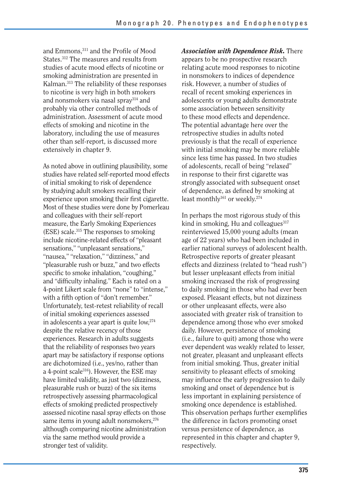and Emmons,311 and the Profile of Mood States.312 The measures and results from studies of acute mood effects of nicotine or smoking administration are presented in Kalman.313 The reliability of these responses to nicotine is very high in both smokers and nonsmokers via nasal spray314 and probably via other controlled methods of administration. Assessment of acute mood effects of smoking and nicotine in the laboratory, including the use of measures other than self-report, is discussed more extensively in chapter 9.

As noted above in outlining plausibility, some studies have related self-reported mood effects of initial smoking to risk of dependence by studying adult smokers recalling their experience upon smoking their first cigarette. Most of these studies were done by Pomerleau and colleagues with their self-report measure, the Early Smoking Experiences (ESE) scale.315 The responses to smoking include nicotine-related effects of "pleasant sensations," "unpleasant sensations," "nausea," "relaxation," "dizziness," and "pleasurable rush or buzz," and two effects specific to smoke inhalation, "coughing," and "difficulty inhaling." Each is rated on a 4-point Likert scale from "none" to "intense," with a fifth option of "don't remember." Unfortunately, test-retest reliability of recall of initial smoking experiences assessed in adolescents a year apart is quite low,274 despite the relative recency of those experiences. Research in adults suggests that the reliability of responses two years apart may be satisfactory if response options are dichotomized (i.e., yes/no, rather than a 4-point scale316). However, the ESE may have limited validity, as just two (dizziness, pleasurable rush or buzz) of the six items retrospectively assessing pharmacological effects of smoking predicted prospectively assessed nicotine nasal spray effects on those same items in young adult nonsmokers,<sup>276</sup> although comparing nicotine administration via the same method would provide a stronger test of validity.

*Association with Dependence Risk.* There appears to be no prospective research relating acute mood responses to nicotine in nonsmokers to indices of dependence risk. However, a number of studies of recall of recent smoking experiences in adolescents or young adults demonstrate some association between sensitivity to these mood effects and dependence. The potential advantage here over the retrospective studies in adults noted previously is that the recall of experience with initial smoking may be more reliable since less time has passed. In two studies of adolescents, recall of being "relaxed" in response to their first cigarette was strongly associated with subsequent onset of dependence, as defined by smoking at least monthly<sup>161</sup> or weekly.<sup>274</sup>

In perhaps the most rigorous study of this kind in smoking, Hu and colleagues $317$ reinterviewed 15,000 young adults (mean age of 22 years) who had been included in earlier national surveys of adolescent health. Retrospective reports of greater pleasant effects and dizziness (related to "head rush") but lesser unpleasant effects from initial smoking increased the risk of progressing to daily smoking in those who had ever been exposed. Pleasant effects, but not dizziness or other unpleasant effects, were also associated with greater risk of transition to dependence among those who ever smoked daily. However, persistence of smoking (i.e., failure to quit) among those who were ever dependent was weakly related to lesser, not greater, pleasant and unpleasant effects from initial smoking. Thus, greater initial sensitivity to pleasant effects of smoking may influence the early progression to daily smoking and onset of dependence but is less important in explaining persistence of smoking once dependence is established. This observation perhaps further exemplifies the difference in factors promoting onset versus persistence of dependence, as represented in this chapter and chapter 9, respectively.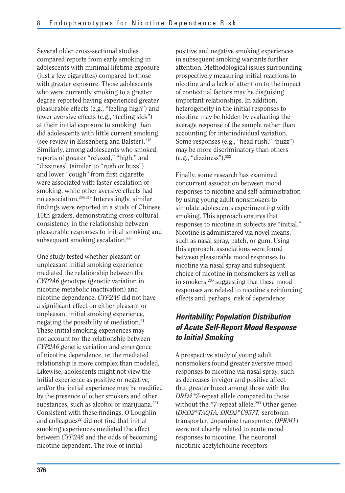Several older cross-sectional studies compared reports from early smoking in adolescents with minimal lifetime exposure (just a few cigarettes) compared to those with greater exposure. Those adolescents who were currently smoking to a greater degree reported having experienced greater pleasurable effects (e.g., "feeling high") and fewer aversive effects (e.g., "feeling sick") at their initial exposure to smoking than did adolescents with little current smoking (see review in Eissenberg and Balster).318 Similarly, among adolescents who smoked, reports of greater "relaxed," "high," and "dizziness" (similar to "rush or buzz") and lower "cough" from first cigarette were associated with faster escalation of smoking, while other aversive effects had no association.296,319 Interestingly, similar findings were reported in a study of Chinese 10th graders, demonstrating cross-cultural consistency in the relationship between pleasurable responses to initial smoking and subsequent smoking escalation.<sup>320</sup>

One study tested whether pleasant or unpleasant initial smoking experience mediated the relationship between the *CYP2A6* genotype (genetic variation in nicotine metabolic inactivation) and nicotine dependence. *CYP2A6* did not have a significant effect on either pleasant or unpleasant initial smoking experience, negating the possibility of mediation.<sup>21</sup> These initial smoking experiences may not account for the relationship between *CYP2A6* genetic variation and emergence of nicotine dependence, or the mediated relationship is more complex than modeled. Likewise, adolescents might not view the initial experience as positive or negative, and/or the initial experience may be modified by the presence of other smokers and other substances, such as alcohol or marijuana.<sup>321</sup> Consistent with these findings, O'Loughlin and colleagues<sup>22</sup> did not find that initial smoking experiences mediated the effect between *CYP2A6* and the odds of becoming nicotine dependent. The role of initial

positive and negative smoking experiences in subsequent smoking warrants further attention. Methodological issues surrounding prospectively measuring initial reactions to nicotine and a lack of attention to the impact of contextual factors may be disguising important relationships. In addition, heterogeneity in the initial responses to nicotine may be hidden by evaluating the average response of the sample rather than accounting for interindividual variation. Some responses (e.g., "head rush," "buzz") may be more discriminatory than others  $(e.g., "dizziness").$ <sup>322</sup>

Finally, some research has examined concurrent association between mood responses to nicotine and self-administration by using young adult nonsmokers to simulate adolescents experimenting with smoking. This approach ensures that responses to nicotine in subjects are "initial." Nicotine is administered via novel means, such as nasal spray, patch, or gum. Using this approach, associations were found between pleasurable mood responses to nicotine via nasal spray and subsequent choice of nicotine in nonsmokers as well as in smokers,285 suggesting that these mood responses are related to nicotine's reinforcing effects and, perhaps, risk of dependence.

### *Heritability; Population Distribution of Acute Self-Report Mood Response to Initial Smoking*

A prospective study of young adult nonsmokers found greater aversive mood responses to nicotine via nasal spray, such as decreases in vigor and positive affect (but greater buzz) among those with the *DRD4\*7-*repeat allele compared to those without the \*7-repeat allele.<sup>293</sup> Other genes (*DRD2\*TAQ1A, DRD2\*C957T,* serotonin transporter, dopamine transporter, *OPRM1*) were not clearly related to acute mood responses to nicotine. The neuronal nicotinic acetylcholine receptors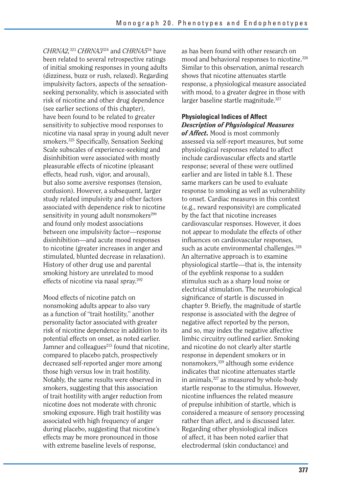*CHRNA2,*323 *CHRNA3*324 and *CHRNA5*34 have been related to several retrospective ratings of initial smoking responses in young adults (dizziness, buzz or rush, relaxed). Regarding impulsivity factors, aspects of the sensationseeking personality, which is associated with risk of nicotine and other drug dependence (see earlier sections of this chapter), have been found to be related to greater sensitivity to subjective mood responses to nicotine via nasal spray in young adult never smokers.325 Specifically, Sensation Seeking Scale subscales of experience-seeking and disinhibition were associated with mostly pleasurable effects of nicotine (pleasant effects, head rush, vigor, and arousal), but also some aversive responses (tension, confusion). However, a subsequent, larger study related impulsivity and other factors associated with dependence risk to nicotine sensitivity in young adult nonsmokers $290$ and found only modest associations between one impulsivity factor—response disinhibition—and acute mood responses to nicotine (greater increases in anger and stimulated, blunted decrease in relaxation). History of other drug use and parental smoking history are unrelated to mood effects of nicotine via nasal spray.292

Mood effects of nicotine patch on nonsmoking adults appear to also vary as a function of "trait hostility," another personality factor associated with greater risk of nicotine dependence in addition to its potential effects on onset, as noted earlier. Jamner and colleagues<sup>215</sup> found that nicotine, compared to placebo patch, prospectively decreased self-reported anger more among those high versus low in trait hostility. Notably, the same results were observed in smokers, suggesting that this association of trait hostility with anger reduction from nicotine does not moderate with chronic smoking exposure. High trait hostility was associated with high frequency of anger during placebo, suggesting that nicotine's effects may be more pronounced in those with extreme baseline levels of response,

as has been found with other research on mood and behavioral responses to nicotine.<sup>326</sup> Similar to this observation, animal research shows that nicotine attenuates startle response, a physiological measure associated with mood, to a greater degree in those with larger baseline startle magnitude.<sup>327</sup>

#### **Physiological Indices of Affect**  *Description of Physiological Measures*

*of Affect.* Mood is most commonly assessed via self-report measures, but some physiological responses related to affect include cardiovascular effects and startle response; several of these were outlined earlier and are listed in table 8.1. These same markers can be used to evaluate response to smoking as well as vulnerability to onset. Cardiac measures in this context (e.g., reward responsivity) are complicated by the fact that nicotine increases cardiovascular responses. However, it does not appear to modulate the effects of other influences on cardiovascular responses, such as acute environmental challenges.<sup>328</sup> An alternative approach is to examine physiological startle—that is, the intensity of the eyeblink response to a sudden stimulus such as a sharp loud noise or electrical stimulation. The neurobiological significance of startle is discussed in chapter 9. Briefly, the magnitude of startle response is associated with the degree of negative affect reported by the person, and so, may index the negative affective limbic circuitry outlined earlier. Smoking and nicotine do not clearly alter startle response in dependent smokers or in nonsmokers,329 although some evidence indicates that nicotine attenuates startle in animals,<sup>327</sup> as measured by whole-body startle response to the stimulus. However, nicotine influences the related measure of prepulse inhibition of startle, which is considered a measure of sensory processing rather than affect, and is discussed later. Regarding other physiological indices of affect, it has been noted earlier that electrodermal (skin conductance) and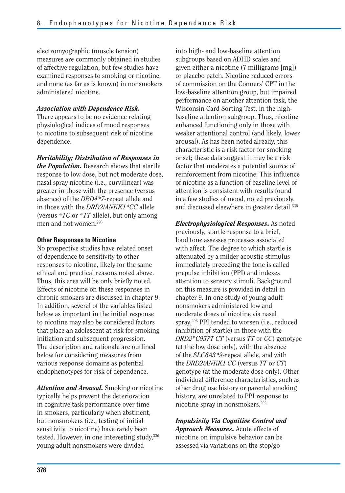electromyographic (muscle tension) measures are commonly obtained in studies of affective regulation, but few studies have examined responses to smoking or nicotine, and none (as far as is known) in nonsmokers administered nicotine.

#### *Association with Dependence Risk.*

There appears to be no evidence relating physiological indices of mood responses to nicotine to subsequent risk of nicotine dependence.

*Heritability; Distribution of Responses in the Population.* Research shows that startle response to low dose, but not moderate dose, nasal spray nicotine (i.e., curvilinear) was greater in those with the presence (versus absence) of the *DRD4\*7-*repeat allele and in those with the *DRD2/ANKK1\*CC* allele (versus *\*TC* or *\*TT* allele), but only among men and not women.293

#### **Other Responses to Nicotine**

No prospective studies have related onset of dependence to sensitivity to other responses to nicotine, likely for the same ethical and practical reasons noted above. Thus, this area will be only briefly noted. Effects of nicotine on these responses in chronic smokers are discussed in chapter 9. In addition, several of the variables listed below as important in the initial response to nicotine may also be considered factors that place an adolescent at risk for smoking initiation and subsequent progression. The description and rationale are outlined below for considering measures from various response domains as potential endophenotypes for risk of dependence.

*Attention and Arousal.* Smoking or nicotine typically helps prevent the deterioration in cognitive task performance over time in smokers, particularly when abstinent, but nonsmokers (i.e., testing of initial sensitivity to nicotine) have rarely been tested. However, in one interesting study,<sup>330</sup> young adult nonsmokers were divided

into high- and low-baseline attention subgroups based on ADHD scales and given either a nicotine (7 milligrams [mg]) or placebo patch. Nicotine reduced errors of commission on the Conners' CPT in the low-baseline attention group, but impaired performance on another attention task, the Wisconsin Card Sorting Test, in the highbaseline attention subgroup. Thus, nicotine enhanced functioning only in those with weaker attentional control (and likely, lower arousal). As has been noted already, this characteristic is a risk factor for smoking onset; these data suggest it may be a risk factor that moderates a potential source of reinforcement from nicotine. This influence of nicotine as a function of baseline level of attention is consistent with results found in a few studies of mood, noted previously, and discussed elsewhere in greater detail.326

*Electrophysiological Responses.* As noted previously, startle response to a brief, loud tone assesses processes associated with affect. The degree to which startle is attenuated by a milder acoustic stimulus immediately preceding the tone is called prepulse inhibition (PPI) and indexes attention to sensory stimuli. Background on this measure is provided in detail in chapter 9. In one study of young adult nonsmokers administered low and moderate doses of nicotine via nasal spray,<sup>293</sup> PPI tended to worsen (i.e., reduced inhibition of startle) in those with the *DRD2\*C957T CT* (versus *TT* or *CC*) genotype (at the low dose only), with the absence of the *SLC6A3\*9-*repeat allele, and with the *DRD2/ANKK1 CC* (versus *TT* or *CT*) genotype (at the moderate dose only). Other individual difference characteristics, such as other drug use history or parental smoking history, are unrelated to PPI response to nicotine spray in nonsmokers.292

*Impulsivity Via Cognitive Control and Approach Measures.* Acute effects of nicotine on impulsive behavior can be assessed via variations on the stop/go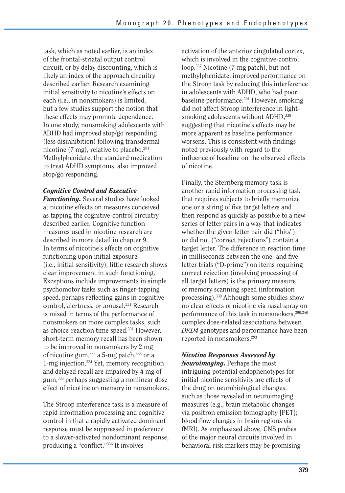task, which as noted earlier, is an index of the frontal-striatal output control circuit, or by delay discounting, which is likely an index of the approach circuitry described earlier. Research examining initial sensitivity to nicotine's effects on each (i.e., in nonsmokers) is limited, but a few studies support the notion that these effects may promote dependence. In one study, nonsmoking adolescents with ADHD had improved stop/go responding (less disinhibition) following transdermal nicotine (7 mg), relative to placebo. $201$ Methylphenidate, the standard medication to treat ADHD symptoms, also improved stop/go responding.

#### *Cognitive Control and Executive*

*Functioning.* Several studies have looked at nicotine effects on measures conceived as tapping the cognitive-control circuitry described earlier. Cognitive function measures used in nicotine research are described in more detail in chapter 9. In terms of nicotine's effects on cognitive functioning upon initial exposure (i.e., initial sensitivity), little research shows clear improvement in such functioning. Exceptions include improvements in simple psychomotor tasks such as finger-tapping speed, perhaps reflecting gains in cognitive control, alertness, or arousal.<sup>331</sup> Research is mixed in terms of the performance of nonsmokers on more complex tasks, such as choice-reaction time speed.331 However, short-term memory recall has been shown to be improved in nonsmokers by 2 mg of nicotine gum,<sup>332</sup> a 5-mg patch,<sup>333</sup> or a 1-mg injection.334 Yet, memory recognition and delayed recall are impaired by 4 mg of gum,335 perhaps suggesting a nonlinear dose effect of nicotine on memory in nonsmokers.

The Stroop interference task is a measure of rapid information processing and cognitive control in that a rapidly activated dominant response must be suppressed in preference to a slower-activated nondominant response, producing a "conflict."336 It involves

activation of the anterior cingulated cortex, which is involved in the cognitive-control loop.337 Nicotine (7-mg patch), but not methylphenidate, improved performance on the Stroop task by reducing this interference in adolescents with ADHD, who had poor baseline performance.<sup>201</sup> However, smoking did not affect Stroop interference in lightsmoking adolescents without ADHD, 338 suggesting that nicotine's effects may be more apparent as baseline performance worsens. This is consistent with findings noted previously with regard to the influence of baseline on the observed effects of nicotine.

Finally, the Sternberg memory task is another rapid information processing task that requires subjects to briefly memorize one or a string of five target letters and then respond as quickly as possible to a new series of letter pairs in a way that indicates whether the given letter pair did ("hits") or did not ("correct rejections") contain a target letter. The difference in reaction time in milliseconds between the one- and fiveletter trials ("D-prime") on items requiring correct rejection (involving processing of all target letters) is the primary measure of memory scanning speed (information processing).339 Although some studies show no clear effects of nicotine via nasal spray on performance of this task in nonsmokers,<sup>290,340</sup> complex dose-related associations between *DRD4* genotypes and performance have been reported in nonsmokers.293

#### *Nicotine Responses Assessed by*

*Neuroimaging.* Perhaps the most intriguing potential endophenotypes for initial nicotine sensitivity are effects of the drug on neurobiological changes, such as those revealed in neuroimaging measures (e.g., brain metabolic changes via positron emission tomography [PET]; blood flow changes in brain regions via fMRI). As emphasized above, CNS probes of the major neural circuits involved in behavioral risk markers may be promising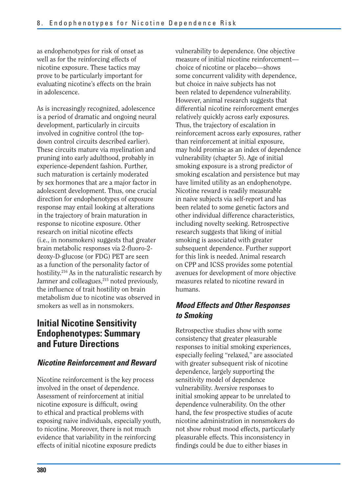as endophenotypes for risk of onset as well as for the reinforcing effects of nicotine exposure. These tactics may prove to be particularly important for evaluating nicotine's effects on the brain in adolescence.

As is increasingly recognized, adolescence is a period of dramatic and ongoing neural development, particularly in circuits involved in cognitive control (the topdown control circuits described earlier). These circuits mature via myelination and pruning into early adulthood, probably in experience-dependent fashion. Further, such maturation is certainly moderated by sex hormones that are a major factor in adolescent development. Thus, one crucial direction for endophenotypes of exposure response may entail looking at alterations in the trajectory of brain maturation in response to nicotine exposure. Other research on initial nicotine effects (i.e., in nonsmokers) suggests that greater brain metabolic responses via 2-fluoro-2deoxy-D-glucose (or FDG) PET are seen as a function of the personality factor of hostility.216 As in the naturalistic research by Jamner and colleagues,<sup>215</sup> noted previously, the influence of trait hostility on brain metabolism due to nicotine was observed in smokers as well as in nonsmokers.

# **Initial Nicotine Sensitivity Endophenotypes: Summary and Future Directions**

#### *Nicotine Reinforcement and Reward*

Nicotine reinforcement is the key process involved in the onset of dependence. Assessment of reinforcement at initial nicotine exposure is difficult, owing to ethical and practical problems with exposing naive individuals, especially youth, to nicotine. Moreover, there is not much evidence that variability in the reinforcing effects of initial nicotine exposure predicts

vulnerability to dependence. One objective measure of initial nicotine reinforcement choice of nicotine or placebo—shows some concurrent validity with dependence, but choice in naive subjects has not been related to dependence vulnerability. However, animal research suggests that differential nicotine reinforcement emerges relatively quickly across early exposures. Thus, the trajectory of escalation in reinforcement across early exposures, rather than reinforcement at initial exposure, may hold promise as an index of dependence vulnerability (chapter 5). Age of initial smoking exposure is a strong predictor of smoking escalation and persistence but may have limited utility as an endophenotype. Nicotine reward is readily measurable in naive subjects via self-report and has been related to some genetic factors and other individual difference characteristics, including novelty seeking. Retrospective research suggests that liking of initial smoking is associated with greater subsequent dependence. Further support for this link is needed. Animal research on CPP and ICSS provides some potential avenues for development of more objective measures related to nicotine reward in humans.

#### *Mood Effects and Other Responses to Smoking*

Retrospective studies show with some consistency that greater pleasurable responses to initial smoking experiences, especially feeling "relaxed," are associated with greater subsequent risk of nicotine dependence, largely supporting the sensitivity model of dependence vulnerability. Aversive responses to initial smoking appear to be unrelated to dependence vulnerability. On the other hand, the few prospective studies of acute nicotine administration in nonsmokers do not show robust mood effects, particularly pleasurable effects. This inconsistency in findings could be due to either biases in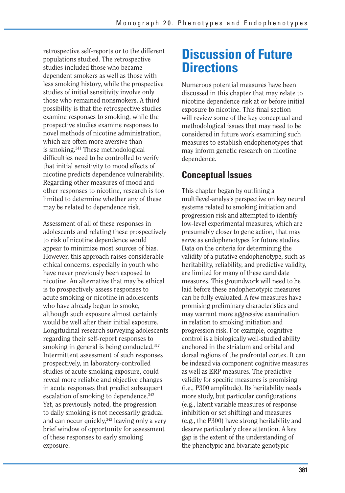retrospective self-reports or to the different populations studied. The retrospective studies included those who became dependent smokers as well as those with less smoking history, while the prospective studies of initial sensitivity involve only those who remained nonsmokers. A third possibility is that the retrospective studies examine responses to smoking, while the prospective studies examine responses to novel methods of nicotine administration, which are often more aversive than is smoking.341 These methodological difficulties need to be controlled to verify that initial sensitivity to mood effects of nicotine predicts dependence vulnerability. Regarding other measures of mood and other responses to nicotine, research is too limited to determine whether any of these may be related to dependence risk.

Assessment of all of these responses in adolescents and relating these prospectively to risk of nicotine dependence would appear to minimize most sources of bias. However, this approach raises considerable ethical concerns, especially in youth who have never previously been exposed to nicotine. An alternative that may be ethical is to prospectively assess responses to acute smoking or nicotine in adolescents who have already begun to smoke, although such exposure almost certainly would be well after their initial exposure. Longitudinal research surveying adolescents regarding their self-report responses to smoking in general is being conducted.<sup>317</sup> Intermittent assessment of such responses prospectively, in laboratory-controlled studies of acute smoking exposure, could reveal more reliable and objective changes in acute responses that predict subsequent escalation of smoking to dependence.<sup>342</sup> Yet, as previously noted, the progression to daily smoking is not necessarily gradual and can occur quickly,<sup>343</sup> leaving only a very brief window of opportunity for assessment of these responses to early smoking exposure.

# **Discussion of Future Directions**

Numerous potential measures have been discussed in this chapter that may relate to nicotine dependence risk at or before initial exposure to nicotine. This final section will review some of the key conceptual and methodological issues that may need to be considered in future work examining such measures to establish endophenotypes that may inform genetic research on nicotine dependence.

# **Conceptual Issues**

This chapter began by outlining a multilevel-analysis perspective on key neural systems related to smoking initiation and progression risk and attempted to identify low-level experimental measures, which are presumably closer to gene action, that may serve as endophenotypes for future studies. Data on the criteria for determining the validity of a putative endophenotype, such as heritability, reliability, and predictive validity, are limited for many of these candidate measures. This groundwork will need to be laid before these endophenotypic measures can be fully evaluated. A few measures have promising preliminary characteristics and may warrant more aggressive examination in relation to smoking initiation and progression risk. For example, cognitive control is a biologically well-studied ability anchored in the striatum and orbital and dorsal regions of the prefrontal cortex. It can be indexed via component cognitive measures as well as ERP measures. The predictive validity for specific measures is promising (i.e., P300 amplitude). Its heritability needs more study, but particular configurations (e.g., latent variable measures of response inhibition or set shifting) and measures (e.g., the P300) have strong heritability and deserve particularly close attention. A key gap is the extent of the understanding of the phenotypic and bivariate genotypic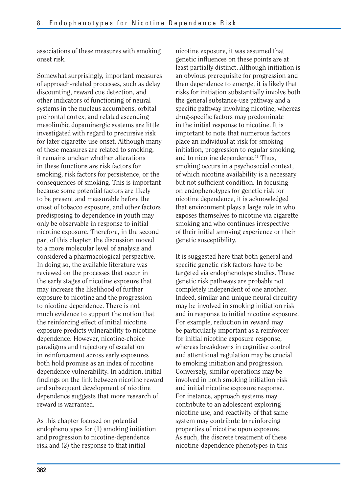associations of these measures with smoking onset risk.

Somewhat surprisingly, important measures of approach-related processes, such as delay discounting, reward cue detection, and other indicators of functioning of neural systems in the nucleus accumbens, orbital prefrontal cortex, and related ascending mesolimbic dopaminergic systems are little investigated with regard to precursive risk for later cigarette-use onset. Although many of these measures are related to smoking, it remains unclear whether alterations in these functions are risk factors for smoking, risk factors for persistence, or the consequences of smoking. This is important because some potential factors are likely to be present and measurable before the onset of tobacco exposure, and other factors predisposing to dependence in youth may only be observable in response to initial nicotine exposure. Therefore, in the second part of this chapter, the discussion moved to a more molecular level of analysis and considered a pharmacological perspective. In doing so, the available literature was reviewed on the processes that occur in the early stages of nicotine exposure that may increase the likelihood of further exposure to nicotine and the progression to nicotine dependence. There is not much evidence to support the notion that the reinforcing effect of initial nicotine exposure predicts vulnerability to nicotine dependence. However, nicotine-choice paradigms and trajectory of escalation in reinforcement across early exposures both hold promise as an index of nicotine dependence vulnerability. In addition, initial findings on the link between nicotine reward and subsequent development of nicotine dependence suggests that more research of reward is warranted.

As this chapter focused on potential endophenotypes for (1) smoking initiation and progression to nicotine-dependence risk and (2) the response to that initial

nicotine exposure, it was assumed that genetic influences on these points are at least partially distinct. Although initiation is an obvious prerequisite for progression and then dependence to emerge, it is likely that risks for initiation substantially involve both the general substance-use pathway and a specific pathway involving nicotine, whereas drug-specific factors may predominate in the initial response to nicotine. It is important to note that numerous factors place an individual at risk for smoking initiation, progression to regular smoking, and to nicotine dependence.<sup>41</sup> Thus, smoking occurs in a psychosocial context, of which nicotine availability is a necessary but not sufficient condition. In focusing on endophenotypes for genetic risk for nicotine dependence, it is acknowledged that environment plays a large role in who exposes themselves to nicotine via cigarette smoking and who continues irrespective of their initial smoking experience or their genetic susceptibility.

It is suggested here that both general and specific genetic risk factors have to be targeted via endophenotype studies. These genetic risk pathways are probably not completely independent of one another. Indeed, similar and unique neural circuitry may be involved in smoking initiation risk and in response to initial nicotine exposure. For example, reduction in reward may be particularly important as a reinforcer for initial nicotine exposure response, whereas breakdowns in cognitive control and attentional regulation may be crucial to smoking initiation and progression. Conversely, similar operations may be involved in both smoking initiation risk and initial nicotine exposure response. For instance, approach systems may contribute to an adolescent exploring nicotine use, and reactivity of that same system may contribute to reinforcing properties of nicotine upon exposure. As such, the discrete treatment of these nicotine-dependence phenotypes in this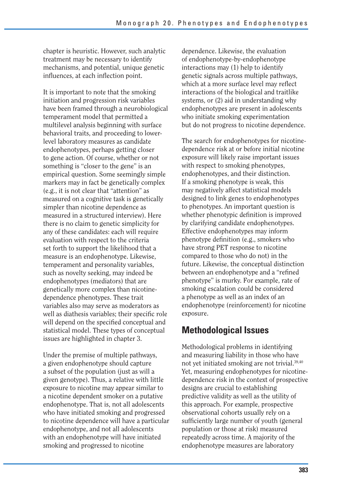chapter is heuristic. However, such analytic treatment may be necessary to identify mechanisms, and potential, unique genetic influences, at each inflection point.

It is important to note that the smoking initiation and progression risk variables have been framed through a neurobiological temperament model that permitted a multilevel analysis beginning with surface behavioral traits, and proceeding to lowerlevel laboratory measures as candidate endophenotypes, perhaps getting closer to gene action. Of course, whether or not something is "closer to the gene" is an empirical question. Some seemingly simple markers may in fact be genetically complex (e.g., it is not clear that "attention" as measured on a cognitive task is genetically simpler than nicotine dependence as measured in a structured interview). Here there is no claim to genetic simplicity for any of these candidates: each will require evaluation with respect to the criteria set forth to support the likelihood that a measure is an endophenotype. Likewise, temperament and personality variables, such as novelty seeking, may indeed be endophenotypes (mediators) that are genetically more complex than nicotinedependence phenotypes. These trait variables also may serve as moderators as well as diathesis variables; their specific role will depend on the specified conceptual and statistical model. These types of conceptual issues are highlighted in chapter 3.

Under the premise of multiple pathways, a given endophenotype should capture a subset of the population (just as will a given genotype). Thus, a relative with little exposure to nicotine may appear similar to a nicotine dependent smoker on a putative endophenotype. That is, not all adolescents who have initiated smoking and progressed to nicotine dependence will have a particular endophenotype, and not all adolescents with an endophenotype will have initiated smoking and progressed to nicotine

dependence. Likewise, the evaluation of endophenotype-by-endophenotype interactions may (1) help to identify genetic signals across multiple pathways, which at a more surface level may reflect interactions of the biological and traitlike systems, or (2) aid in understanding why endophenotypes are present in adolescents who initiate smoking experimentation but do not progress to nicotine dependence.

The search for endophenotypes for nicotinedependence risk at or before initial nicotine exposure will likely raise important issues with respect to smoking phenotypes, endophenotypes, and their distinction. If a smoking phenotype is weak, this may negatively affect statistical models designed to link genes to endophenotypes to phenotypes. An important question is whether phenotypic definition is improved by clarifying candidate endophenotypes. Effective endophenotypes may inform phenotype definition (e.g., smokers who have strong PET response to nicotine compared to those who do not) in the future. Likewise, the conceptual distinction between an endophenotype and a "refined phenotype" is murky. For example, rate of smoking escalation could be considered a phenotype as well as an index of an endophenotype (reinforcement) for nicotine exposure.

# **Methodological Issues**

Methodological problems in identifying and measuring liability in those who have not yet initiated smoking are not trivial.39,40 Yet, measuring endophenotypes for nicotinedependence risk in the context of prospective designs are crucial to establishing predictive validity as well as the utility of this approach. For example, prospective observational cohorts usually rely on a sufficiently large number of youth (general population or those at risk) measured repeatedly across time. A majority of the endophenotype measures are laboratory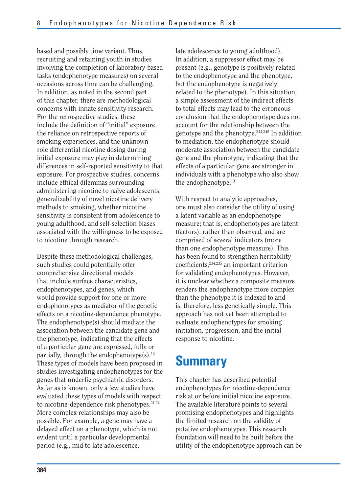based and possibly time variant. Thus, recruiting and retaining youth in studies involving the completion of laboratory-based tasks (endophenotype measures) on several occasions across time can be challenging. In addition, as noted in the second part of this chapter, there are methodological concerns with innate sensitivity research. For the retrospective studies, these include the definition of "initial" exposure, the reliance on retrospective reports of smoking experiences, and the unknown role differential nicotine dosing during initial exposure may play in determining differences in self-reported sensitivity to that exposure. For prospective studies, concerns include ethical dilemmas surrounding administering nicotine to naïve adolescents, generalizability of novel nicotine delivery methods to smoking, whether nicotine sensitivity is consistent from adolescence to young adulthood, and self-selection biases associated with the willingness to be exposed to nicotine through research.

Despite these methodological challenges, such studies could potentially offer comprehensive directional models that include surface characteristics, endophenotypes, and genes, which would provide support for one or more endophenotypes as mediator of the genetic effects on a nicotine-dependence phenotype. The endophenotype(s) should mediate the association between the candidate gene and the phenotype, indicating that the effects of a particular gene are expressed, fully or partially, through the endophenotype $(s)$ .<sup>13</sup> These types of models have been proposed in studies investigating endophenotypes for the genes that underlie psychiatric disorders. As far as is known, only a few studies have evaluated these types of models with respect to nicotine-dependence risk phenotypes.21,24 More complex relationships may also be possible. For example, a gene may have a delayed effect on a phenotype, which is not evident until a particular developmental period (e.g., mid to late adolescence,

late adolescence to young adulthood). In addition, a suppressor effect may be present (e.g., genotype is positively related to the endophenotype and the phenotype, but the endophenotype is negatively related to the phenotype). In this situation, a simple assessment of the indirect effects to total effects may lead to the erroneous conclusion that the endophenotype does not account for the relationship between the genotype and the phenotype.344,345 In addition to mediation, the endophenotype should moderate association between the candidate gene and the phenotype, indicating that the effects of a particular gene are stronger in individuals with a phenotype who also show the endophenotype.13

With respect to analytic approaches, one must also consider the utility of using a latent variable as an endophenotype measure; that is, endophenotypes are latent (factors), rather than observed, and are comprised of several indicators (more than one endophenotype measure). This has been found to strengthen heritability coefficients,<sup>234,235</sup> an important criterion for validating endophenotypes. However, it is unclear whether a composite measure renders the endophenotype more complex than the phenotype it is indexed to and is, therefore, less genetically simple. This approach has not yet been attempted to evaluate endophenotypes for smoking initiation, progression, and the initial response to nicotine.

# **Summary**

This chapter has described potential endophenotypes for nicotine-dependence risk at or before initial nicotine exposure. The available literature points to several promising endophenotypes and highlights the limited research on the validity of putative endophenotypes. This research foundation will need to be built before the utility of the endophenotype approach can be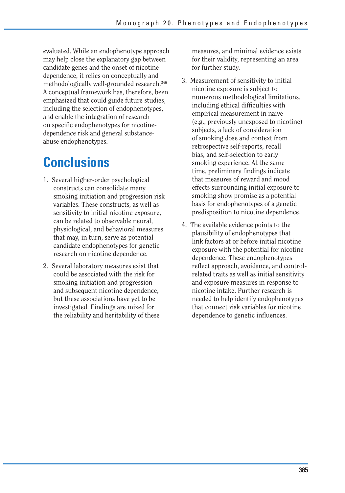evaluated. While an endophenotype approach may help close the explanatory gap between candidate genes and the onset of nicotine dependence, it relies on conceptually and methodologically well-grounded research.346 A conceptual framework has, therefore, been emphasized that could guide future studies, including the selection of endophenotypes, and enable the integration of research on specific endophenotypes for nicotinedependence risk and general substanceabuse endophenotypes.

# **Conclusions**

- 1. Several higher-order psychological constructs can consolidate many smoking initiation and progression risk variables. These constructs, as well as sensitivity to initial nicotine exposure, can be related to observable neural, physiological, and behavioral measures that may, in turn, serve as potential candidate endophenotypes for genetic research on nicotine dependence.
- 2. Several laboratory measures exist that could be associated with the risk for smoking initiation and progression and subsequent nicotine dependence, but these associations have yet to be investigated. Findings are mixed for the reliability and heritability of these

measures, and minimal evidence exists for their validity, representing an area for further study.

- 3. Measurement of sensitivity to initial nicotine exposure is subject to numerous methodological limitations, including ethical difficulties with empirical measurement in naive (e.g., previously unexposed to nicotine) subjects, a lack of consideration of smoking dose and context from retrospective self-reports, recall bias, and self-selection to early smoking experience. At the same time, preliminary findings indicate that measures of reward and mood effects surrounding initial exposure to smoking show promise as a potential basis for endophenotypes of a genetic predisposition to nicotine dependence.
- 4. The available evidence points to the plausibility of endophenotypes that link factors at or before initial nicotine exposure with the potential for nicotine dependence. These endophenotypes reflect approach, avoidance, and controlrelated traits as well as initial sensitivity and exposure measures in response to nicotine intake. Further research is needed to help identify endophenotypes that connect risk variables for nicotine dependence to genetic influences.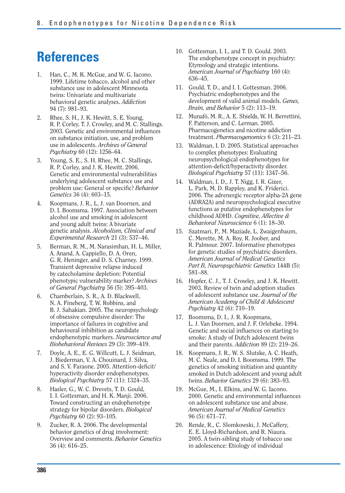# **References**

- 1. Han, C., M. K. McGue, and W. G. Iacono. 1999. Lifetime tobacco, alcohol and other substance use in adolescent Minnesota twins: Univariate and multivariate behavioral genetic analyses. *Addiction*  94 (7): 981–93.
- 2. Rhee, S. H., J. K. Hewitt, S. E. Young, R. P. Corley, T. J. Crowley, and M. C. Stallings. 2003. Genetic and environmental influences on substance initiation, use, and problem use in adolescents. *Archives of General Psychiatry* 60 (12): 1256–64.
- 3. Young, S. E., S. H. Rhee, M. C. Stallings, R. P. Corley, and J. K. Hewitt. 2006. Genetic and environmental vulnerabilities underlying adolescent substance use and problem use: General or specific? Behavior *Genetics* 36 (4): 603–15.
- 4. Koopmans, J. R., L. J. van Doornen, and D. I. Boomsma. 1997. Association between alcohol use and smoking in adolescent and young adult twins: A bivariate genetic analysis. *Alcoholism, Clinical and Experimental Research* 21 (3): 537–46.
- 5. Berman, R. M., M. Narasimhan, H. L. Miller, A. Anand, A. Cappiello, D. A. Oren, G. R. Heninger, and D. S. Charney. 1999. Transient depressive relapse induced by catecholamine depletion: Potential phenotypic vulnerability marker? *Archives of General Psychiatry* 56 (5): 395–403.
- 6. Chamberlain, S. R., A. D. Blackwell, N. A. Fineberg, T. W. Robbins, and B. J. Sahakian. 2005. The neuropsychology of obsessive compulsive disorder: The importance of failures in cognitive and behavioural inhibition as candidate endophenotypic markers. *Neuroscience and Biobehavioral Reviews* 29 (3): 399–419.
- 7. Doyle, A. E., E. G. Willcutt, L. J. Seidman, J. Biederman, V. A. Chouinard, J. Silva, and S. V. Faraone. 2005. Attention-deficit/ hyperactivity disorder endophenotypes. *Biological Psychiatry* 57 (11): 1324–35.
- 8. Hasler, G., W. C. Drevets, T. D. Gould, I. I. Gottesman, and H. K. Manji. 2006. Toward constructing an endophenotype strategy for bipolar disorders. *Biological Psychiatry* 60 (2): 93–105.
- 9. Zucker, R. A. 2006. The developmental behavior genetics of drug involvement: Overview and comments. *Behavior Genetics*  36 (4): 616–25.
- 10. Gottesman, I. I., and T. D. Gould. 2003. The endophenotype concept in psychiatry: Etymology and strategic intentions. *American Journal of Psychiatry* 160 (4): 636–45.
- 11. Gould, T. D., and I. I. Gottesman. 2006. Psychiatric endophenotypes and the development of valid animal models. *Genes, Brain, and Behavior* 5 (2): 113–19.
- 12. Munafó, M. R., A. E. Shields, W. H. Berrettini, F. Patterson, and C. Lerman. 2005. Pharmacogenetics and nicotine addiction treatment. *Pharmacogenomics* 6 (3): 211–23.
- 13. Waldman, I. D. 2005. Statistical approaches to complex phenotypes: Evaluating neuropsychological endophenotypes for attention-deficit/hyperactivity disorder. *Biological Psychiatry* 57 (11): 1347–56.
- 14. Waldman, I. D., J. T. Nigg, I. R. Gizer, L. Park, M. D. Rappley, and K. Friderici. 2006. The adrenergic receptor alpha-2A gene (ADRA2A) and neuropsychological executive functions as putative endophenotypes for childhood ADHD. *Cognitive, Affective & Behavioral Neuroscience* 6 (1): 18–30.
- 15. Szatmari, P., M. Maziade, L. Zwaigenbaum, C. Merette, M. A. Roy, R. Joober, and R. Palmour. 2007. Informative phenotypes for genetic studies of psychiatric disorders. *American Journal of Medical Genetics Part B, Neuropsychiatric Genetics* 144B (5): 581–88.
- 16. Hopfer, C. J., T. J. Crowley, and J. K. Hewitt. 2003. Review of twin and adoption studies of adolescent substance use. *Journal of the American Academy of Child & Adolescent Psychiatry* 42 (6): 710–19.
- 17. Boomsma, D. I., J. R. Koopmans, L. J. Van Doornen, and J. F. Orlebeke. 1994. Genetic and social influences on starting to smoke: A study of Dutch adolescent twins and their parents. *Addiction* 89 (2): 219–26.
- 18. Koopmans, J. R., W. S. Slutske, A. C. Heath, M. C. Neale, and D. I. Boomsma. 1999. The genetics of smoking initiation and quantity smoked in Dutch adolescent and young adult twins. *Behavior Genetics* 29 (6): 383–93.
- 19. McGue, M., I. Elkins, and W. G. Iacono. 2000. Genetic and environmental influences on adolescent substance use and abuse. *American Journal of Medical Genetics*  96 (5): 671–77.
- 20. Rende, R., C. Slomkowski, J. McCaffery, E. E. Lloyd-Richardson, and R. Niaura. 2005. A twin-sibling study of tobacco use in adolescence: Etiology of individual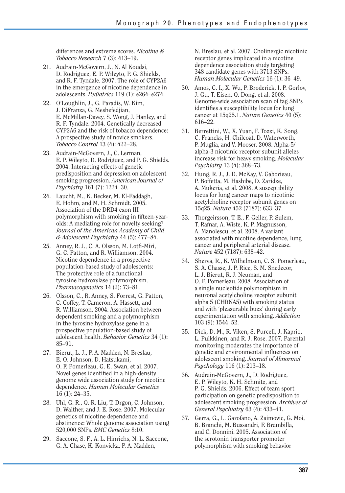differences and extreme scores. *Nicotine & Tobacco Research* 7 (3): 413–19.

- 21. Audrain-McGovern, J., N. Al Koudsi, D. Rodriguez, E. P. Wileyto, P. G. Shields, and R. F. Tyndale. 2007. The role of CYP2A6 in the emergence of nicotine dependence in adolescents. *Pediatrics* 119 (1): e264–e274.
- 22. O'Loughlin, J., G. Paradis, W. Kim, J. DiFranza, G. Meshefedjian, E. McMillan-Davey, S. Wong, J. Hanley, and R. F. Tyndale. 2004. Genetically decreased CYP2A6 and the risk of tobacco dependence: A prospective study of novice smokers. *Tobacco Control* 13 (4): 422–28.
- 23. Audrain-McGovern, J., C. Lerman, E. P. Wileyto, D. Rodriguez, and P. G. Shields. 2004. Interacting effects of genetic predisposition and depression on adolescent smoking progression. *American Journal of Psychiatry* 161 (7): 1224–30.
- 24. Laucht, M., K. Becker, M. El-Faddagh, E. Hohm, and M. H. Schmidt. 2005. Association of the DRD4 exon III polymorphism with smoking in fifteen-yearolds: A mediating role for novelty seeking? *Journal of the American Academy of Child & Adolescent Psychiatry* 44 (5): 477–84.
- 25. Anney, R. J., C. A. Olsson, M. Lotfi-Miri, G. C. Patton, and R. Williamson. 2004. Nicotine dependence in a prospective population-based study of adolescents: The protective role of a functional tyrosine hydroxylase polymorphism. *Pharmacogenetics* 14 (2): 73–81.
- 26. Olsson, C., R. Anney, S. Forrest, G. Patton, C. Coffey, T. Cameron, A. Hassett, and R. Williamson. 2004. Association between dependent smoking and a polymorphism in the tyrosine hydroxylase gene in a prospective population-based study of adolescent health. *Behavior Genetics* 34 (1): 85–91.
- 27. Bierut, L. J., P. A. Madden, N. Breslau, E. O. Johnson, D. Hatsukami, O. F. Pomerleau, G. E. Swan, et al. 2007. Novel genes identified in a high-density genome wide association study for nicotine dependence. *Human Molecular Genetics*  16 (1): 24–35.
- 28. Uhl, G. R., Q. R. Liu, T. Drgon, C. Johnson, D. Walther, and J. E. Rose. 2007. Molecular genetics of nicotine dependence and abstinence: Whole genome association using 520,000 SNPs. *BMC Genetics* 8:10.
- 29. Saccone, S. F., A. L. Hinrichs, N. L. Saccone, G. A. Chase, K. Konvicka, P. A. Madden,

N. Breslau, et al. 2007. Cholinergic nicotinic receptor genes implicated in a nicotine dependence association study targeting 348 candidate genes with 3713 SNPs. *Human Molecular Genetics* 16 (1): 36–49.

- 30. Amos, C. I., X. Wu, P. Broderick, I. P. Gorlov, J. Gu, T. Eisen, Q. Dong, et al. 2008. Genome-wide association scan of tag SNPs identifies a susceptibility locus for lung cancer at 15q25.1. *Nature Genetics* 40 (5): 616–22.
- 31. Berrettini, W., X. Yuan, F. Tozzi, K. Song, C. Francks, H. Chilcoat, D. Waterworth, P. Muglia, and V. Mooser. 2008. Alpha-5/ alpha-3 nicotinic receptor subunit alleles increase risk for heavy smoking. *Molecular Psychiatry* 13 (4): 368–73.
- 32. Hung, R. J., J. D. McKay, V. Gaborieau, P. Boffetta, M. Hashibe, D. Zaridze, A. Mukeria, et al. 2008. A susceptibility locus for lung cancer maps to nicotinic acetylcholine receptor subunit genes on 15q25. *Nature* 452 (7187): 633–37.
- 33. Thorgeirsson, T. E., F. Geller, P. Sulem, T. Rafnar, A. Wiste, K. P. Magnusson, A. Manolescu, et al. 2008. A variant associated with nicotine dependence, lung cancer and peripheral arterial disease. *Nature* 452 (7187): 638–42.
- 34. Sherva, R., K. Wilhelmsen, C. S. Pomerleau, S. A. Chasse, J. P. Rice, S. M. Snedecor, L. J. Bierut, R. J. Neuman, and O. F. Pomerleau. 2008. Association of a single nucleotide polymorphism in neuronal acetylcholine receptor subunit alpha 5 (CHRNA5) with smoking status and with 'pleasurable buzz' during early experimentation with smoking. *Addiction*  103 (9): 1544–52.
- 35. Dick, D. M., R. Viken, S. Purcell, J. Kaprio, L. Pulkkinen, and R. J. Rose. 2007. Parental monitoring moderates the importance of genetic and environmental influences on adolescent smoking. *Journal of Abnormal Psychology* 116 (1): 213–18.
- 36. Audrain-McGovern, J., D. Rodriguez, E. P. Wileyto, K. H. Schmitz, and P. G. Shields. 2006. Effect of team sport participation on genetic predisposition to adolescent smoking progression. *Archives of General Psychiatry* 63 (4): 433–41.
- 37. Gerra, G., L. Garofano, A. Zaimovic, G. Moi, B. Branchi, M. Bussandri, F. Brambilla, and C. Donnini. 2005. Association of the serotonin transporter promoter polymorphism with smoking behavior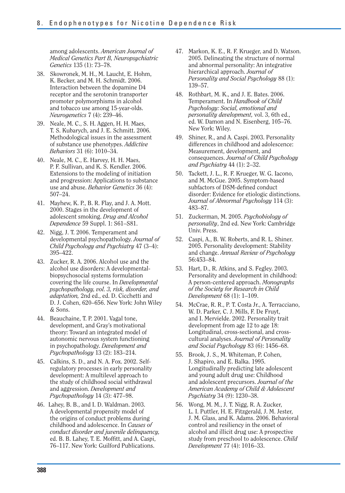among adolescents. *American Journal of Medical Genetics Part B, Neuropsychiatric Genetics* 135 (1): 73–78.

- 38. Skowronek, M. H., M. Laucht, E. Hohm, K. Becker, and M. H. Schmidt. 2006. Interaction between the dopamine D4 receptor and the serotonin transporter promoter polymorphisms in alcohol and tobacco use among 15-year-olds. *Neurogenetics* 7 (4): 239–46.
- 39. Neale, M. C., S. H. Aggen, H. H. Maes, T. S. Kubarych, and J. E. Schmitt. 2006. Methodological issues in the assessment of substance use phenotypes. *Addictive Behaviors* 31 (6): 1010–34.
- 40. Neale, M. C., E. Harvey, H. H. Maes, P. F. Sullivan, and K. S. Kendler. 2006. Extensions to the modeling of initiation and progression: Applications to substance use and abuse. *Behavior Genetics* 36 (4): 507–24.
- 41. Mayhew, K. P., B. R. Flay, and J. A. Mott. 2000. Stages in the development of adolescent smoking. *Drug and Alcohol Dependence* 59 Suppl. 1: S61–S81.
- 42. Nigg, J. T. 2006. Temperament and developmental psychopathology. *Journal of Child Psychology and Psychiatry* 47 (3–4): 395–422.
- 43. Zucker, R. A. 2006. Alcohol use and the alcohol use disorders: A developmentalbiopsychosocial systems formulation covering the life course. In *Developmental psychopathology, vol. 3, risk, disorder, and adaptation,* 2nd ed., ed. D. Cicchetti and D. J. Cohen, 620–656. New York: John Wiley & Sons.
- 44. Beauchaine, T. P. 2001. Vagal tone, development, and Gray's motivational theory: Toward an integrated model of autonomic nervous system functioning in psychopathology. *Development and Psychopathology* 13 (2): 183–214.
- 45. Calkins, S. D., and N. A. Fox. 2002. Selfregulatory processes in early personality development: A multilevel approach to the study of childhood social withdrawal and aggression. *Development and Psychopathology* 14 (3): 477–98.
- 46. Lahey, B. B., and I. D. Waldman. 2003. A developmental propensity model of the origins of conduct problems during childhood and adolescence. In *Causes of conduct disorder and juvenile delinquency,*  ed. B. B. Lahey, T. E. Moffitt, and A. Caspi, 76–117. New York: Guilford Publications.
- 47. Markon, K. E., R. F. Krueger, and D. Watson. 2005. Delineating the structure of normal and abnormal personality: An integrative hierarchical approach. *Journal of Personality and Social Psychology* 88 (1): 139–57.
- 48. Rothbart, M. K., and J. E. Bates. 2006. Temperament. In *Handbook of Child Psychology: Social, emotional and personality development,* vol. 3, 6th ed., ed. W. Damon and N. Eisenberg, 105–76. New York: Wiley.
- 49. Shiner, R., and A. Caspi. 2003. Personality differences in childhood and adolescence: Measurement, development, and consequences. *Journal of Child Psychology and Psychiatry* 44 (1): 2–32.
- 50. Tackett, J. L., R. F. Krueger, W. G. Iacono, and M. McGue. 2005. Symptom-based subfactors of DSM-defined conduct disorder: Evidence for etiologic distinctions. *Journal of Abnormal Psychology* 114 (3): 483–87.
- 51. Zuckerman, M. 2005. *Psychobiology of personality*, 2nd ed. New York: Cambridge Univ. Press.
- 52. Caspi, A., B. W. Roberts, and R. L. Shiner. 2005. Personality development: Stability and change. *Annual Review of Psychology*  56:453–84.
- 53. Hart, D., R. Atkins, and S. Fegley. 2003. Personality and development in childhood: A person-centered approach. *Monographs of the Society for Research in Child Development* 68 (1): 1–109.
- 54. McCrae, R. R., P. T. Costa Jr., A. Terracciano, W. D. Parker, C. J. Mills, F. De Fruyt, and I. Mervielde. 2002. Personality trait development from age 12 to age 18: Longitudinal, cross-sectional, and crosscultural analyses. *Journal of Personality and Social Psychology* 83 (6): 1456–68.
- 55. Brook, J. S., M. Whiteman, P. Cohen, J. Shapiro, and E. Balka. 1995. Longitudinally predicting late adolescent and young adult drug use: Childhood and adolescent precursors. *Journal of the American Academy of Child & Adolescent Psychiatry* 34 (9): 1230–38.
- 56. Wong, M. M., J. T. Nigg, R. A. Zucker, L. I. Puttler, H. E. Fitzgerald, J. M. Jester, J. M. Glass, and K. Adams. 2006. Behavioral control and resiliency in the onset of alcohol and illicit drug use: A prospective study from preschool to adolescence. *Child Development* 77 (4): 1016–33.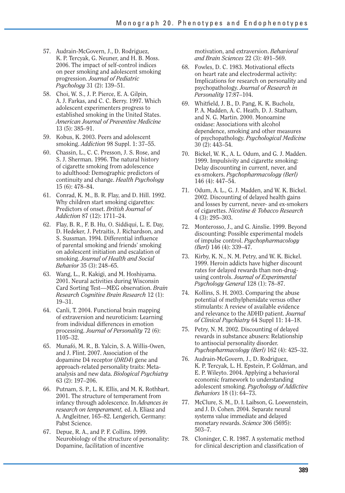- 57. Audrain-McGovern, J., D. Rodriguez, K. P. Tercyak, G. Neuner, and H. B. Moss. 2006. The impact of self-control indices on peer smoking and adolescent smoking progression. *Journal of Pediatric Psychology* 31 (2): 139–51.
- 58. Choi, W. S., J. P. Pierce, E. A. Gilpin, A. J. Farkas, and C. C. Berry. 1997. Which adolescent experimenters progress to established smoking in the United States. *American Journal of Preventive Medicine*  13 (5): 385–91.
- 59. Kobus, K. 2003. Peers and adolescent smoking. *Addiction* 98 Suppl. 1: 37–55.
- 60. Chassin, L., C. C. Presson, J. S. Rose, and S. J. Sherman. 1996. The natural history of cigarette smoking from adolescence to adulthood: Demographic predictors of continuity and change. *Health Psychology*  15 (6): 478–84.
- 61. Conrad, K. M., B. R. Flay, and D. Hill. 1992. Why children start smoking cigarettes: Predictors of onset. *British Journal of Addiction* 87 (12): 1711–24.
- 62. Flay, B. R., F. B. Hu, O. Siddiqui, L. E. Day, D. Hedeker, J. Petraitis, J. Richardson, and S. Sussman. 1994. Differential influence of parental smoking and friends' smoking on adolescent initiation and escalation of smoking. *Journal of Health and Social Behavior* 35 (3): 248–65.
- 63. Wang, L., R. Kakigi, and M. Hoshiyama. 2001. Neural activities during Wisconsin Card Sorting Test—MEG observation. *Brain Research Cognitive Brain Research* 12 (1): 19–31.
- 64. Canli, T. 2004. Functional brain mapping of extraversion and neuroticism: Learning from individual differences in emotion processing. *Journal of Personality* 72 (6): 1105–32.
- 65. Munafó, M. R., B. Yalcin, S. A. Willis-Owen, and J. Flint. 2007. Association of the dopamine D4 receptor (*DRD4*) gene and approach-related personality traits: Metaanalysis and new data. *Biological Psychiatry*  63 (2): 197–206.
- 66. Putnam, S. P., L. K. Ellis, and M. K. Rothbart. 2001. The structure of temperament from infancy through adolescence. In *Advances in research on temperament,* ed. A. Eliasz and A. Angleitner, 165–82. Lengerich, Germany: Pabst Science.
- 67. Depue, R. A., and P. F. Collins. 1999. Neurobiology of the structure of personality: Dopamine, facilitation of incentive

motivation, and extraversion. *Behavioral and Brain Sciences* 22 (3): 491–569.

- 68. Fowles, D. C. 1983. Motivational effects on heart rate and electrodermal activity: Implications for research on personality and psychopathology. *Journal of Research in Personality* 17:87–104.
- 69. Whitfield, J. B., D. Pang, K. K. Bucholz, P. A. Madden, A. C. Heath, D. J. Statham, and N. G. Martin. 2000. Monoamine oxidase: Associations with alcohol dependence, smoking and other measures of psychopathology. *Psychological Medicine*  30 (2): 443–54.
- 70. Bickel, W. K., A. L. Odum, and G. J. Madden. 1999. Impulsivity and cigarette smoking: Delay discounting in current, never, and ex-smokers. *Psychopharmacology (Berl)*  146 (4): 447–54.
- 71. Odum, A. L., G. J. Madden, and W. K. Bickel. 2002. Discounting of delayed health gains and losses by current, never- and ex-smokers of cigarettes. *Nicotine & Tobacco Research*  4 (3): 295–303.
- 72. Monterosso, J., and G. Ainslie. 1999. Beyond discounting: Possible experimental models of impulse control. *Psychopharmacology (Berl)* 146 (4): 339–47.
- 73. Kirby, K. N., N. M. Petry, and W. K. Bickel. 1999. Heroin addicts have higher discount rates for delayed rewards than non-drugusing controls. *Journal of Experimental Psychology General* 128 (1): 78–87.
- 74. Kollins, S. H. 2003. Comparing the abuse potential of methylphenidate versus other stimulants: A review of available evidence and relevance to the ADHD patient. *Journal of Clinical Psychiatry* 64 Suppl 11: 14–18.
- 75. Petry, N. M. 2002. Discounting of delayed rewards in substance abusers: Relationship to antisocial personality disorder. *Psychopharmacology (Berl)* 162 (4): 425–32.
- 76. Audrain-McGovern, J., D. Rodriguez, K. P. Tercyak, L. H. Epstein, P. Goldman, and E. P. Wileyto. 2004. Applying a behavioral economic framework to understanding adolescent smoking. *Psychology of Addictive Behaviors* 18 (1): 64–73.
- 77. McClure, S. M., D. I. Laibson, G. Loewenstein, and J. D. Cohen. 2004. Separate neural systems value immediate and delayed monetary rewards. *Science* 306 (5695): 503–7.
- 78. Cloninger, C. R. 1987. A systematic method for clinical description and classification of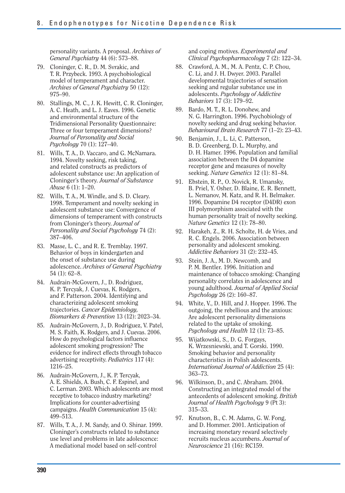personality variants. A proposal. *Archives of General Psychiatry* 44 (6): 573–88.

- 79. Cloninger, C. R., D. M. Svrakic, and T. R. Przybeck. 1993. A psychobiological model of temperament and character. *Archives of General Psychiatry* 50 (12): 975–90.
- 80. Stallings, M. C., J. K. Hewitt, C. R. Cloninger, A. C. Heath, and L. J. Eaves. 1996. Genetic and environmental structure of the Tridimensional Personality Questionnaire: Three or four temperament dimensions? *Journal of Personality and Social Psychology* 70 (1): 127–40.
- 81. Wills, T. A., D. Vaccaro, and G. McNamara. 1994. Novelty seeking, risk taking, and related constructs as predictors of adolescent substance use: An application of Cloninger's theory. *Journal of Substance Abuse* 6 (1): 1–20.
- 82. Wills, T. A., M. Windle, and S. D. Cleary. 1998. Temperament and novelty seeking in adolescent substance use: Convergence of dimensions of temperament with constructs from Cloninger's theory. *Journal of Personality and Social Psychology* 74 (2): 387–406.
- 83. Masse, L. C., and R. E. Tremblay. 1997. Behavior of boys in kindergarten and the onset of substance use during adolescence. *Archives of General Psychiatry*  54 (1): 62–8.
- 84. Audrain-McGovern, J., D. Rodriguez, K. P. Tercyak, J. Cuevas, K. Rodgers, and F. Patterson. 2004. Identifying and characterizing adolescent smoking trajectories. *Cancer Epidemiology, Biomarkers & Prevention* 13 (12): 2023–34.
- 85. Audrain-McGovern, J., D. Rodriguez, V. Patel, M. S. Faith, K. Rodgers, and J. Cuevas. 2006. How do psychological factors influence adolescent smoking progression? The evidence for indirect effects through tobacco advertising receptivity. *Pediatrics* 117 (4): 1216–25.
- 86. Audrain-McGovern, J., K. P. Tercyak, A. E. Shields, A. Bush, C. F. Espinel, and C. Lerman. 2003. Which adolescents are most receptive to tobacco industry marketing? Implications for counter-advertising campaigns. *Health Communication* 15 (4): 499–513.
- 87. Wills, T. A., J. M. Sandy, and O. Shinar. 1999. Cloninger's constructs related to substance use level and problems in late adolescence: A mediational model based on self-control

and coping motives. *Experimental and Clinical Psychopharmacology* 7 (2): 122–34.

- 88. Crawford, A. M., M. A. Pentz, C. P. Chou, C. Li, and J. H. Dwyer. 2003. Parallel developmental trajectories of sensation seeking and regular substance use in adolescents. *Psychology of Addictive Behaviors* 17 (3): 179–92.
- 89. Bardo, M. T., R. L. Donohew, and N. G. Harrington. 1996. Psychobiology of novelty seeking and drug seeking behavior. *Behavioural Brain Research* 77 (1–2): 23–43.
- 90. Benjamin, J., L. Li, C. Patterson, B. D. Greenberg, D. L. Murphy, and D. H. Hamer. 1996. Population and familial association between the D4 dopamine receptor gene and measures of novelty seeking. *Nature Genetics* 12 (1): 81–84.
- 91. Ebstein, R. P., O. Novick, R. Umansky, B. Priel, Y. Osher, D. Blaine, E. R. Bennett, L. Nemanov, M. Katz, and R. H. Belmaker. 1996. Dopamine D4 receptor (D4DR) exon III polymorphism associated with the human personality trait of novelty seeking. *Nature Genetics* 12 (1): 78–80.
- 92. Harakeh, Z., R. H. Scholte, H. de Vries, and R. C. Engels. 2006. Association between personality and adolescent smoking. *Addictive Behaviors* 31 (2): 232–45.
- 93. Stein, J. A., M. D. Newcomb, and P. M. Bentler. 1996. Initiation and maintenance of tobacco smoking: Changing personality correlates in adolescence and young adulthood. *Journal of Applied Social Psychology* 26 (2): 160–87.
- 94. White, V., D. Hill, and J. Hopper. 1996. The outgoing, the rebellious and the anxious: Are adolescent personality dimensions related to the uptake of smoking. *Psychology and Health* 12 (1): 73–85.
- 95. Wijatkowski, S., D. G. Forgays, K. Wrzesniewski, and T. Gorski. 1990. Smoking behavior and personality characteristics in Polish adolescents. *International Journal of Addiction* 25 (4): 363–73.
- 96. Wilkinson, D., and C. Abraham. 2004. Constructing an integrated model of the antecedents of adolescent smoking. *British Journal of Health Psychology* 9 (Pt 3): 315–33.
- 97. Knutson, B., C. M. Adams, G. W. Fong, and D. Hommer. 2001. Anticipation of increasing monetary reward selectively recruits nucleus accumbens. *Journal of Neuroscience* 21 (16): RC159.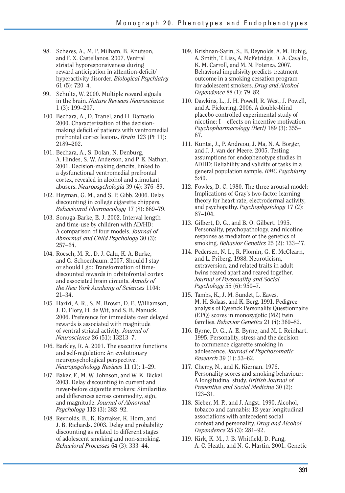- 98. Scheres, A., M. P. Milham, B. Knutson, and F. X. Castellanos. 2007. Ventral striatal hyporesponsiveness during reward anticipation in attention-deficit/ hyperactivity disorder. *Biological Psychiatry*  61 (5): 720–4.
- 99. Schultz, W. 2000. Multiple reward signals in the brain. *Nature Reviews Neuroscience*  1 (3): 199–207.
- 100. Bechara, A., D. Tranel, and H. Damasio. 2000. Characterization of the decisionmaking deficit of patients with ventromedial prefrontal cortex lesions. *Brain* 123 (Pt 11): 2189–202.
- 101. Bechara, A., S. Dolan, N. Denburg, A. Hindes, S. W. Anderson, and P. E. Nathan. 2001. Decision-making deficits, linked to a dysfunctional ventromedial prefrontal cortex, revealed in alcohol and stimulant abusers. *Neuropsychologia* 39 (4): 376–89.
- 102. Heyman, G. M., and S. P. Gibb. 2006. Delay discounting in college cigarette chippers. *Behavioural Pharmacology* 17 (8): 669–79.
- 103. Sonuga-Barke, E. J. 2002. Interval length and time-use by children with AD/HD: A comparison of four models. *Journal of Abnormal and Child Psychology* 30 (3): 257–64.
- 104. Roesch, M. R., D. J. Calu, K. A. Burke, and G. Schoenbaum. 2007. Should I stay or should I go: Transformation of timediscounted rewards in orbitofrontal cortex and associated brain circuits. *Annals of the New York Academy of Sciences* 1104: 21–34.
- 105. Hariri, A. R., S. M. Brown, D. E. Williamson, J. D. Flory, H. de Wit, and S. B. Manuck. 2006. Preference for immediate over delayed rewards is associated with magnitude of ventral striatal activity. *Journal of Neuroscience* 26 (51): 13213–7.
- 106. Barkley, R. A. 2001. The executive functions and self-regulation: An evolutionary neuropsychological perspective. *Neuropsychology Reviews* 11 (1): 1–29.
- 107. Baker, F., M. W. Johnson, and W. K. Bickel. 2003. Delay discounting in current and never-before cigarette smokers: Similarities and differences across commodity, sign, and magnitude. *Journal of Abnormal Psychology* 112 (3): 382–92.
- 108. Reynolds, B., K. Karraker, K. Horn, and J. B. Richards. 2003. Delay and probability discounting as related to different stages of adolescent smoking and non-smoking. *Behavioral Processes* 64 (3): 333–44.
- 109. Krishnan-Sarin, S., B. Reynolds, A. M. Duhig, A. Smith, T. Liss, A. McFetridge, D. A. Cavallo, K. M. Carroll, and M. N. Potenza. 2007. Behavioral impulsivity predicts treatment outcome in a smoking cessation program for adolescent smokers. *Drug and Alcohol Dependence* 88 (1): 79–82.
- 110. Dawkins, L., J. H. Powell, R. West, J. Powell, and A. Pickering. 2006. A double-blind placebo controlled experimental study of nicotine: I—effects on incentive motivation. *Psychopharmacology (Berl)* 189 (3): 355– 67.
- 111. Kuntsi, J., P. Andreou, J. Ma, N. A. Borger, and J. J. van der Meere. 2005. Testing assumptions for endophenotype studies in ADHD: Reliability and validity of tasks in a general population sample. *BMC Psychiatry*  5:40.
- 112. Fowles, D. C. 1980. The three arousal model: Implications of Gray's two-factor learning theory for heart rate, electrodermal activity, and psychopathy. *Psychophysiology* 17 (2): 87–104.
- 113. Gilbert, D. G., and B. O. Gilbert. 1995. Personality, psychopathology, and nicotine response as mediators of the genetics of smoking. *Behavior Genetics* 25 (2): 133–47.
- 114. Pedersen, N. L., R. Plomin, G. E. McClearn, and L. Friberg. 1988. Neuroticism, extraversion, and related traits in adult twins reared apart and reared together. *Journal of Personality and Social Psychology* 55 (6): 950–7.
- 115. Tambs, K., J. M. Sundet, L. Eaves, M. H. Solaas, and K. Berg. 1991. Pedigree analysis of Eysenck Personality Questionnaire (EPQ) scores in monozygotic (MZ) twin families. *Behavior Genetics* 21 (4): 369–82.
- 116. Byrne, D. G., A. E. Byrne, and M. I. Reinhart. 1995. Personality, stress and the decision to commence cigarette smoking in adolescence. *Journal of Psychosomatic Research* 39 (1): 53–62.
- 117. Cherry, N., and K. Kiernan. 1976. Personality scores and smoking behaviour: A longitudinal study. *British Journal of Preventive and Social Medicine* 30 (2): 123–31.
- 118. Sieber, M. F., and J. Angst. 1990. Alcohol, tobacco and cannabis: 12-year longitudinal associations with antecedent social context and personality. *Drug and Alcohol Dependence* 25 (3): 281–92.
- 119. Kirk, K. M., J. B. Whitfield, D. Pang, A. C. Heath, and N. G. Martin. 2001. Genetic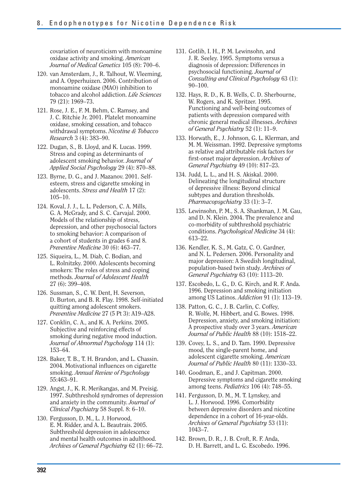covariation of neuroticism with monoamine oxidase activity and smoking. *American Journal of Medical Genetics* 105 (8): 700–6.

- 120. van Amsterdam, J., R. Talhout, W. Vleeming, and A. Opperhuizen. 2006. Contribution of monoamine oxidase (MAO) inhibition to tobacco and alcohol addiction. *Life Sciences*  79 (21): 1969–73.
- 121. Rose, J. E., F. M. Behm, C. Ramsey, and J. C. Ritchie Jr. 2001. Platelet monoamine oxidase, smoking cessation, and tobacco withdrawal symptoms. *Nicotine & Tobacco Research* 3 (4): 383–90.
- 122. Dugan, S., B. Lloyd, and K. Lucas. 1999. Stress and coping as determinants of adolescent smoking behavior. *Journal of Applied Social Psychology* 29 (4): 870–88.
- 123. Byrne, D. G., and J. Mazanov. 2001. Selfesteem, stress and cigarette smoking in adolescents. *Stress and Health* 17 (2): 105–10.
- 124. Koval, J. J., L. L. Pederson, C. A. Mills, G. A. McGrady, and S. C. Carvajal. 2000. Models of the relationship of stress, depression, and other psychosocial factors to smoking behavior: A comparison of a cohort of students in grades 6 and 8. *Preventive Medicine* 30 (6): 463–77.
- 125. Siqueira, L., M. Diab, C. Bodian, and L. Rolnitzky. 2000. Adolescents becoming smokers: The roles of stress and coping methods. *Journal of Adolescent Health*  27 (6): 399–408.
- 126. Sussman, S., C. W. Dent, H. Severson, D. Burton, and B. R. Flay. 1998. Self-initiated quitting among adolescent smokers. *Preventive Medicine* 27 (5 Pt 3): A19–A28.
- 127. Conklin, C. A., and K. A. Perkins. 2005. Subjective and reinforcing effects of smoking during negative mood induction. *Journal of Abnormal Psychology* 114 (1): 153–64.
- 128. Baker, T. B., T. H. Brandon, and L. Chassin. 2004. Motivational influences on cigarette smoking. *Annual Review of Psychology*  55:463–91.
- 129. Angst, J., K. R. Merikangas, and M. Preisig. 1997. Subthreshold syndromes of depression and anxiety in the community. *Journal of Clinical Psychiatry* 58 Suppl. 8: 6–10.
- 130. Fergusson, D. M., L. J. Horwood, E. M. Ridder, and A. L. Beautrais. 2005. Subthreshold depression in adolescence and mental health outcomes in adulthood. *Archives of General Psychiatry* 62 (1): 66–72.
- 131. Gotlib, I. H., P. M. Lewinsohn, and J. R. Seeley. 1995. Symptoms versus a diagnosis of depression: Differences in psychosocial functioning. *Journal of Consulting and Clinical Psychology* 63 (1): 90–100.
- 132. Hays, R. D., K. B. Wells, C. D. Sherbourne, W. Rogers, and K. Spritzer. 1995. Functioning and well-being outcomes of patients with depression compared with chronic general medical illnesses. *Archives of General Psychiatry* 52 (1): 11–9.
- 133. Horwath, E., J. Johnson, G. L. Klerman, and M. M. Weissman. 1992. Depressive symptoms as relative and attributable risk factors for first-onset major depression. *Archives of General Psychiatry* 49 (10): 817–23.
- 134. Judd, L. L., and H. S. Akiskal. 2000. Delineating the longitudinal structure of depressive illness: Beyond clinical subtypes and duration thresholds. *Pharmacopsychiatry* 33 (1): 3–7.
- 135. Lewinsohn, P. M., S. A. Shankman, J. M. Gau, and D. N. Klein. 2004. The prevalence and co-morbidity of subthreshold psychiatric conditions. *Psychological Medicine* 34 (4): 613–22.
- 136. Kendler, K. S., M. Gatz, C. O. Gardner, and N. L. Pedersen. 2006. Personality and major depression: A Swedish longitudinal, population-based twin study. *Archives of General Psychiatry* 63 (10): 1113–20.
- 137. Escobedo, L. G., D. G. Kirch, and R. F. Anda. 1996. Depression and smoking initiation among US Latinos. *Addiction* 91 (1): 113–19.
- 138. Patton, G. C., J. B. Carlin, C. Coffey, R. Wolfe, M. Hibbert, and G. Bowes. 1998. Depression, anxiety, and smoking initiation: A prospective study over 3 years. *American Journal of Public Health* 88 (10): 1518–22.
- 139. Covey, L. S., and D. Tam. 1990. Depressive mood, the single-parent home, and adolescent cigarette smoking. *American Journal of Public Health* 80 (11): 1330–33.
- 140. Goodman, E., and J. Capitman. 2000. Depressive symptoms and cigarette smoking among teens. *Pediatrics* 106 (4): 748–55.
- 141. Fergusson, D. M., M. T. Lynskey, and L. J. Horwood. 1996. Comorbidity between depressive disorders and nicotine dependence in a cohort of 16-year-olds. *Archives of General Psychiatry* 53 (11): 1043–7.
- 142. Brown, D. R., J. B. Croft, R. F. Anda, D. H. Barrett, and L. G. Escobedo. 1996.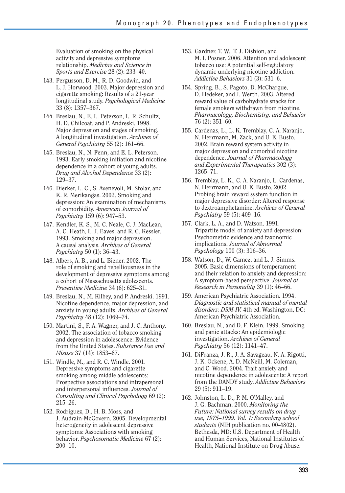Evaluation of smoking on the physical activity and depressive symptoms relationship. *Medicine and Science in Sports and Exercise* 28 (2): 233–40.

- 143. Fergusson, D. M., R. D. Goodwin, and L. J. Horwood. 2003. Major depression and cigarette smoking: Results of a 21-year longitudinal study. *Psychological Medicine*  33 (8): 1357–367.
- 144. Breslau, N., E. L. Peterson, L. R. Schultz, H. D. Chilcoat, and P. Andreski. 1998. Major depression and stages of smoking. A longitudinal investigation. *Archives of General Psychiatry* 55 (2): 161–66.
- 145. Breslau, N., N. Fenn, and E. L. Peterson. 1993. Early smoking initiation and nicotine dependence in a cohort of young adults. *Drug and Alcohol Dependence* 33 (2): 129–37.
- 146. Dierker, L. C., S. Avenevoli, M. Stolar, and K. R. Merikangas. 2002. Smoking and depression: An examination of mechanisms of comorbidity. *American Journal of Psychiatry* 159 (6): 947–53.
- 147. Kendler, K. S., M. C. Neale, C. J. MacLean, A. C. Heath, L. J. Eaves, and R. C. Kessler. 1993. Smoking and major depression. A causal analysis. *Archives of General Psychiatry* 50 (1): 36–43.
- 148. Albers, A. B., and L. Biener. 2002. The role of smoking and rebelliousness in the development of depressive symptoms among a cohort of Massachusetts adolescents. *Preventive Medicine* 34 (6): 625–31.
- 149. Breslau, N., M. Kilbey, and P. Andreski. 1991. Nicotine dependence, major depression, and anxiety in young adults. *Archives of General Psychiatry* 48 (12): 1069–74.
- 150. Martini, S., F. A. Wagner, and J. C. Anthony. 2002. The association of tobacco smoking and depression in adolescence: Evidence from the United States. *Substance Use and Misuse* 37 (14): 1853–67.
- 151. Windle, M., and R. C. Windle. 2001. Depressive symptoms and cigarette smoking among middle adolescents: Prospective associations and intrapersonal and interpersonal influences. *Journal of Consulting and Clinical Psychology* 69 (2): 215–26.
- 152. Rodriguez, D., H. B. Moss, and J. Audrain-McGovern. 2005. Developmental heterogeneity in adolescent depressive symptoms: Associations with smoking behavior. *Psychosomatic Medicine* 67 (2): 200–10.
- 153. Gardner, T. W., T. J. Dishion, and M. I. Posner. 2006. Attention and adolescent tobacco use: A potential self-regulatory dynamic underlying nicotine addiction. *Addictive Behaviors* 31 (3): 531–6.
- 154. Spring, B., S. Pagoto, D. McChargue, D. Hedeker, and J. Werth. 2003. Altered reward value of carbohydrate snacks for female smokers withdrawn from nicotine. *Pharmacology, Biochemistry, and Behavior*  76 (2): 351–60.
- 155. Cardenas, L., L. K. Tremblay, C. A. Naranjo, N. Herrmann, M. Zack, and U. E. Busto. 2002. Brain reward system activity in major depression and comorbid nicotine dependence. *Journal of Pharmacology and Experimental Therapeutics* 302 (3): 1265–71.
- 156. Tremblay, L. K., C. A. Naranjo, L. Cardenas, N. Herrmann, and U. E. Busto. 2002. Probing brain reward system function in major depressive disorder: Altered response to dextroamphetamine. *Archives of General Psychiatry* 59 (5): 409–16.
- 157. Clark, L. A., and D. Watson. 1991. Tripartite model of anxiety and depression: Psychometric evidence and taxonomic implications. *Journal of Abnormal Psychology* 100 (3): 316–36.
- 158. Watson, D., W. Gamez, and L. J. Simms. 2005. Basic dimensions of temperament and their relation to anxiety and depression: A symptom-based perspective. *Journal of Research in Personality* 39 (1): 46–66.
- 159. American Psychiatric Association. 1994. *Diagnostic and statistical manual of mental disorders: DSM-IV.* 4th ed. Washington, DC: American Psychiatric Association.
- 160. Breslau, N., and D. F. Klein. 1999. Smoking and panic attacks: An epidemiologic investigation. *Archives of General Psychiatry* 56 (12): 1141–47.
- 161. DiFranza, J. R., J. A. Savageau, N. A. Rigotti, J. K. Ockene, A. D. McNeill, M. Coleman, and C. Wood. 2004. Trait anxiety and nicotine dependence in adolescents: A report from the DANDY study. *Addictive Behaviors*  29 (5): 911–19.
- 162. Johnston, L. D., P. M. O'Malley, and J. G. Bachman. 2000. *Monitoring the Future: National survey results on drug use, 1975–1999. Vol. 1: Secondary school students* (NIH publication no. 00-4802). Bethesda, MD: U.S. Department of Health and Human Services, National Institutes of Health, National Institute on Drug Abuse.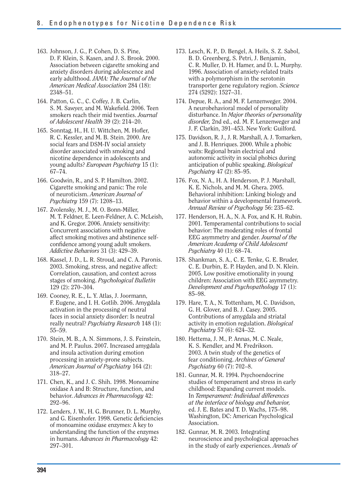- 163. Johnson, J. G., P. Cohen, D. S. Pine, D. F. Klein, S. Kasen, and J. S. Brook. 2000. Association between cigarette smoking and anxiety disorders during adolescence and early adulthood. *JAMA: The Journal of the American Medical Association* 284 (18): 2348–51.
- 164. Patton, G. C., C. Coffey, J. B. Carlin, S. M. Sawyer, and M. Wakefield. 2006. Teen smokers reach their mid twenties. *Journal of Adolescent Health* 39 (2): 214–20.
- 165. Sonntag, H., H. U. Wittchen, M. Hofler, R. C. Kessler, and M. B. Stein. 2000. Are social fears and DSM-IV social anxiety disorder associated with smoking and nicotine dependence in adolescents and young adults? *European Psychiatry* 15 (1): 67–74.
- 166. Goodwin, R., and S. P. Hamilton. 2002. Cigarette smoking and panic: The role of neuroticism. *American Journal of Psychiatry* 159 (7): 1208–13.
- 167. Zvolensky, M. J., M. O. Bonn-Miller, M. T. Feldner, E. Leen-Feldner, A. C. McLeish, and K. Gregor. 2006. Anxiety sensitivity: Concurrent associations with negative affect smoking motives and abstinence selfconfidence among young adult smokers. *Addictive Behaviors* 31 (3): 429–39.
- 168. Kassel, J. D., L. R. Stroud, and C. A. Paronis. 2003. Smoking, stress, and negative affect: Correlation, causation, and context across stages of smoking. *Psychological Bulletin*  129 (2): 270–304.
- 169. Cooney, R. E., L. Y. Atlas, J. Joormann, F. Eugene, and I. H. Gotlib. 2006. Amygdala activation in the processing of neutral faces in social anxiety disorder: Is neutral really neutral? *Psychiatry Research* 148 (1): 55–59.
- 170. Stein, M. B., A. N. Simmons, J. S. Feinstein, and M. P. Paulus. 2007. Increased amygdala and insula activation during emotion processing in anxiety-prone subjects. *American Journal of Psychiatry* 164 (2): 318–27.
- 171. Chen, K., and J. C. Shih. 1998. Monoamine oxidase A and B: Structure, function, and behavior. *Advances in Pharmacology* 42: 292–96.
- 172. Lenders, J. W., H. G. Brunner, D. L. Murphy, and G. Eisenhofer. 1998. Genetic deficiencies of monoamine oxidase enzymes: A key to understanding the function of the enzymes in humans. *Advances in Pharmacology* 42: 297–301.
- 173. Lesch, K. P., D. Bengel, A. Heils, S. Z. Sabol, B. D. Greenberg, S. Petri, J. Benjamin, C. R. Muller, D. H. Hamer, and D. L. Murphy. 1996. Association of anxiety-related traits with a polymorphism in the serotonin transporter gene regulatory region. *Science*  274 (5292): 1527–31.
- 174. Depue, R. A., and M. F. Lenzenweger. 2004. A neurobehavioral model of personality disturbance. In *Major theories of personality disorder,* 2nd ed., ed. M. F. Lenzenweger and J. F. Clarkin, 391–453. New York: Guilford.
- 175. Davidson, R. J., J. R. Marshall, A. J. Tomarken, and J. B. Henriques. 2000. While a phobic waits: Regional brain electrical and autonomic activity in social phobics during anticipation of public speaking. *Biological Psychiatry* 47 (2): 85–95.
- 176. Fox, N. A., H. A. Henderson, P. J. Marshall, K. E. Nichols, and M. M. Ghera. 2005. Behavioral inhibition: Linking biology and behavior within a developmental framework. *Annual Review of Psychology* 56: 235–62.
- 177. Henderson, H. A., N. A. Fox, and K. H. Rubin. 2001. Temperamental contributions to social behavior: The moderating roles of frontal EEG asymmetry and gender. *Journal of the American Academy of Child Adolescent Psychiatry* 40 (1): 68–74.
- 178. Shankman, S. A., C. E. Tenke, G. E. Bruder, C. E. Durbin, E. P. Hayden, and D. N. Klein. 2005. Low positive emotionality in young children: Association with EEG asymmetry. *Development and Psychopathology* 17 (1): 85–98.
- 179. Hare, T. A., N. Tottenham, M. C. Davidson, G. H. Glover, and B. J. Casey. 2005. Contributions of amygdala and striatal activity in emotion regulation. *Biological Psychiatry* 57 (6): 624–32.
- 180. Hettema, J. M., P. Annas, M. C. Neale, K. S. Kendler, and M. Fredrikson. 2003. A twin study of the genetics of fear conditioning. *Archives of General Psychiatry* 60 (7): 702–8.
- 181. Gunnar, M. R. 1994. Psychoendocrine studies of temperament and stress in early childhood: Expanding current models. In *Temperament: Individual differences at the interface of biology and behavior,*  ed. J. E. Bates and T. D. Wachs, 175–98. Washington, DC: American Psychological Association.
- 182. Gunnar, M. R. 2003. Integrating neuroscience and psychological approaches in the study of early experiences. *Annals of*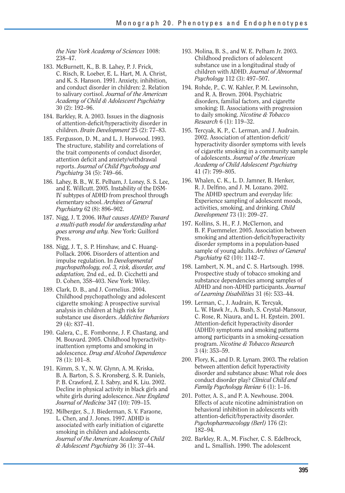*the New York Academy of Sciences* 1008: 238–47.

- 183. McBurnett, K., B. B. Lahey, P. J. Frick, C. Risch, R. Loeber, E. L. Hart, M. A. Christ, and K. S. Hanson. 1991. Anxiety, inhibition, and conduct disorder in children: 2. Relation to salivary cortisol. *Journal of the American Academy of Child & Adolescent Psychiatry*  30 (2): 192–96.
- 184. Barkley, R. A. 2003. Issues in the diagnosis of attention-deficit/hyperactivity disorder in children. *Brain Development* 25 (2): 77–83.
- 185. Fergusson, D. M., and L. J. Horwood. 1993. The structure, stability and correlations of the trait components of conduct disorder, attention deficit and anxiety/withdrawal reports. *Journal of Child Psychology and Psychiatry* 34 (5): 749–66.
- 186. Lahey, B. B., W. E. Pelham, J. Loney, S. S. Lee, and E. Willcutt. 2005. Instability of the DSM-IV subtypes of ADHD from preschool through elementary school. *Archives of General Psychiatry* 62 (8): 896–902.
- 187. Nigg, J. T. 2006. *What causes ADHD? Toward a multi-path model for understanding what goes wrong and why.* New York: Guilford Press.
- 188. Nigg, J. T., S. P. Hinshaw, and C. Huang-Pollack. 2006. Disorders of attention and impulse regulation. In *Developmental psychopathology, vol. 3, risk, disorder, and adaptation,* 2nd ed., ed. D. Cicchetti and D. Cohen, 358–403. New York: Wiley.
- 189. Clark, D. B., and J. Cornelius. 2004. Childhood psychopathology and adolescent cigarette smoking: A prospective survival analysis in children at high risk for substance use disorders. *Addictive Behaviors*  29 (4): 837–41.
- 190. Galera, C., E. Fombonne, J. F. Chastang, and M. Bouvard. 2005. Childhood hyperactivityinattention symptoms and smoking in adolescence. *Drug and Alcohol Dependence*  78 (1): 101–8.
- 191. Kimm, S. Y., N. W. Glynn, A. M. Kriska, B. A. Barton, S. S. Kronsberg, S. R. Daniels, P. B. Crawford, Z. I. Sabry, and K. Liu. 2002. Decline in physical activity in black girls and white girls during adolescence. *New England Journal of Medicine* 347 (10): 709–15.
- 192. Milberger, S., J. Biederman, S. V. Faraone, L. Chen, and J. Jones. 1997. ADHD is associated with early initiation of cigarette smoking in children and adolescents. *Journal of the American Academy of Child & Adolescent Psychiatry* 36 (1): 37–44.
- 193. Molina, B. S., and W. E. Pelham Jr. 2003. Childhood predictors of adolescent substance use in a longitudinal study of children with ADHD. *Journal of Abnormal Psychology* 112 (3): 497–507.
- 194. Rohde, P., C. W. Kahler, P. M. Lewinsohn, and R. A. Brown. 2004. Psychiatric disorders, familial factors, and cigarette smoking: II. Associations with progression to daily smoking. *Nicotine & Tobacco Research* 6 (1): 119–32.
- 195. Tercyak, K. P., C. Lerman, and J. Audrain. 2002. Association of attention-deficit/ hyperactivity disorder symptoms with levels of cigarette smoking in a community sample of adolescents. *Journal of the American Academy of Child Adolescent Psychiatry*  41 (7): 799–805.
- 196. Whalen, C. K., L. D. Jamner, B. Henker, R. J. Delfino, and J. M. Lozano. 2002. The ADHD spectrum and everyday life: Experience sampling of adolescent moods, activities, smoking, and drinking. *Child Development* 73 (1): 209–27.
- 197. Kollins, S. H., F. J. McClernon, and B. F. Fuemmeler. 2005. Association between smoking and attention-deficit/hyperactivity disorder symptoms in a population-based sample of young adults. *Archives of General Psychiatry* 62 (10): 1142–7.
- 198. Lambert, N. M., and C. S. Hartsough. 1998. Prospective study of tobacco smoking and substance dependencies among samples of ADHD and non-ADHD participants. *Journal of Learning Disabilities* 31 (6): 533–44.
- 199. Lerman, C., J. Audrain, K. Tercyak, L. W. Hawk Jr., A. Bush, S. Crystal-Mansour, C. Rose, R. Niaura, and L. H. Epstein. 2001. Attention-deficit hyperactivity disorder (ADHD) symptoms and smoking patterns among participants in a smoking-cessation program. *Nicotine & Tobacco Research*  3 (4): 353–59.
- 200. Flory, K., and D. R. Lynam. 2003. The relation between attention deficit hyperactivity disorder and substance abuse: What role does conduct disorder play? *Clinical Child and Family Psychology Review* 6 (1): 1–16.
- 201. Potter, A. S., and P. A. Newhouse. 2004. Effects of acute nicotine administration on behavioral inhibition in adolescents with attention-deficit/hyperactivity disorder. *Psychopharmacology (Berl)* 176 (2): 182–94.
- 202. Barkley, R. A., M. Fischer, C. S. Edelbrock, and L. Smallish. 1990. The adolescent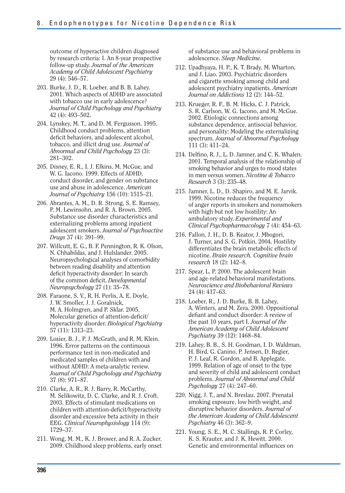outcome of hyperactive children diagnosed by research criteria: I. An 8-year prospective follow-up study. *Journal of the American Academy of Child Adolescent Psychiatry*  29 (4): 546–57.

- 203. Burke, J. D., R. Loeber, and B. B. Lahey. 2001. Which aspects of ADHD are associated with tobacco use in early adolescence? *Journal of Child Psychology and Psychiatry*  42 (4): 493–502.
- 204. Lynskey, M. T., and D. M. Fergusson. 1995. Childhood conduct problems, attention deficit behaviors, and adolescent alcohol, tobacco, and illicit drug use. *Journal of Abnormal and Child Psychology* 23 (3): 281–302.
- 205. Disney, E. R., I. J. Elkins, M. McGue, and W. G. Iacono. 1999. Effects of ADHD, conduct disorder, and gender on substance use and abuse in adolescence. *American Journal of Psychiatry* 156 (10): 1515–21.
- 206. Abrantes, A. M., D. R. Strong, S. E. Ramsey, P. M. Lewinsohn, and R. A. Brown. 2005. Substance use disorder characteristics and externalizing problems among inpatient adolescent smokers. *Journal of Psychoactive Drugs* 37 (4): 391–99.
- 207. Willcutt, E. G., B. F. Pennington, R. K. Olson, N. Chhabildas, and J. Hulslander. 2005. Neuropsychological analyses of comorbidity between reading disability and attention deficit hyperactivity disorder: In search of the common deficit. *Developmental Neuropsychology* 27 (1): 35–78.
- 208. Faraone, S. V., R. H. Perlis, A. E. Doyle, J. W. Smoller, J. J. Goralnick, M. A. Holmgren, and P. Sklar. 2005. Molecular genetics of attention-deficit/ hyperactivity disorder. *Biological Psychiatry*  57 (11): 1313–23.
- 209. Losier, B. J., P. J. McGrath, and R. M. Klein. 1996. Error patterns on the continuous performance test in non-medicated and medicated samples of children with and without ADHD: A meta-analytic review. *Journal of Child Psychology and Psychiatry*  37 (8): 971–87.
- 210. Clarke, A. R., R. J. Barry, R. McCarthy, M. Selikowitz, D. C. Clarke, and R. J. Croft. 2003. Effects of stimulant medications on children with attention-deficit/hyperactivity disorder and excessive beta activity in their EEG. *Clinical Neurophysiology* 114 (9): 1729–37.
- 211. Wong, M. M., K. J. Brower, and R. A. Zucker. 2009. Childhood sleep problems, early onset

of substance use and behavioral problems in adolescence. *Sleep Medicine.* 

- 212. Upadhyaya, H. P., K. T. Brady, M. Wharton, and J. Liao. 2003. Psychiatric disorders and cigarette smoking among child and adolescent psychiatry inpatients. *American Journal on Addictions* 12 (2): 144–52.
- 213. Krueger, R. F., B. M. Hicks, C. J. Patrick, S. R. Carlson, W. G. Iacono, and M. McGue. 2002. Etiologic connections among substance dependence, antisocial behavior, and personality: Modeling the externalizing spectrum. *Journal of Abnormal Psychology*  111 (3): 411–24.
- 214. Delfino, R. J., L. D. Jamner, and C. K. Whalen. 2001. Temporal analysis of the relationship of smoking behavior and urges to mood states in men versus women. *Nicotine & Tobacco Research* 3 (3): 235–48.
- 215. Jamner, L. D., D. Shapiro, and M. E. Jarvik. 1999. Nicotine reduces the frequency of anger reports in smokers and nonsmokers with high but not low hostility: An ambulatory study. *Experimental and Clinical Psychopharmacology* 7 (4): 454–63.
- 216. Fallon, J. H., D. B. Keator, J. Mbogori, J. Turner, and S. G. Potkin. 2004. Hostility differentiates the brain metabolic effects of nicotine. *Brain research. Cognitive brain research* 18 (2): 142–8.
- 217. Spear, L. P. 2000. The adolescent brain and age-related behavioral manifestations. *Neuroscience and Biobehavioral Reviews*  24 (4): 417–63.
- 218. Loeber, R., J. D. Burke, B. B. Lahey, A. Winters, and M. Zera. 2000. Oppositional defiant and conduct disorder: A review of the past 10 years, part I. *Journal of the American Academy of Child Adolescent Psychiatry* 39 (12): 1468–84.
- 219. Lahey, B. B., S. H. Goodman, I. D. Waldman, H. Bird, G. Canino, P. Jensen, D. Regier, P. J. Leaf, R. Gordon, and B. Applegate. 1999. Relation of age of onset to the type and severity of child and adolescent conduct problems. *Journal of Abnormal and Child Psychology* 27 (4): 247–60.
- 220. Nigg, J. T., and N. Breslau. 2007. Prenatal smoking exposure, low birth weight, and disruptive behavior disorders. *Journal of the American Academy of Child Adolescent Psychiatry* 46 (3): 362–9.
- 221. Young, S. E., M. C. Stallings, R. P. Corley, K. S. Krauter, and J. K. Hewitt. 2000. Genetic and environmental influences on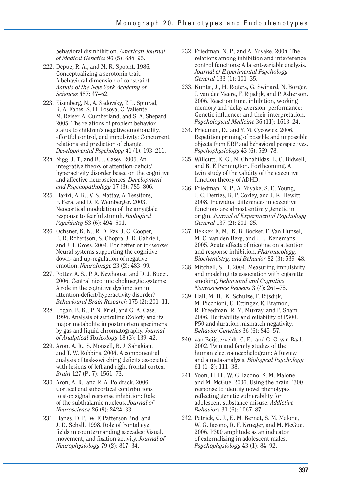behavioral disinhibition. *American Journal of Medical Genetics* 96 (5): 684–95.

- 222. Depue, R. A., and M. R. Spoont. 1986. Conceptualizing a serotonin trait: A behavioral dimension of constraint. *Annals of the New York Academy of Sciences* 487: 47–62.
- 223. Eisenberg, N., A. Sadovsky, T. L. Spinrad, R. A. Fabes, S. H. Losoya, C. Valiente, M. Reiser, A. Cumberland, and S. A. Shepard. 2005. The relations of problem behavior status to children's negative emotionality, effortful control, and impulsivity: Concurrent relations and prediction of change. *Developmental Psychology* 41 (1): 193–211.
- 224. Nigg, J. T., and B. J. Casey. 2005. An integrative theory of attention-deficit/ hyperactivity disorder based on the cognitive and affective neurosciences. *Development and Psychopathology* 17 (3): 785–806.
- 225. Hariri, A. R., V. S. Mattay, A. Tessitore, F. Fera, and D. R. Weinberger. 2003. Neocortical modulation of the amygdala response to fearful stimuli. *Biological Psychiatry* 53 (6): 494–501.
- 226. Ochsner, K. N., R. D. Ray, J. C. Cooper, E. R. Robertson, S. Chopra, J. D. Gabrieli, and J. J. Gross. 2004. For better or for worse: Neural systems supporting the cognitive down- and up-regulation of negative emotion. *NeuroImage* 23 (2): 483–99.
- 227. Potter, A. S., P. A. Newhouse, and D. J. Bucci. 2006. Central nicotinic cholinergic systems: A role in the cognitive dysfunction in attention-deficit/hyperactivity disorder? *Behavioural Brain Research* 175 (2): 201–11.
- 228. Logan, B. K., P. N. Friel, and G. A. Case. 1994. Analysis of sertraline (Zoloft) and its major metabolite in postmortem specimens by gas and liquid chromatography. *Journal of Analytical Toxicology* 18 (3): 139–42.
- 229. Aron, A. R., S. Monsell, B. J. Sahakian, and T. W. Robbins. 2004. A componential analysis of task-switching deficits associated with lesions of left and right frontal cortex. *Brain* 127 (Pt 7): 1561–73.
- 230. Aron, A. R., and R. A. Poldrack. 2006. Cortical and subcortical contributions to stop signal response inhibition: Role of the subthalamic nucleus. *Journal of Neuroscience* 26 (9): 2424–33.
- 231. Hanes, D. P., W. F. Patterson 2nd, and J. D. Schall. 1998. Role of frontal eye fields in countermanding saccades: Visual, movement, and fixation activity. *Journal of Neurophysiology* 79 (2): 817–34.
- 232. Friedman, N. P., and A. Miyake. 2004. The relations among inhibition and interference control functions: A latent-variable analysis. *Journal of Experimental Psychology General* 133 (1): 101–35.
- 233. Kuntsi, J., H. Rogers, G. Swinard, N. Borger, J. van der Meere, F. Rijsdijk, and P. Asherson. 2006. Reaction time, inhibition, working memory and 'delay aversion' performance: Genetic influences and their interpretation. *Psychological Medicine* 36 (11): 1613–24.
- 234. Friedman, D., and Y. M. Cycowicz. 2006. Repetition priming of possible and impossible objects from ERP and behavioral perspectives. *Psychophysiology* 43 (6): 569–78.
- 235. Willcutt, E. G., N. Chhabildas, L. C. Bidwell, and B. F. Pennington. Forthcoming. A twin study of the validity of the executive function theory of ADHD.
- 236. Friedman, N. P., A. Miyake, S. E. Young, J. C. Defries, R. P. Corley, and J. K. Hewitt. 2008. Individual differences in executive functions are almost entirely genetic in origin. *Journal of Experimental Psychology General* 137 (2): 201–25.
- 237. Bekker, E. M., K. B. Bocker, F. Van Hunsel, M. C. van den Berg, and J. L. Kenemans. 2005. Acute effects of nicotine on attention and response inhibition. *Pharmacology, Biochemistry, and Behavior* 82 (3): 539–48.
- 238. Mitchell, S. H. 2004. Measuring impulsivity and modeling its association with cigarette smoking. *Behavioral and Cognitive Neuroscience Reviews* 3 (4): 261–75.
- 239. Hall, M. H., K. Schulze, F. Rijsdijk, M. Picchioni, U. Ettinger, E. Bramon, R. Freedman, R. M. Murray, and P. Sham. 2006. Heritability and reliability of P300, P50 and duration mismatch negativity. *Behavior Genetics* 36 (6): 845–57.
- 240. van Beijsterveldt, C. E., and G. C. van Baal. 2002. Twin and family studies of the human electroencephalogram: A Review and a meta-analysis. *Biological Psychology*  61 (1–2): 111–38.
- 241. Yoon, H. H., W. G. Iacono, S. M. Malone, and M. McGue. 2006. Using the brain P300 response to identify novel phenotypes reflecting genetic vulnerability for adolescent substance misuse. *Addictive Behaviors* 31 (6): 1067–87.
- 242. Patrick, C. J., E. M. Bernat, S. M. Malone, W. G. Iacono, R. F. Krueger, and M. McGue. 2006. P300 amplitude as an indicator of externalizing in adolescent males. *Psychophysiology* 43 (1): 84–92.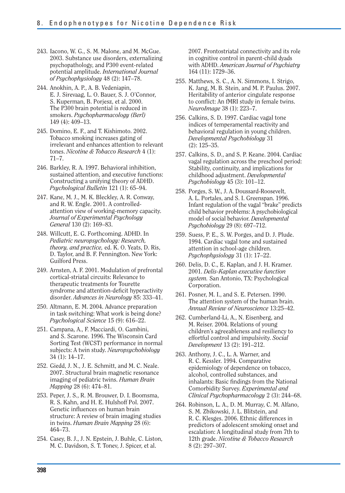- 243. Iacono, W. G., S. M. Malone, and M. McGue. 2003. Substance use disorders, externalizing psychopathology, and P300 event-related potential amplitude. *International Journal of Psychophysiology* 48 (2): 147–78.
- 244. Anokhin, A. P., A. B. Vedeniapin, E. J. Sirevaag, L. O. Bauer, S. J. O'Connor, S. Kuperman, B. Porjesz, et al. 2000. The P300 brain potential is reduced in smokers. *Psychopharmacology (Berl)*  149 (4): 409–13.
- 245. Domino, E. F., and T. Kishimoto. 2002. Tobacco smoking increases gating of irrelevant and enhances attention to relevant tones. *Nicotine & Tobacco Research* 4 (1): 71–7.
- 246. Barkley, R. A. 1997. Behavioral inhibition, sustained attention, and executive functions: Constructing a unifying theory of ADHD. *Psychological Bulletin* 121 (1): 65–94.
- 247. Kane, M. J., M. K. Bleckley, A. R. Conway, and R. W. Engle. 2001. A controlledattention view of working-memory capacity. *Journal of Experimental Psychology General* 130 (2): 169–83.
- 248. Willcutt, E. G. Forthcoming. ADHD. In *Pediatric neuropsychology: Research, theory, and practice,* ed. K. O. Yeats, D. Ris, D. Taylor, and B. F. Pennington. New York: Guilford Press.
- 249. Arnsten, A. F. 2001. Modulation of prefrontal cortical-striatal circuits: Relevance to therapeutic treatments for Tourette syndrome and attention-deficit hyperactivity disorder. *Advances in Neurology* 85: 333–41.
- 250. Altmann, E. M. 2004. Advance preparation in task switching: What work is being done? *Psychological Science* 15 (9): 616–22.
- 251. Campana, A., F. Macciardi, O. Gambini, and S. Scarone. 1996. The Wisconsin Card Sorting Test (WCST) performance in normal subjects: A twin study. *Neuropsychobiology*  34 (1): 14–17.
- 252. Giedd, J. N., J. E. Schmitt, and M. C. Neale. 2007. Structural brain magnetic resonance imaging of pediatric twins. *Human Brain Mapping* 28 (6): 474–81.
- 253. Peper, J. S., R. M. Brouwer, D. I. Boomsma, R. S. Kahn, and H. E. Hulshoff Pol. 2007. Genetic influences on human brain structure: A review of brain imaging studies in twins. *Human Brain Mapping* 28 (6): 464–73.
- 254. Casey, B. J., J. N. Epstein, J. Buhle, C. Liston, M. C. Davidson, S. T. Tonev, J. Spicer, et al.

2007. Frontostriatal connectivity and its role in cognitive control in parent-child dyads with ADHD. *American Journal of Psychiatry*  164 (11): 1729–36.

- 255. Matthews, S. C., A. N. Simmons, I. Strigo, K. Jang, M. B. Stein, and M. P. Paulus. 2007. Heritability of anterior cingulate response to conflict: An fMRI study in female twins. *NeuroImage* 38 (1): 223–7.
- 256. Calkins, S. D. 1997. Cardiac vagal tone indices of temperamental reactivity and behavioral regulation in young children. *Developmental Psychobiology* 31 (2): 125–35.
- 257. Calkins, S. D., and S. P. Keane. 2004. Cardiac vagal regulation across the preschool period: Stability, continuity, and implications for childhood adjustment. *Developmental Psychobiology* 45 (3): 101–12.
- 258. Porges, S. W., J. A. Doussard-Roosevelt, A. L. Portales, and S. I. Greenspan. 1996. Infant regulation of the vagal "brake" predicts child behavior problems: A psychobiological model of social behavior. *Developmental Psychobiology* 29 (8): 697–712.
- 259. Suess, P. E., S. W. Porges, and D. J. Plude. 1994. Cardiac vagal tone and sustained attention in school-age children. *Psychophysiology* 31 (1): 17–22.
- 260. Delis, D. C., E. Kaplan, and J. H. Kramer. 2001. *Delis-Kaplan executive function system.* San Antonio, TX: Psychological Corporation.
- 261. Posner, M. I., and S. E. Petersen. 1990. The attention system of the human brain. *Annual Review of Neuroscience* 13:25–42.
- 262. Cumberland-Li, A., N. Eisenberg, and M. Reiser. 2004. Relations of young children's agreeableness and resiliency to effortful control and impulsivity. *Social Development* 13 (2): 191–212.
- 263. Anthony, J. C., L. A. Warner, and R. C. Kessler. 1994. Comparative epidemiology of dependence on tobacco, alcohol, controlled substances, and inhalants: Basic findings from the National Comorbidity Survey. *Experimental and Clinical Psychopharmacology* 2 (3): 244–68.
- 264. Robinson, L. A., D. M. Murray, C. M. Alfano, S. M. Zbikowski, J. L. Blitstein, and R. C. Klesges. 2006. Ethnic differences in predictors of adolescent smoking onset and escalation: A longitudinal study from 7th to 12th grade. *Nicotine & Tobacco Research*  8 (2): 297–307.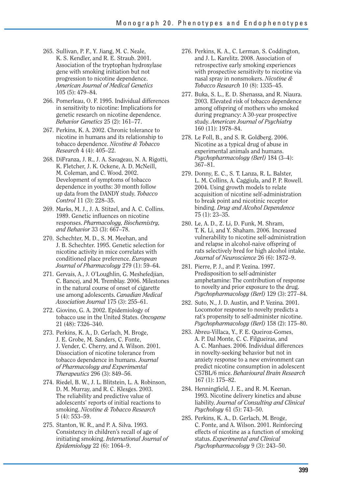- 265. Sullivan, P. F., Y. Jiang, M. C. Neale, K. S. Kendler, and R. E. Straub. 2001. Association of the tryptophan hydroxylase gene with smoking initiation but not progression to nicotine dependence. *American Journal of Medical Genetics*  105 (5): 479–84.
- 266. Pomerleau, O. F. 1995. Individual differences in sensitivity to nicotine: Implications for genetic research on nicotine dependence. *Behavior Genetics* 25 (2): 161–77.
- 267. Perkins, K. A. 2002. Chronic tolerance to nicotine in humans and its relationship to tobacco dependence. *Nicotine & Tobacco Research* 4 (4): 405–22.
- 268. DiFranza, J. R., J. A. Savageau, N. A. Rigotti, K. Fletcher, J. K. Ockene, A. D. McNeill, M. Coleman, and C. Wood. 2002. Development of symptoms of tobacco dependence in youths: 30 month follow up data from the DANDY study. *Tobacco Control* 11 (3): 228–35.
- 269. Marks, M. J., J. A. Stitzel, and A. C. Collins. 1989. Genetic influences on nicotine responses. *Pharmacology, Biochemistry, and Behavior* 33 (3): 667–78.
- 270. Schechter, M. D., S. M. Meehan, and J. B. Schechter. 1995. Genetic selection for nicotine activity in mice correlates with conditioned place preference. *European Journal of Pharmacology* 279 (1): 59–64.
- 271. Gervais, A., J. O'Loughlin, G. Meshefedjian, C. Bancej, and M. Tremblay. 2006. Milestones in the natural course of onset of cigarette use among adolescents. *Canadian Medical Association Journal* 175 (3): 255–61.
- 272. Giovino, G. A. 2002. Epidemiology of tobacco use in the United States. *Oncogene*  21 (48): 7326–340.
- 273. Perkins, K. A., D. Gerlach, M. Broge, J. E. Grobe, M. Sanders, C. Fonte, J. Vender, C. Cherry, and A. Wilson. 2001. Dissociation of nicotine tolerance from tobacco dependence in humans. *Journal of Pharmacology and Experimental Therapeutics* 296 (3): 849–56.
- 274. Riedel, B. W., J. L. Blitstein, L. A. Robinson, D. M. Murray, and R. C. Klesges. 2003. The reliability and predictive value of adolescents' reports of initial reactions to smoking. *Nicotine & Tobacco Research*  5 (4): 553–59.
- 275. Stanton, W. R., and P. A. Silva. 1993. Consistency in children's recall of age of initiating smoking. *International Journal of Epidemiology* 22 (6): 1064–9.
- 276. Perkins, K. A., C. Lerman, S. Coddington, and J. L. Karelitz. 2008. Association of retrospective early smoking experiences with prospective sensitivity to nicotine via nasal spray in nonsmokers. *Nicotine & Tobacco Research* 10 (8): 1335–45.
- 277. Buka, S. L., E. D. Shenassa, and R. Niaura. 2003. Elevated risk of tobacco dependence among offspring of mothers who smoked during pregnancy: A 30-year prospective study. *American Journal of Psychiatry*  160 (11): 1978–84.
- 278. Le Foll, B., and S. R. Goldberg. 2006. Nicotine as a typical drug of abuse in experimental animals and humans. *Psychopharmacology (Berl)* 184 (3–4): 367–81.
- 279. Donny, E. C., S. T. Lanza, R. L. Balster, L. M. Collins, A. Caggiula, and P. P. Rowell. 2004. Using growth models to relate acquisition of nicotine self-administration to break point and nicotinic receptor binding. *Drug and Alcohol Dependence*  75 (1): 23–35.
- 280. Le, A. D., Z. Li, D. Funk, M. Shram, T. K. Li, and Y. Shaham. 2006. Increased vulnerability to nicotine self-administration and relapse in alcohol-naive offspring of rats selectively bred for high alcohol intake. *Journal of Neuroscience* 26 (6): 1872–9.
- 281. Pierre, P. J., and P. Vezina. 1997. Predisposition to self-administer amphetamine: The contribution of response to novelty and prior exposure to the drug. *Psychopharmacology (Berl)* 129 (3): 277–84.
- 282. Suto, N., J. D. Austin, and P. Vezina. 2001. Locomotor response to novelty predicts a rat's propensity to self-administer nicotine. *Psychopharmacology (Berl)* 158 (2): 175–80.
- 283. Abreu-Villaca, Y., F. E. Queiroz-Gomes, A. P. Dal Monte, C. C. Filgueiras, and A. C. Manhaes. 2006. Individual differences in novelty-seeking behavior but not in anxiety response to a new environment can predict nicotine consumption in adolescent C57BL/6 mice. *Behavioural Brain Research*  167 (1): 175–82.
- 284. Henningfield, J. E., and R. M. Keenan. 1993. Nicotine delivery kinetics and abuse liability. *Journal of Consulting and Clinical Psychology* 61 (5): 743–50.
- 285. Perkins, K. A., D. Gerlach, M. Broge, C. Fonte, and A. Wilson. 2001. Reinforcing effects of nicotine as a function of smoking status. *Experimental and Clinical Psychopharmacology* 9 (3): 243–50.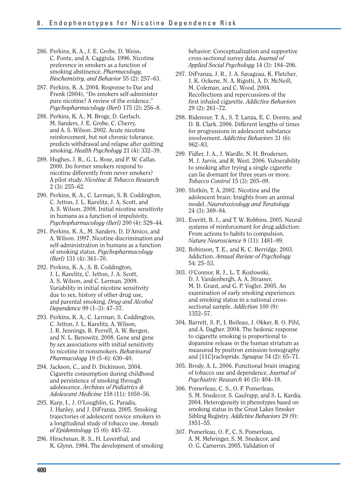- 286. Perkins, K. A., J. E. Grobe, D. Weiss, C. Fonte, and A. Caggiula. 1996. Nicotine preference in smokers as a function of smoking abstinence. *Pharmacology, Biochemistry, and Behavior* 55 (2): 257–63.
- 287. Perkins, K. A. 2004. Response to Dar and Frenk (2004), "Do smokers self-administer pure nicotine? A review of the evidence." *Psychopharmacology (Berl)* 175 (2): 256–8.
- 288. Perkins, K. A., M. Broge, D. Gerlach, M. Sanders, J. E. Grobe, C. Cherry, and A. S. Wilson. 2002. Acute nicotine reinforcement, but not chronic tolerance, predicts withdrawal and relapse after quitting smoking. *Health Psychology* 21 (4): 332–39.
- 289. Hughes, J. R., G. L. Rose, and P. W. Callas. 2000. Do former smokers respond to nicotine differently from never smokers? A pilot study. *Nicotine & Tobacco Research*  2 (3): 255–62.
- 290. Perkins, K. A., C. Lerman, S. B. Coddington, C. Jetton, J. L. Karelitz, J. A. Scott, and A. S. Wilson. 2008. Initial nicotine sensitivity in humans as a function of impulsivity. *Psychopharmacology (Berl)* 200 (4): 529–44.
- 291. Perkins, K. A., M. Sanders, D. D'Amico, and A. Wilson. 1997. Nicotine discrimination and self-administration in humans as a function of smoking status. *Psychopharmacology (Berl)* 131 (4): 361–70.
- 292. Perkins, K. A., S. B. Coddington, J. L. Karelitz, C. Jetton, J. A. Scott, A. S. Wilson, and C. Lerman. 2009. Variability in initial nicotine sensitivity due to sex, history of other drug use, and parental smoking. *Drug and Alcohol Dependence* 99 (1–3): 47–57.
- 293. Perkins, K. A., C. Lerman, S. Coddington, C. Jetton, J. L. Karelitz, A. Wilson, J. R. Jennings, R. Ferrell, A. W. Bergen, and N. L. Benowitz. 2008. Gene and gene by sex associations with initial sensitivity to nicotine in nonsmokers. *Behavioural Pharmacology* 19 (5–6): 630–40.
- 294. Jackson, C., and D. Dickinson. 2004. Cigarette consumption during childhood and persistence of smoking through adolescence. *Archives of Pediatrics & Adolescent Medicine* 158 (11): 1050–56.
- 295. Karp, I., J. O'Loughlin, G. Paradis, J. Hanley, and J. DiFranza. 2005. Smoking trajectories of adolescent novice smokers in a longitudinal study of tobacco use. *Annals of Epidemiology* 15 (6): 445–52.
- 296. Hirschman, R. S., H. Leventhal, and K. Glynn. 1984. The development of smoking

behavior: Conceptualization and supportive cross-sectional survey data. *Journal of Applied Social Psychology* 14 (3): 184–206.

- 297. DiFranza, J. R., J. A. Savageau, K. Fletcher, J. K. Ockene, N. A. Rigotti, A. D. McNeill, M. Coleman, and C. Wood. 2004. Recollections and repercussions of the first inhaled cigarette. *Addictive Behaviors*  29 (2): 261–72.
- 298. Ridenour, T. A., S. T. Lanza, E. C. Donny, and D. B. Clark. 2006. Different lengths of times for progressions in adolescent substance involvement. *Addictive Behaviors* 31 (6): 962–83.
- 299. Fidler, J. A., J. Wardle, N. H. Brodersen, M. J. Jarvis, and R. West. 2006. Vulnerability to smoking after trying a single cigarette can lie dormant for three years or more. *Tobacco Control* 15 (3): 205–09.
- 300. Slotkin, T. A. 2002. Nicotine and the adolescent brain: Insights from an animal model. *Neurotoxicology and Teratology*  24 (3): 369–84.
- 301. Everitt, B. J., and T. W. Robbins. 2005. Neural systems of reinforcement for drug addiction: From actions to habits to compulsion. *Nature Neuroscience* 8 (11): 1481–89.
- 302. Robinson, T. E., and K. C. Berridge. 2003. Addiction. *Annual Review of Psychology*  54: 25–53.
- 303. O'Connor, R. J., L. T. Kozlowski, D. J. Vandenbergh, A. A. Strasser, M. D. Grant, and G. P. Vogler. 2005. An examination of early smoking experiences and smoking status in a national crosssectional sample. *Addiction* 100 (9): 1352–57.
- 304. Barrett, S. P., I. Boileau, J. Okker, R. O. Pihl, and A. Dagher. 2004. The hedonic response to cigarette smoking is proportional to dopamine release in the human striatum as measured by positron emission tomography and [11C]raclopride. *Synapse* 54 (2): 65–71.
- 305. Brody, A. L. 2006. Functional brain imaging of tobacco use and dependence. *Journal of Psychiatric Research* 40 (5): 404–18.
- 306. Pomerleau, C. S., O. F. Pomerleau, S. M. Snedecor, S. Gaulrapp, and S. L. Kardia. 2004. Heterogeneity in phenotypes based on smoking status in the Great Lakes Smoker Sibling Registry. *Addictive Behaviors* 29 (9): 1851–55.
- 307. Pomerleau, O. F., C. S. Pomerleau, A. M. Mehringer, S. M. Snedecor, and O. G. Cameron. 2005. Validation of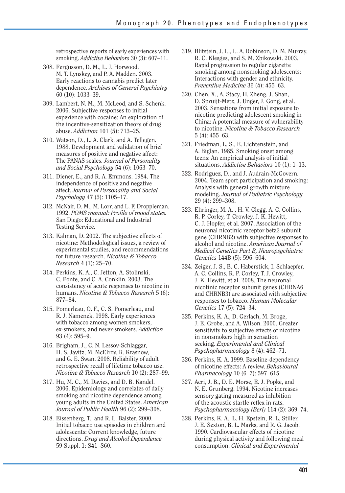retrospective reports of early experiences with smoking. *Addictive Behaviors* 30 (3): 607–11.

- 308. Fergusson, D. M., L. J. Horwood, M. T. Lynskey, and P. A. Madden. 2003. Early reactions to cannabis predict later dependence. *Archives of General Psychiatry*  60 (10): 1033–39.
- 309. Lambert, N. M., M. McLeod, and S. Schenk. 2006. Subjective responses to initial experience with cocaine: An exploration of the incentive-sensitization theory of drug abuse. *Addiction* 101 (5): 713–25.
- 310. Watson, D., L. A. Clark, and A. Tellegen. 1988. Development and validation of brief measures of positive and negative affect: The PANAS scales. *Journal of Personality and Social Psychology* 54 (6): 1063–70.
- 311. Diener, E., and R. A. Emmons. 1984. The independence of positive and negative affect. *Journal of Personality and Social Psychology* 47 (5): 1105–17.
- 312. McNair, D. M., M. Lorr, and L. F. Droppleman. 1992. *POMS manual: Profile of mood states.*  San Diego: Educational and Industrial Testing Service.
- 313. Kalman, D. 2002. The subjective effects of nicotine: Methodological issues, a review of experimental studies, and recommendations for future research. *Nicotine & Tobacco Research* 4 (1): 25–70.
- 314. Perkins, K. A., C. Jetton, A. Stolinski, C. Fonte, and C. A. Conklin. 2003. The consistency of acute responses to nicotine in humans. *Nicotine & Tobacco Research* 5 (6): 877–84.
- 315. Pomerleau, O. F., C. S. Pomerleau, and R. J. Namenek. 1998. Early experiences with tobacco among women smokers, ex-smokers, and never-smokers. *Addiction*  93 (4): 595–9.
- 316. Brigham, J., C. N. Lessov-Schlaggar, H. S. Javitz, M. McElroy, R. Krasnow, and G. E. Swan. 2008. Reliability of adult retrospective recall of lifetime tobacco use. *Nicotine & Tobacco Research* 10 (2): 287–99.
- 317. Hu, M. C., M. Davies, and D. B. Kandel. 2006. Epidemiology and correlates of daily smoking and nicotine dependence among young adults in the United States. *American Journal of Public Health* 96 (2): 299–308.
- 318. Eissenberg, T., and R. L. Balster. 2000. Initial tobacco use episodes in children and adolescents: Current knowledge, future directions. *Drug and Alcohol Dependence*  59 Suppl. 1: S41–S60.
- 319. Blitstein, J. L., L. A. Robinson, D. M. Murray, R. C. Klesges, and S. M. Zbikowski. 2003. Rapid progression to regular cigarette smoking among nonsmoking adolescents: Interactions with gender and ethnicity. *Preventive Medicine* 36 (4): 455–63.
- 320. Chen, X., A. Stacy, H. Zheng, J. Shan, D. Spruijt-Metz, J. Unger, J. Gong, et al. 2003. Sensations from initial exposure to nicotine predicting adolescent smoking in China: A potential measure of vulnerability to nicotine. *Nicotine & Tobacco Research*  5 (4): 455–63.
- 321. Friedman, L. S., E. Lichtenstein, and A. Biglan. 1985. Smoking onset among teens: An empirical analysis of initial situations. *Addictive Behaviors* 10 (1): 1–13.
- 322. Rodriguez, D., and J. Audrain-McGovern. 2004. Team sport participation and smoking: Analysis with general growth mixture modeling. *Journal of Pediatric Psychology*  29 (4): 299–308.
- 323. Ehringer, M. A. , H. V. Clegg, A. C. Collins, R. P. Corley, T. Crowley, J. K. Hewitt, C. J. Hopfer, et al. 2007. Association of the neuronal nicotinic receptor beta2 subunit gene (CHRNB2) with subjective responses to alcohol and nicotine. *American Journal of Medical Genetics Part B, Neuropsychiatric Genetics* 144B (5): 596–604.
- 324. Zeiger, J. S., B. C. Haberstick, I. Schlaepfer, A. C. Collins, R. P. Corley, T. J. Crowley, J. K. Hewitt, et al. 2008. The neuronal nicotinic receptor subunit genes (CHRNA6 and CHRNB3) are associated with subjective responses to tobacco. *Human Molecular Genetics* 17 (5): 724–34.
- 325. Perkins, K. A., D. Gerlach, M. Broge, J. E. Grobe, and A. Wilson. 2000. Greater sensitivity to subjective effects of nicotine in nonsmokers high in sensation seeking. *Experimental and Clinical Psychopharmacology* 8 (4): 462–71.
- 326. Perkins, K. A. 1999. Baseline-dependency of nicotine effects: A review. *Behavioural Pharmacology* 10 (6–7): 597–615.
- 327. Acri, J. B., D. E. Morse, E. J. Popke, and N. E. Grunberg. 1994. Nicotine increases sensory gating measured as inhibition of the acoustic startle reflex in rats. *Psychopharmacology (Berl)* 114 (2): 369–74.
- 328. Perkins, K. A., L. H. Epstein, R. L. Stiller, J. E. Sexton, B. L. Marks, and R. G. Jacob. 1990. Cardiovascular effects of nicotine during physical activity and following meal consumption. *Clinical and Experimental*